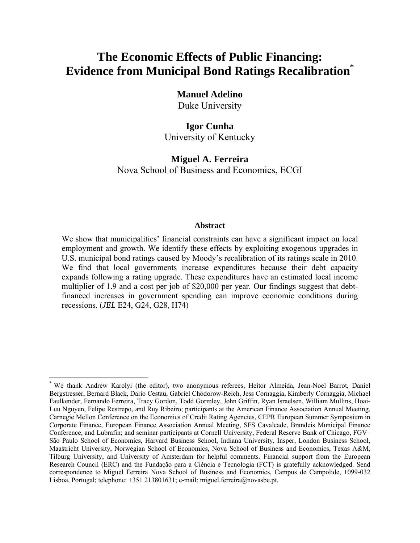# **The Economic Effects of Public Financing: Evidence from Municipal Bond Ratings Recalibration\***

# **Manuel Adelino**

Duke University

# **Igor Cunha**  University of Kentucky

**Miguel A. Ferreira**  Nova School of Business and Economics, ECGI

## **Abstract**

We show that municipalities' financial constraints can have a significant impact on local employment and growth. We identify these effects by exploiting exogenous upgrades in U.S. municipal bond ratings caused by Moody's recalibration of its ratings scale in 2010. We find that local governments increase expenditures because their debt capacity expands following a rating upgrade. These expenditures have an estimated local income multiplier of 1.9 and a cost per job of \$20,000 per year. Our findings suggest that debtfinanced increases in government spending can improve economic conditions during recessions. (*JEL* E24, G24, G28, H74)

<sup>\*</sup> We thank Andrew Karolyi (the editor), two anonymous referees, Heitor Almeida, Jean-Noel Barrot, Daniel Bergstresser, Bernard Black, Dario Cestau, Gabriel Chodorow-Reich, Jess Cornaggia, Kimberly Cornaggia, Michael Faulkender, Fernando Ferreira, Tracy Gordon, Todd Gormley, John Griffin, Ryan Israelsen, William Mullins, Hoai-Luu Nguyen, Felipe Restrepo, and Ruy Ribeiro; participants at the American Finance Association Annual Meeting, Carnegie Mellon Conference on the Economics of Credit Rating Agencies, CEPR European Summer Symposium in Corporate Finance, European Finance Association Annual Meeting, SFS Cavalcade, Brandeis Municipal Finance Conference, and Lubrafin; and seminar participants at Cornell University, Federal Reserve Bank of Chicago, FGV– São Paulo School of Economics, Harvard Business School, Indiana University, Insper, London Business School, Maastricht University, Norwegian School of Economics, Nova School of Business and Economics, Texas A&M, Tilburg University, and University of Amsterdam for helpful comments. Financial support from the European Research Council (ERC) and the Fundação para a Ciência e Tecnologia (FCT) is gratefully acknowledged. Send correspondence to Miguel Ferreira Nova School of Business and Economics, Campus de Campolide, 1099-032 Lisboa, Portugal; telephone: +351 213801631; e-mail: miguel.ferreira@novasbe.pt.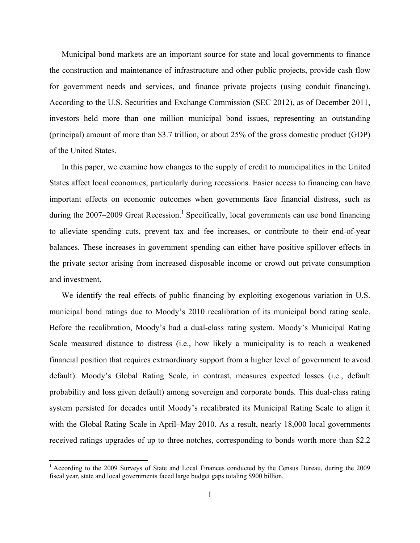Municipal bond markets are an important source for state and local governments to finance the construction and maintenance of infrastructure and other public projects, provide cash flow for government needs and services, and finance private projects (using conduit financing). According to the U.S. Securities and Exchange Commission (SEC 2012), as of December 2011, investors held more than one million municipal bond issues, representing an outstanding (principal) amount of more than \$3.7 trillion, or about 25% of the gross domestic product (GDP) of the United States.

In this paper, we examine how changes to the supply of credit to municipalities in the United States affect local economies, particularly during recessions. Easier access to financing can have important effects on economic outcomes when governments face financial distress, such as during the 2007–2009 Great Recession.<sup>1</sup> Specifically, local governments can use bond financing to alleviate spending cuts, prevent tax and fee increases, or contribute to their end-of-year balances. These increases in government spending can either have positive spillover effects in the private sector arising from increased disposable income or crowd out private consumption and investment.

We identify the real effects of public financing by exploiting exogenous variation in U.S. municipal bond ratings due to Moody's 2010 recalibration of its municipal bond rating scale. Before the recalibration, Moody's had a dual-class rating system. Moody's Municipal Rating Scale measured distance to distress (i.e., how likely a municipality is to reach a weakened financial position that requires extraordinary support from a higher level of government to avoid default). Moody's Global Rating Scale, in contrast, measures expected losses (i.e., default probability and loss given default) among sovereign and corporate bonds. This dual-class rating system persisted for decades until Moody's recalibrated its Municipal Rating Scale to align it with the Global Rating Scale in April–May 2010. As a result, nearly 18,000 local governments received ratings upgrades of up to three notches, corresponding to bonds worth more than \$2.2

<sup>&</sup>lt;sup>1</sup> According to the 2009 Surveys of State and Local Finances conducted by the Census Bureau, during the 2009 fiscal year, state and local governments faced large budget gaps totaling \$900 billion.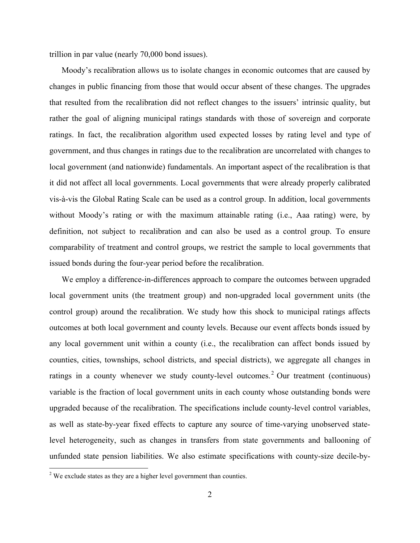trillion in par value (nearly 70,000 bond issues).

Moody's recalibration allows us to isolate changes in economic outcomes that are caused by changes in public financing from those that would occur absent of these changes. The upgrades that resulted from the recalibration did not reflect changes to the issuers' intrinsic quality, but rather the goal of aligning municipal ratings standards with those of sovereign and corporate ratings. In fact, the recalibration algorithm used expected losses by rating level and type of government, and thus changes in ratings due to the recalibration are uncorrelated with changes to local government (and nationwide) fundamentals. An important aspect of the recalibration is that it did not affect all local governments. Local governments that were already properly calibrated vis-à-vis the Global Rating Scale can be used as a control group. In addition, local governments without Moody's rating or with the maximum attainable rating (i.e., Aaa rating) were, by definition, not subject to recalibration and can also be used as a control group. To ensure comparability of treatment and control groups, we restrict the sample to local governments that issued bonds during the four-year period before the recalibration.

We employ a difference-in-differences approach to compare the outcomes between upgraded local government units (the treatment group) and non-upgraded local government units (the control group) around the recalibration. We study how this shock to municipal ratings affects outcomes at both local government and county levels. Because our event affects bonds issued by any local government unit within a county (i.e., the recalibration can affect bonds issued by counties, cities, townships, school districts, and special districts), we aggregate all changes in ratings in a county whenever we study county-level outcomes.<sup>2</sup> Our treatment (continuous) variable is the fraction of local government units in each county whose outstanding bonds were upgraded because of the recalibration. The specifications include county-level control variables, as well as state-by-year fixed effects to capture any source of time-varying unobserved statelevel heterogeneity, such as changes in transfers from state governments and ballooning of unfunded state pension liabilities. We also estimate specifications with county-size decile-by-

<sup>&</sup>lt;sup>2</sup> We exclude states as they are a higher level government than counties.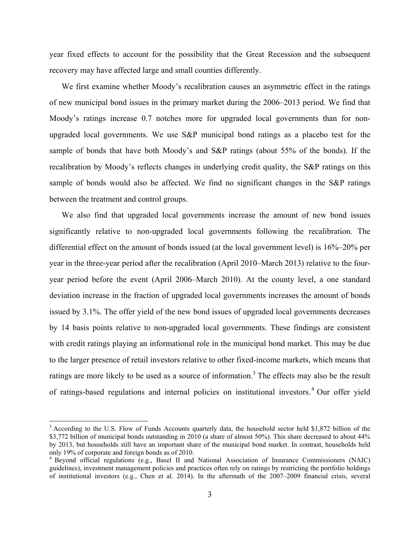year fixed effects to account for the possibility that the Great Recession and the subsequent recovery may have affected large and small counties differently.

We first examine whether Moody's recalibration causes an asymmetric effect in the ratings of new municipal bond issues in the primary market during the 2006–2013 period. We find that Moody's ratings increase 0.7 notches more for upgraded local governments than for nonupgraded local governments. We use S&P municipal bond ratings as a placebo test for the sample of bonds that have both Moody's and S&P ratings (about 55% of the bonds). If the recalibration by Moody's reflects changes in underlying credit quality, the S&P ratings on this sample of bonds would also be affected. We find no significant changes in the S&P ratings between the treatment and control groups.

We also find that upgraded local governments increase the amount of new bond issues significantly relative to non-upgraded local governments following the recalibration. The differential effect on the amount of bonds issued (at the local government level) is 16%–20% per year in the three-year period after the recalibration (April 2010–March 2013) relative to the fouryear period before the event (April 2006–March 2010). At the county level, a one standard deviation increase in the fraction of upgraded local governments increases the amount of bonds issued by 3.1%. The offer yield of the new bond issues of upgraded local governments decreases by 14 basis points relative to non-upgraded local governments. These findings are consistent with credit ratings playing an informational role in the municipal bond market. This may be due to the larger presence of retail investors relative to other fixed-income markets, which means that ratings are more likely to be used as a source of information.<sup>3</sup> The effects may also be the result of ratings-based regulations and internal policies on institutional investors.<sup>4</sup> Our offer yield

<sup>&</sup>lt;sup>3</sup> According to the U.S. Flow of Funds Accounts quarterly data, the household sector held \$1,872 billion of the \$3,772 billion of municipal bonds outstanding in 2010 (a share of almost 50%). This share decreased to about 44% by 2013, but households still have an important share of the municipal bond market. In contrast, households held only 19% of corporate and foreign bonds as of 2010.

<sup>4</sup> Beyond official regulations (e.g., Basel II and National Association of Insurance Commissioners (NAIC) guidelines), investment management policies and practices often rely on ratings by restricting the portfolio holdings of institutional investors (e.g., Chen et al. 2014). In the aftermath of the 2007–2009 financial crisis, several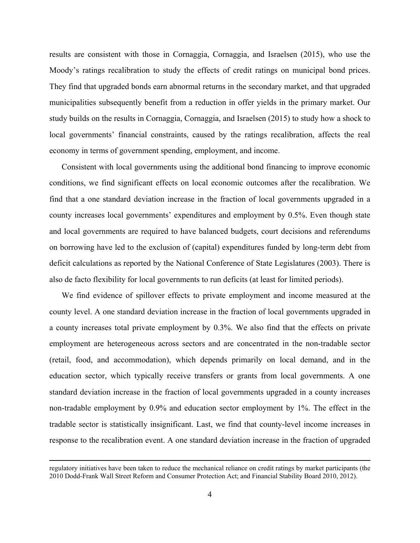results are consistent with those in Cornaggia, Cornaggia, and Israelsen (2015), who use the Moody's ratings recalibration to study the effects of credit ratings on municipal bond prices. They find that upgraded bonds earn abnormal returns in the secondary market, and that upgraded municipalities subsequently benefit from a reduction in offer yields in the primary market. Our study builds on the results in Cornaggia, Cornaggia, and Israelsen (2015) to study how a shock to local governments' financial constraints, caused by the ratings recalibration, affects the real economy in terms of government spending, employment, and income.

Consistent with local governments using the additional bond financing to improve economic conditions, we find significant effects on local economic outcomes after the recalibration. We find that a one standard deviation increase in the fraction of local governments upgraded in a county increases local governments' expenditures and employment by 0.5%. Even though state and local governments are required to have balanced budgets, court decisions and referendums on borrowing have led to the exclusion of (capital) expenditures funded by long-term debt from deficit calculations as reported by the National Conference of State Legislatures (2003). There is also de facto flexibility for local governments to run deficits (at least for limited periods).

We find evidence of spillover effects to private employment and income measured at the county level. A one standard deviation increase in the fraction of local governments upgraded in a county increases total private employment by 0.3%. We also find that the effects on private employment are heterogeneous across sectors and are concentrated in the non-tradable sector (retail, food, and accommodation), which depends primarily on local demand, and in the education sector, which typically receive transfers or grants from local governments. A one standard deviation increase in the fraction of local governments upgraded in a county increases non-tradable employment by 0.9% and education sector employment by 1%. The effect in the tradable sector is statistically insignificant. Last, we find that county-level income increases in response to the recalibration event. A one standard deviation increase in the fraction of upgraded

<sup>&</sup>lt;u> 1989 - Andrea Santa Andrea Andrea Andrea Andrea Andrea Andrea Andrea Andrea Andrea Andrea Andrea Andrea Andr</u> regulatory initiatives have been taken to reduce the mechanical reliance on credit ratings by market participants (the 2010 Dodd-Frank Wall Street Reform and Consumer Protection Act; and Financial Stability Board 2010, 2012).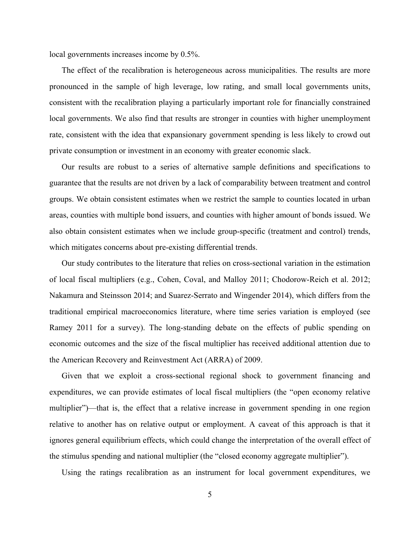local governments increases income by 0.5%.

The effect of the recalibration is heterogeneous across municipalities. The results are more pronounced in the sample of high leverage, low rating, and small local governments units, consistent with the recalibration playing a particularly important role for financially constrained local governments. We also find that results are stronger in counties with higher unemployment rate, consistent with the idea that expansionary government spending is less likely to crowd out private consumption or investment in an economy with greater economic slack.

Our results are robust to a series of alternative sample definitions and specifications to guarantee that the results are not driven by a lack of comparability between treatment and control groups. We obtain consistent estimates when we restrict the sample to counties located in urban areas, counties with multiple bond issuers, and counties with higher amount of bonds issued. We also obtain consistent estimates when we include group-specific (treatment and control) trends, which mitigates concerns about pre-existing differential trends.

Our study contributes to the literature that relies on cross-sectional variation in the estimation of local fiscal multipliers (e.g., Cohen, Coval, and Malloy 2011; Chodorow-Reich et al. 2012; Nakamura and Steinsson 2014; and Suarez-Serrato and Wingender 2014), which differs from the traditional empirical macroeconomics literature, where time series variation is employed (see Ramey 2011 for a survey). The long-standing debate on the effects of public spending on economic outcomes and the size of the fiscal multiplier has received additional attention due to the American Recovery and Reinvestment Act (ARRA) of 2009.

Given that we exploit a cross-sectional regional shock to government financing and expenditures, we can provide estimates of local fiscal multipliers (the "open economy relative multiplier")—that is, the effect that a relative increase in government spending in one region relative to another has on relative output or employment. A caveat of this approach is that it ignores general equilibrium effects, which could change the interpretation of the overall effect of the stimulus spending and national multiplier (the "closed economy aggregate multiplier").

Using the ratings recalibration as an instrument for local government expenditures, we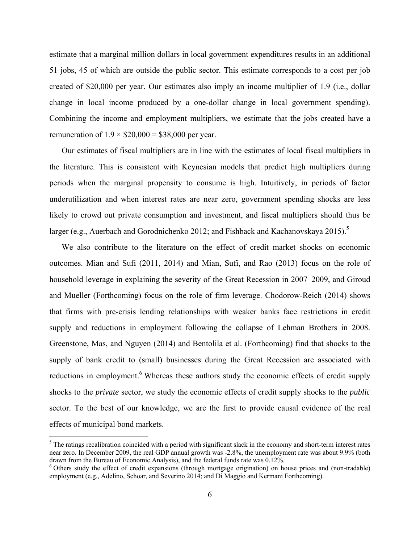estimate that a marginal million dollars in local government expenditures results in an additional 51 jobs, 45 of which are outside the public sector. This estimate corresponds to a cost per job created of \$20,000 per year. Our estimates also imply an income multiplier of 1.9 (i.e., dollar change in local income produced by a one-dollar change in local government spending). Combining the income and employment multipliers, we estimate that the jobs created have a remuneration of  $1.9 \times $20,000 = $38,000$  per year.

Our estimates of fiscal multipliers are in line with the estimates of local fiscal multipliers in the literature. This is consistent with Keynesian models that predict high multipliers during periods when the marginal propensity to consume is high. Intuitively, in periods of factor underutilization and when interest rates are near zero, government spending shocks are less likely to crowd out private consumption and investment, and fiscal multipliers should thus be larger (e.g., Auerbach and Gorodnichenko 2012; and Fishback and Kachanovskaya 2015).<sup>5</sup>

We also contribute to the literature on the effect of credit market shocks on economic outcomes. Mian and Sufi (2011, 2014) and Mian, Sufi, and Rao (2013) focus on the role of household leverage in explaining the severity of the Great Recession in 2007–2009, and Giroud and Mueller (Forthcoming) focus on the role of firm leverage. Chodorow-Reich (2014) shows that firms with pre-crisis lending relationships with weaker banks face restrictions in credit supply and reductions in employment following the collapse of Lehman Brothers in 2008. Greenstone, Mas, and Nguyen (2014) and Bentolila et al. (Forthcoming) find that shocks to the supply of bank credit to (small) businesses during the Great Recession are associated with reductions in employment.<sup>6</sup> Whereas these authors study the economic effects of credit supply shocks to the *private* sector, we study the economic effects of credit supply shocks to the *public* sector. To the best of our knowledge, we are the first to provide causal evidence of the real effects of municipal bond markets.

 $<sup>5</sup>$  The ratings recalibration coincided with a period with significant slack in the economy and short-term interest rates</sup> near zero. In December 2009, the real GDP annual growth was -2.8%, the unemployment rate was about 9.9% (both drawn from the Bureau of Economic Analysis), and the federal funds rate was 0.12%.

<sup>&</sup>lt;sup>6</sup> Others study the effect of credit expansions (through mortgage origination) on house prices and (non-tradable) employment (e.g., Adelino, Schoar, and Severino 2014; and Di Maggio and Kermani Forthcoming).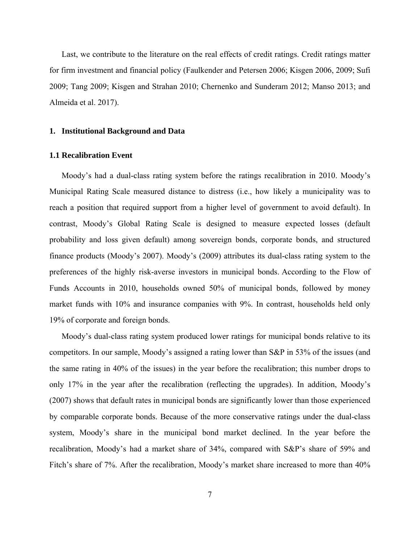Last, we contribute to the literature on the real effects of credit ratings. Credit ratings matter for firm investment and financial policy (Faulkender and Petersen 2006; Kisgen 2006, 2009; Sufi 2009; Tang 2009; Kisgen and Strahan 2010; Chernenko and Sunderam 2012; Manso 2013; and Almeida et al. 2017).

#### **1. Institutional Background and Data**

#### **1.1 Recalibration Event**

Moody's had a dual-class rating system before the ratings recalibration in 2010. Moody's Municipal Rating Scale measured distance to distress (i.e., how likely a municipality was to reach a position that required support from a higher level of government to avoid default). In contrast, Moody's Global Rating Scale is designed to measure expected losses (default probability and loss given default) among sovereign bonds, corporate bonds, and structured finance products (Moody's 2007). Moody's (2009) attributes its dual-class rating system to the preferences of the highly risk-averse investors in municipal bonds. According to the Flow of Funds Accounts in 2010, households owned 50% of municipal bonds, followed by money market funds with 10% and insurance companies with 9%. In contrast, households held only 19% of corporate and foreign bonds.

Moody's dual-class rating system produced lower ratings for municipal bonds relative to its competitors. In our sample, Moody's assigned a rating lower than S&P in 53% of the issues (and the same rating in 40% of the issues) in the year before the recalibration; this number drops to only 17% in the year after the recalibration (reflecting the upgrades). In addition, Moody's (2007) shows that default rates in municipal bonds are significantly lower than those experienced by comparable corporate bonds. Because of the more conservative ratings under the dual-class system, Moody's share in the municipal bond market declined. In the year before the recalibration, Moody's had a market share of 34%, compared with S&P's share of 59% and Fitch's share of 7%. After the recalibration, Moody's market share increased to more than 40%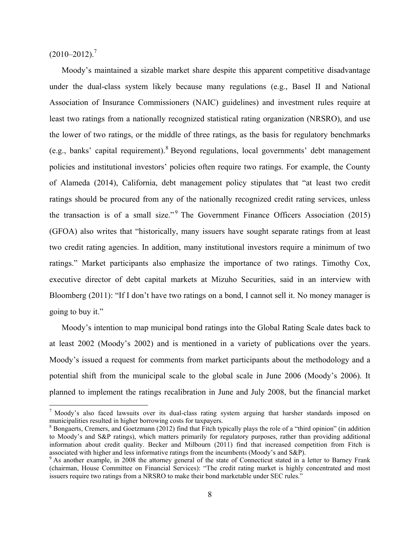$(2010-2012)^7$ 

 

Moody's maintained a sizable market share despite this apparent competitive disadvantage under the dual-class system likely because many regulations (e.g., Basel II and National Association of Insurance Commissioners (NAIC) guidelines) and investment rules require at least two ratings from a nationally recognized statistical rating organization (NRSRO), and use the lower of two ratings, or the middle of three ratings, as the basis for regulatory benchmarks (e.g., banks' capital requirement). <sup>8</sup> Beyond regulations, local governments' debt management policies and institutional investors' policies often require two ratings. For example, the County of Alameda (2014), California, debt management policy stipulates that "at least two credit ratings should be procured from any of the nationally recognized credit rating services, unless the transaction is of a small size."<sup>9</sup> The Government Finance Officers Association (2015) (GFOA) also writes that "historically, many issuers have sought separate ratings from at least two credit rating agencies. In addition, many institutional investors require a minimum of two ratings." Market participants also emphasize the importance of two ratings. Timothy Cox, executive director of debt capital markets at Mizuho Securities, said in an interview with Bloomberg (2011): "If I don't have two ratings on a bond, I cannot sell it. No money manager is going to buy it."

Moody's intention to map municipal bond ratings into the Global Rating Scale dates back to at least 2002 (Moody's 2002) and is mentioned in a variety of publications over the years. Moody's issued a request for comments from market participants about the methodology and a potential shift from the municipal scale to the global scale in June 2006 (Moody's 2006). It planned to implement the ratings recalibration in June and July 2008, but the financial market

 $7$  Moody's also faced lawsuits over its dual-class rating system arguing that harsher standards imposed on municipalities resulted in higher borrowing costs for taxpayers.

 $8$  Bongaerts, Cremers, and Goetzmann (2012) find that Fitch typically plays the role of a "third opinion" (in addition to Moody's and S&P ratings), which matters primarily for regulatory purposes, rather than providing additional information about credit quality. Becker and Milbourn (2011) find that increased competition from Fitch is associated with higher and less informative ratings from the incumbents (Moody's and S&P).

<sup>&</sup>lt;sup>9</sup> As another example, in 2008 the attorney general of the state of Connecticut stated in a letter to Barney Frank (chairman, House Committee on Financial Services): "The credit rating market is highly concentrated and most issuers require two ratings from a NRSRO to make their bond marketable under SEC rules."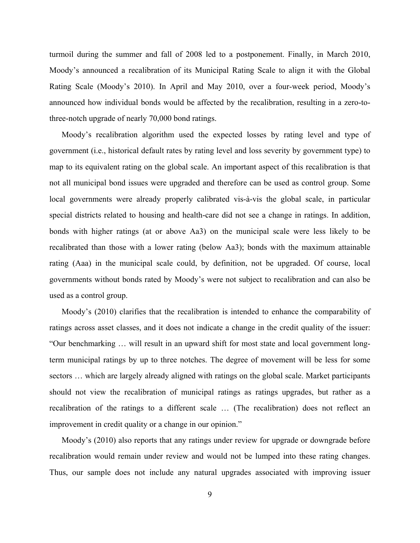turmoil during the summer and fall of 2008 led to a postponement. Finally, in March 2010, Moody's announced a recalibration of its Municipal Rating Scale to align it with the Global Rating Scale (Moody's 2010). In April and May 2010, over a four-week period, Moody's announced how individual bonds would be affected by the recalibration, resulting in a zero-tothree-notch upgrade of nearly 70,000 bond ratings.

Moody's recalibration algorithm used the expected losses by rating level and type of government (i.e., historical default rates by rating level and loss severity by government type) to map to its equivalent rating on the global scale. An important aspect of this recalibration is that not all municipal bond issues were upgraded and therefore can be used as control group. Some local governments were already properly calibrated vis-à-vis the global scale, in particular special districts related to housing and health-care did not see a change in ratings. In addition, bonds with higher ratings (at or above Aa3) on the municipal scale were less likely to be recalibrated than those with a lower rating (below Aa3); bonds with the maximum attainable rating (Aaa) in the municipal scale could, by definition, not be upgraded. Of course, local governments without bonds rated by Moody's were not subject to recalibration and can also be used as a control group.

Moody's (2010) clarifies that the recalibration is intended to enhance the comparability of ratings across asset classes, and it does not indicate a change in the credit quality of the issuer: "Our benchmarking … will result in an upward shift for most state and local government longterm municipal ratings by up to three notches. The degree of movement will be less for some sectors ... which are largely already aligned with ratings on the global scale. Market participants should not view the recalibration of municipal ratings as ratings upgrades, but rather as a recalibration of the ratings to a different scale … (The recalibration) does not reflect an improvement in credit quality or a change in our opinion."

Moody's (2010) also reports that any ratings under review for upgrade or downgrade before recalibration would remain under review and would not be lumped into these rating changes. Thus, our sample does not include any natural upgrades associated with improving issuer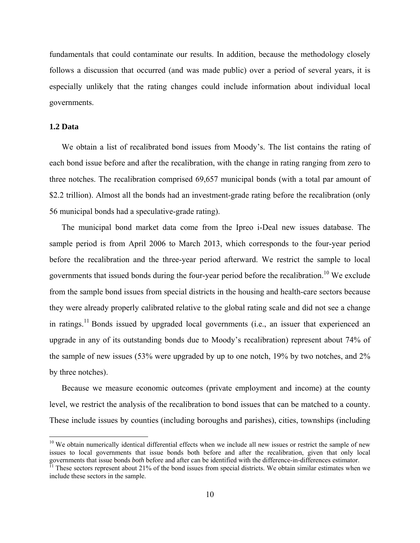fundamentals that could contaminate our results. In addition, because the methodology closely follows a discussion that occurred (and was made public) over a period of several years, it is especially unlikely that the rating changes could include information about individual local governments.

#### **1.2 Data**

 

We obtain a list of recalibrated bond issues from Moody's. The list contains the rating of each bond issue before and after the recalibration, with the change in rating ranging from zero to three notches. The recalibration comprised 69,657 municipal bonds (with a total par amount of \$2.2 trillion). Almost all the bonds had an investment-grade rating before the recalibration (only 56 municipal bonds had a speculative-grade rating).

The municipal bond market data come from the Ipreo i-Deal new issues database. The sample period is from April 2006 to March 2013, which corresponds to the four-year period before the recalibration and the three-year period afterward. We restrict the sample to local governments that issued bonds during the four-year period before the recalibration.<sup>10</sup> We exclude from the sample bond issues from special districts in the housing and health-care sectors because they were already properly calibrated relative to the global rating scale and did not see a change in ratings.<sup>11</sup> Bonds issued by upgraded local governments (i.e., an issuer that experienced an upgrade in any of its outstanding bonds due to Moody's recalibration) represent about 74% of the sample of new issues (53% were upgraded by up to one notch, 19% by two notches, and 2% by three notches).

Because we measure economic outcomes (private employment and income) at the county level, we restrict the analysis of the recalibration to bond issues that can be matched to a county. These include issues by counties (including boroughs and parishes), cities, townships (including

 $10$  We obtain numerically identical differential effects when we include all new issues or restrict the sample of new issues to local governments that issue bonds both before and after the recalibration, given that only local governments that issue bonds *both* before and after can be identified with the difference-in-differences estimator.<br><sup>11</sup> These sectors represent about 21% of the bond issues from special districts. We obtain similar estim

include these sectors in the sample.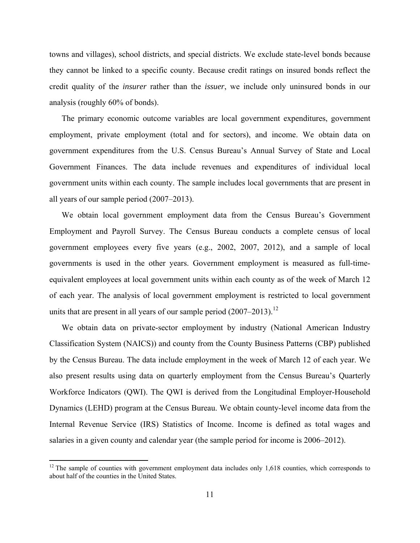towns and villages), school districts, and special districts. We exclude state-level bonds because they cannot be linked to a specific county. Because credit ratings on insured bonds reflect the credit quality of the *insurer* rather than the *issuer*, we include only uninsured bonds in our analysis (roughly 60% of bonds).

The primary economic outcome variables are local government expenditures, government employment, private employment (total and for sectors), and income. We obtain data on government expenditures from the U.S. Census Bureau's Annual Survey of State and Local Government Finances. The data include revenues and expenditures of individual local government units within each county. The sample includes local governments that are present in all years of our sample period (2007–2013).

We obtain local government employment data from the Census Bureau's Government Employment and Payroll Survey. The Census Bureau conducts a complete census of local government employees every five years (e.g., 2002, 2007, 2012), and a sample of local governments is used in the other years. Government employment is measured as full-timeequivalent employees at local government units within each county as of the week of March 12 of each year. The analysis of local government employment is restricted to local government units that are present in all years of our sample period  $(2007-2013).$ <sup>12</sup>

We obtain data on private-sector employment by industry (National American Industry Classification System (NAICS)) and county from the County Business Patterns (CBP) published by the Census Bureau. The data include employment in the week of March 12 of each year. We also present results using data on quarterly employment from the Census Bureau's Quarterly Workforce Indicators (QWI). The QWI is derived from the Longitudinal Employer-Household Dynamics (LEHD) program at the Census Bureau. We obtain county-level income data from the Internal Revenue Service (IRS) Statistics of Income. Income is defined as total wages and salaries in a given county and calendar year (the sample period for income is 2006–2012).

 $12$ <sup>12</sup> The sample of counties with government employment data includes only 1,618 counties, which corresponds to about half of the counties in the United States.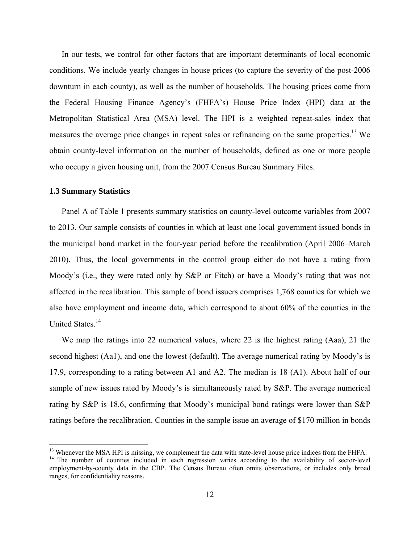In our tests, we control for other factors that are important determinants of local economic conditions. We include yearly changes in house prices (to capture the severity of the post-2006 downturn in each county), as well as the number of households. The housing prices come from the Federal Housing Finance Agency's (FHFA's) House Price Index (HPI) data at the Metropolitan Statistical Area (MSA) level. The HPI is a weighted repeat-sales index that measures the average price changes in repeat sales or refinancing on the same properties.<sup>13</sup> We obtain county-level information on the number of households, defined as one or more people who occupy a given housing unit, from the 2007 Census Bureau Summary Files.

#### **1.3 Summary Statistics**

 

Panel A of Table 1 presents summary statistics on county-level outcome variables from 2007 to 2013. Our sample consists of counties in which at least one local government issued bonds in the municipal bond market in the four-year period before the recalibration (April 2006–March 2010). Thus, the local governments in the control group either do not have a rating from Moody's (i.e., they were rated only by S&P or Fitch) or have a Moody's rating that was not affected in the recalibration. This sample of bond issuers comprises 1,768 counties for which we also have employment and income data, which correspond to about 60% of the counties in the United States.<sup>14</sup>

We map the ratings into 22 numerical values, where 22 is the highest rating (Aaa), 21 the second highest (Aa1), and one the lowest (default). The average numerical rating by Moody's is 17.9, corresponding to a rating between A1 and A2. The median is 18 (A1). About half of our sample of new issues rated by Moody's is simultaneously rated by S&P. The average numerical rating by S&P is 18.6, confirming that Moody's municipal bond ratings were lower than S&P ratings before the recalibration. Counties in the sample issue an average of \$170 million in bonds

<sup>&</sup>lt;sup>13</sup> Whenever the MSA HPI is missing, we complement the data with state-level house price indices from the FHFA.<br><sup>14</sup> The number of counties included in each regression varies according to the availability of sector-level

employment-by-county data in the CBP. The Census Bureau often omits observations, or includes only broad ranges, for confidentiality reasons.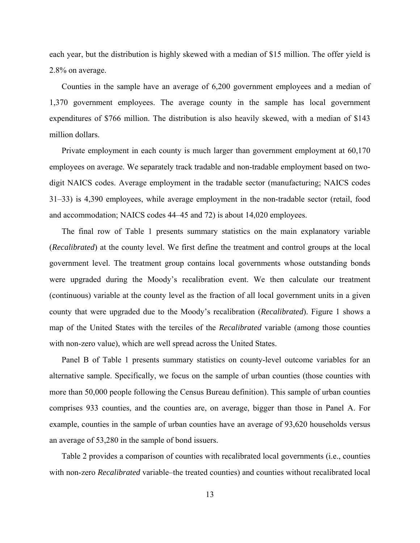each year, but the distribution is highly skewed with a median of \$15 million. The offer yield is 2.8% on average.

Counties in the sample have an average of 6,200 government employees and a median of 1,370 government employees. The average county in the sample has local government expenditures of \$766 million. The distribution is also heavily skewed, with a median of \$143 million dollars.

Private employment in each county is much larger than government employment at 60,170 employees on average. We separately track tradable and non-tradable employment based on twodigit NAICS codes. Average employment in the tradable sector (manufacturing; NAICS codes 31–33) is 4,390 employees, while average employment in the non-tradable sector (retail, food and accommodation; NAICS codes 44–45 and 72) is about 14,020 employees.

The final row of Table 1 presents summary statistics on the main explanatory variable (*Recalibrated*) at the county level. We first define the treatment and control groups at the local government level. The treatment group contains local governments whose outstanding bonds were upgraded during the Moody's recalibration event. We then calculate our treatment (continuous) variable at the county level as the fraction of all local government units in a given county that were upgraded due to the Moody's recalibration (*Recalibrated*). Figure 1 shows a map of the United States with the terciles of the *Recalibrated* variable (among those counties with non-zero value), which are well spread across the United States.

Panel B of Table 1 presents summary statistics on county-level outcome variables for an alternative sample. Specifically, we focus on the sample of urban counties (those counties with more than 50,000 people following the Census Bureau definition). This sample of urban counties comprises 933 counties, and the counties are, on average, bigger than those in Panel A. For example, counties in the sample of urban counties have an average of 93,620 households versus an average of 53,280 in the sample of bond issuers.

Table 2 provides a comparison of counties with recalibrated local governments (i.e., counties with non-zero *Recalibrated* variable–the treated counties) and counties without recalibrated local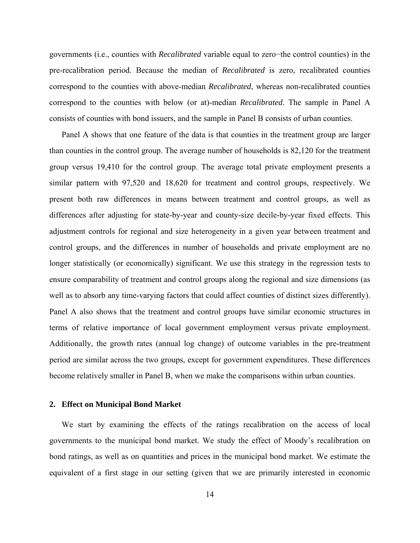governments (i.e., counties with *Recalibrated* variable equal to zero−the control counties) in the pre-recalibration period. Because the median of *Recalibrated* is zero, recalibrated counties correspond to the counties with above-median *Recalibrated*, whereas non-recalibrated counties correspond to the counties with below (or at)-median *Recalibrated*. The sample in Panel A consists of counties with bond issuers, and the sample in Panel B consists of urban counties.

Panel A shows that one feature of the data is that counties in the treatment group are larger than counties in the control group. The average number of households is 82,120 for the treatment group versus 19,410 for the control group. The average total private employment presents a similar pattern with 97,520 and 18,620 for treatment and control groups, respectively. We present both raw differences in means between treatment and control groups, as well as differences after adjusting for state-by-year and county-size decile-by-year fixed effects. This adjustment controls for regional and size heterogeneity in a given year between treatment and control groups, and the differences in number of households and private employment are no longer statistically (or economically) significant. We use this strategy in the regression tests to ensure comparability of treatment and control groups along the regional and size dimensions (as well as to absorb any time-varying factors that could affect counties of distinct sizes differently). Panel A also shows that the treatment and control groups have similar economic structures in terms of relative importance of local government employment versus private employment. Additionally, the growth rates (annual log change) of outcome variables in the pre-treatment period are similar across the two groups, except for government expenditures. These differences become relatively smaller in Panel B, when we make the comparisons within urban counties.

#### **2. Effect on Municipal Bond Market**

We start by examining the effects of the ratings recalibration on the access of local governments to the municipal bond market. We study the effect of Moody's recalibration on bond ratings, as well as on quantities and prices in the municipal bond market. We estimate the equivalent of a first stage in our setting (given that we are primarily interested in economic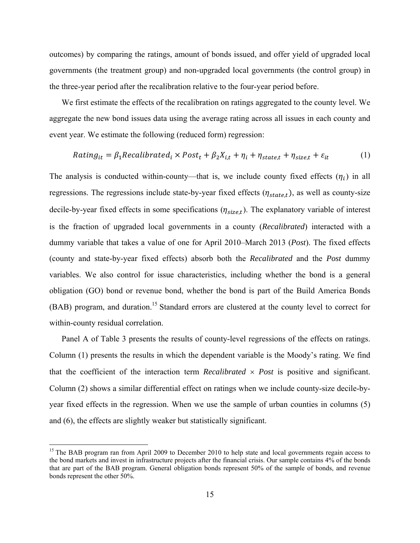outcomes) by comparing the ratings, amount of bonds issued, and offer yield of upgraded local governments (the treatment group) and non-upgraded local governments (the control group) in the three-year period after the recalibration relative to the four-year period before.

We first estimate the effects of the recalibration on ratings aggregated to the county level. We aggregate the new bond issues data using the average rating across all issues in each county and event year. We estimate the following (reduced form) regression:

$$
Rating_{it} = \beta_1 Recalibrated_i \times Post_t + \beta_2 X_{i,t} + \eta_i + \eta_{state,t} + \eta_{size,t} + \varepsilon_{it}
$$
(1)

The analysis is conducted within-county—that is, we include county fixed effects  $(\eta_i)$  in all regressions. The regressions include state-by-year fixed effects  $(\eta_{state,t})$ , as well as county-size decile-by-year fixed effects in some specifications  $(\eta_{size,t})$ . The explanatory variable of interest is the fraction of upgraded local governments in a county (*Recalibrated*) interacted with a dummy variable that takes a value of one for April 2010–March 2013 (*Post*). The fixed effects (county and state-by-year fixed effects) absorb both the *Recalibrated* and the *Post* dummy variables. We also control for issue characteristics, including whether the bond is a general obligation (GO) bond or revenue bond, whether the bond is part of the Build America Bonds (BAB) program, and duration.<sup>15</sup> Standard errors are clustered at the county level to correct for within-county residual correlation.

Panel A of Table 3 presents the results of county-level regressions of the effects on ratings. Column (1) presents the results in which the dependent variable is the Moody's rating. We find that the coefficient of the interaction term *Recalibrated*  $\times$  *Post* is positive and significant. Column (2) shows a similar differential effect on ratings when we include county-size decile-byyear fixed effects in the regression. When we use the sample of urban counties in columns (5) and (6), the effects are slightly weaker but statistically significant.

<sup>&</sup>lt;sup>15</sup> The BAB program ran from April 2009 to December 2010 to help state and local governments regain access to the bond markets and invest in infrastructure projects after the financial crisis. Our sample contains 4% of the bonds that are part of the BAB program. General obligation bonds represent 50% of the sample of bonds, and revenue bonds represent the other 50%.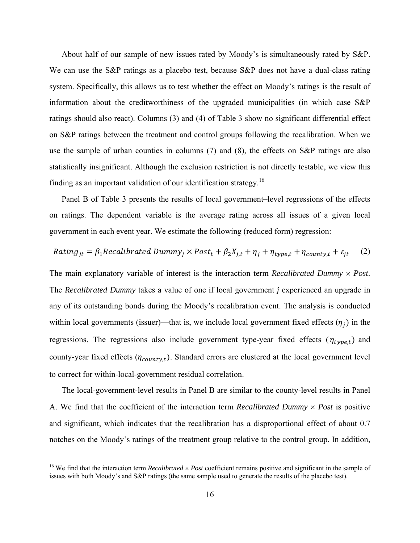About half of our sample of new issues rated by Moody's is simultaneously rated by S&P. We can use the S&P ratings as a placebo test, because S&P does not have a dual-class rating system. Specifically, this allows us to test whether the effect on Moody's ratings is the result of information about the creditworthiness of the upgraded municipalities (in which case S&P ratings should also react). Columns (3) and (4) of Table 3 show no significant differential effect on S&P ratings between the treatment and control groups following the recalibration. When we use the sample of urban counties in columns (7) and (8), the effects on S&P ratings are also statistically insignificant. Although the exclusion restriction is not directly testable, we view this finding as an important validation of our identification strategy.16

Panel B of Table 3 presents the results of local government–level regressions of the effects on ratings. The dependent variable is the average rating across all issues of a given local government in each event year. We estimate the following (reduced form) regression:

$$
Rating_{jt} = \beta_1 Recalibrated\ Dumm y_j \times Post_t + \beta_2 X_{j,t} + \eta_j + \eta_{type,t} + \eta_{count y,t} + \varepsilon_{jt}
$$
 (2)

The main explanatory variable of interest is the interaction term *Recalibrated Dummy Post*. The *Recalibrated Dummy* takes a value of one if local government *j* experienced an upgrade in any of its outstanding bonds during the Moody's recalibration event. The analysis is conducted within local governments (issuer)—that is, we include local government fixed effects  $(\eta_i)$  in the regressions. The regressions also include government type-year fixed effects  $(\eta_{type,t})$  and county-year fixed effects ( $\eta_{county,t}$ ). Standard errors are clustered at the local government level to correct for within-local-government residual correlation.

The local-government-level results in Panel B are similar to the county-level results in Panel A. We find that the coefficient of the interaction term *Recalibrated Dummy Post* is positive and significant, which indicates that the recalibration has a disproportional effect of about 0.7 notches on the Moody's ratings of the treatment group relative to the control group. In addition,

<sup>&</sup>lt;sup>16</sup> We find that the interaction term *Recalibrated*  $\times$  *Post* coefficient remains positive and significant in the sample of issues with both Moody's and S&P ratings (the same sample used to generate the results of the placebo test).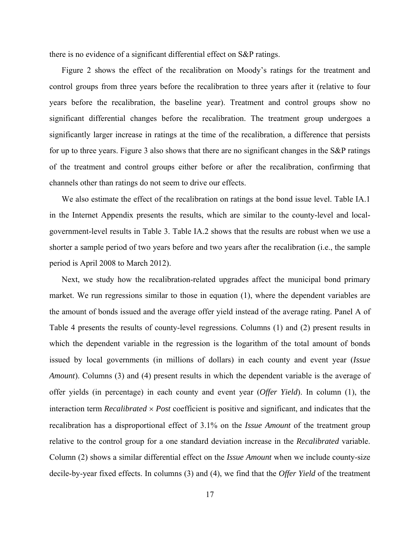there is no evidence of a significant differential effect on S&P ratings.

Figure 2 shows the effect of the recalibration on Moody's ratings for the treatment and control groups from three years before the recalibration to three years after it (relative to four years before the recalibration, the baseline year). Treatment and control groups show no significant differential changes before the recalibration. The treatment group undergoes a significantly larger increase in ratings at the time of the recalibration, a difference that persists for up to three years. Figure 3 also shows that there are no significant changes in the S&P ratings of the treatment and control groups either before or after the recalibration, confirming that channels other than ratings do not seem to drive our effects.

We also estimate the effect of the recalibration on ratings at the bond issue level. Table IA.1 in the Internet Appendix presents the results, which are similar to the county-level and localgovernment-level results in Table 3. Table IA.2 shows that the results are robust when we use a shorter a sample period of two years before and two years after the recalibration (i.e., the sample period is April 2008 to March 2012).

Next, we study how the recalibration-related upgrades affect the municipal bond primary market. We run regressions similar to those in equation (1), where the dependent variables are the amount of bonds issued and the average offer yield instead of the average rating. Panel A of Table 4 presents the results of county-level regressions. Columns (1) and (2) present results in which the dependent variable in the regression is the logarithm of the total amount of bonds issued by local governments (in millions of dollars) in each county and event year (*Issue Amount*). Columns (3) and (4) present results in which the dependent variable is the average of offer yields (in percentage) in each county and event year (*Offer Yield*). In column (1), the interaction term *Recalibrated*  $\times$  *Post* coefficient is positive and significant, and indicates that the recalibration has a disproportional effect of 3.1% on the *Issue Amount* of the treatment group relative to the control group for a one standard deviation increase in the *Recalibrated* variable. Column (2) shows a similar differential effect on the *Issue Amount* when we include county-size decile-by-year fixed effects. In columns (3) and (4), we find that the *Offer Yield* of the treatment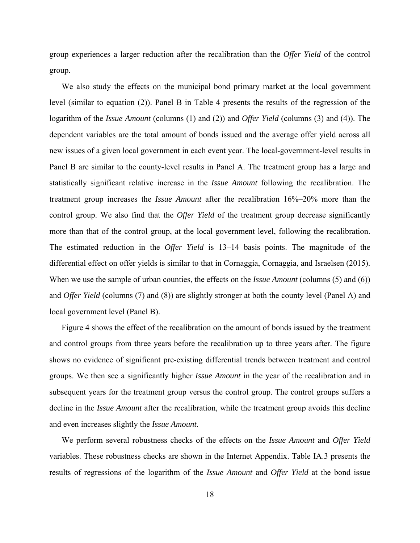group experiences a larger reduction after the recalibration than the *Offer Yield* of the control group.

We also study the effects on the municipal bond primary market at the local government level (similar to equation (2)). Panel B in Table 4 presents the results of the regression of the logarithm of the *Issue Amount* (columns (1) and (2)) and *Offer Yield* (columns (3) and (4)). The dependent variables are the total amount of bonds issued and the average offer yield across all new issues of a given local government in each event year. The local-government-level results in Panel B are similar to the county-level results in Panel A. The treatment group has a large and statistically significant relative increase in the *Issue Amount* following the recalibration. The treatment group increases the *Issue Amount* after the recalibration 16%–20% more than the control group. We also find that the *Offer Yield* of the treatment group decrease significantly more than that of the control group, at the local government level, following the recalibration. The estimated reduction in the *Offer Yield* is 13–14 basis points. The magnitude of the differential effect on offer yields is similar to that in Cornaggia, Cornaggia, and Israelsen (2015). When we use the sample of urban counties, the effects on the *Issue Amount* (columns (5) and (6)) and *Offer Yield* (columns (7) and (8)) are slightly stronger at both the county level (Panel A) and local government level (Panel B).

Figure 4 shows the effect of the recalibration on the amount of bonds issued by the treatment and control groups from three years before the recalibration up to three years after. The figure shows no evidence of significant pre-existing differential trends between treatment and control groups. We then see a significantly higher *Issue Amount* in the year of the recalibration and in subsequent years for the treatment group versus the control group. The control groups suffers a decline in the *Issue Amount* after the recalibration, while the treatment group avoids this decline and even increases slightly the *Issue Amount*.

We perform several robustness checks of the effects on the *Issue Amount* and *Offer Yield* variables. These robustness checks are shown in the Internet Appendix. Table IA.3 presents the results of regressions of the logarithm of the *Issue Amount* and *Offer Yield* at the bond issue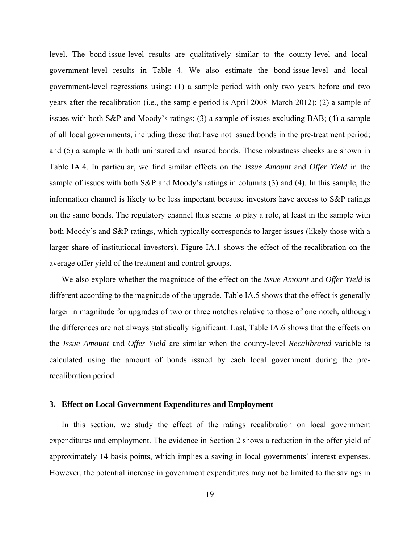level. The bond-issue-level results are qualitatively similar to the county-level and localgovernment-level results in Table 4. We also estimate the bond-issue-level and localgovernment-level regressions using: (1) a sample period with only two years before and two years after the recalibration (i.e., the sample period is April 2008–March 2012); (2) a sample of issues with both S&P and Moody's ratings; (3) a sample of issues excluding BAB; (4) a sample of all local governments, including those that have not issued bonds in the pre-treatment period; and (5) a sample with both uninsured and insured bonds. These robustness checks are shown in Table IA.4. In particular, we find similar effects on the *Issue Amount* and *Offer Yield* in the sample of issues with both S&P and Moody's ratings in columns (3) and (4). In this sample, the information channel is likely to be less important because investors have access to S&P ratings on the same bonds. The regulatory channel thus seems to play a role, at least in the sample with both Moody's and S&P ratings, which typically corresponds to larger issues (likely those with a larger share of institutional investors). Figure IA.1 shows the effect of the recalibration on the average offer yield of the treatment and control groups.

We also explore whether the magnitude of the effect on the *Issue Amount* and *Offer Yield* is different according to the magnitude of the upgrade. Table IA.5 shows that the effect is generally larger in magnitude for upgrades of two or three notches relative to those of one notch, although the differences are not always statistically significant. Last, Table IA.6 shows that the effects on the *Issue Amount* and *Offer Yield* are similar when the county-level *Recalibrated* variable is calculated using the amount of bonds issued by each local government during the prerecalibration period.

#### **3. Effect on Local Government Expenditures and Employment**

In this section, we study the effect of the ratings recalibration on local government expenditures and employment. The evidence in Section 2 shows a reduction in the offer yield of approximately 14 basis points, which implies a saving in local governments' interest expenses. However, the potential increase in government expenditures may not be limited to the savings in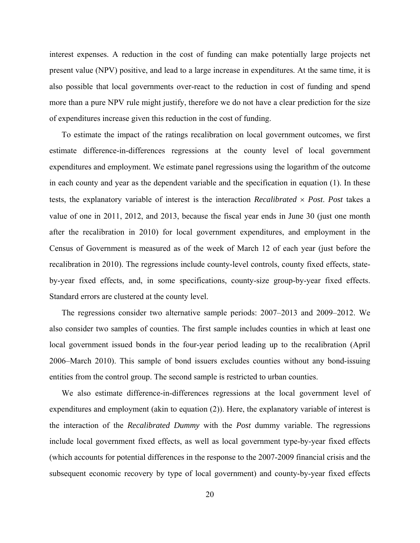interest expenses. A reduction in the cost of funding can make potentially large projects net present value (NPV) positive, and lead to a large increase in expenditures. At the same time, it is also possible that local governments over-react to the reduction in cost of funding and spend more than a pure NPV rule might justify, therefore we do not have a clear prediction for the size of expenditures increase given this reduction in the cost of funding.

To estimate the impact of the ratings recalibration on local government outcomes, we first estimate difference-in-differences regressions at the county level of local government expenditures and employment. We estimate panel regressions using the logarithm of the outcome in each county and year as the dependent variable and the specification in equation (1). In these tests, the explanatory variable of interest is the interaction *Recalibrated Post*. *Post* takes a value of one in 2011, 2012, and 2013, because the fiscal year ends in June 30 (just one month after the recalibration in 2010) for local government expenditures, and employment in the Census of Government is measured as of the week of March 12 of each year (just before the recalibration in 2010). The regressions include county-level controls, county fixed effects, stateby-year fixed effects, and, in some specifications, county-size group-by-year fixed effects. Standard errors are clustered at the county level.

The regressions consider two alternative sample periods: 2007–2013 and 2009–2012. We also consider two samples of counties. The first sample includes counties in which at least one local government issued bonds in the four-year period leading up to the recalibration (April 2006–March 2010). This sample of bond issuers excludes counties without any bond-issuing entities from the control group. The second sample is restricted to urban counties.

We also estimate difference-in-differences regressions at the local government level of expenditures and employment (akin to equation (2)). Here, the explanatory variable of interest is the interaction of the *Recalibrated Dummy* with the *Post* dummy variable. The regressions include local government fixed effects, as well as local government type-by-year fixed effects (which accounts for potential differences in the response to the 2007-2009 financial crisis and the subsequent economic recovery by type of local government) and county-by-year fixed effects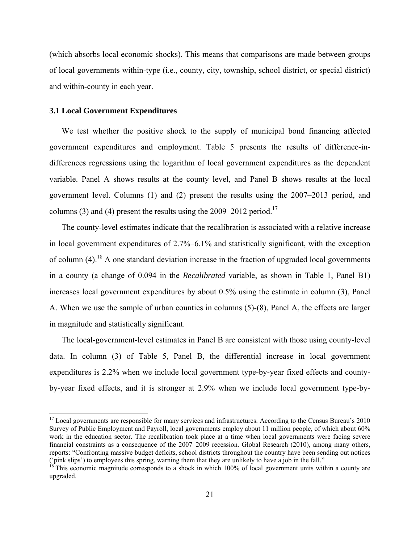(which absorbs local economic shocks). This means that comparisons are made between groups of local governments within-type (i.e., county, city, township, school district, or special district) and within-county in each year.

# **3.1 Local Government Expenditures**

 

We test whether the positive shock to the supply of municipal bond financing affected government expenditures and employment. Table 5 presents the results of difference-indifferences regressions using the logarithm of local government expenditures as the dependent variable. Panel A shows results at the county level, and Panel B shows results at the local government level. Columns (1) and (2) present the results using the 2007–2013 period, and columns (3) and (4) present the results using the  $2009-2012$  period.<sup>17</sup>

The county-level estimates indicate that the recalibration is associated with a relative increase in local government expenditures of 2.7%–6.1% and statistically significant, with the exception of column  $(4)$ .<sup>18</sup> A one standard deviation increase in the fraction of upgraded local governments in a county (a change of 0.094 in the *Recalibrated* variable, as shown in Table 1, Panel B1) increases local government expenditures by about 0.5% using the estimate in column (3), Panel A. When we use the sample of urban counties in columns (5)-(8), Panel A, the effects are larger in magnitude and statistically significant.

The local-government-level estimates in Panel B are consistent with those using county-level data. In column (3) of Table 5, Panel B, the differential increase in local government expenditures is 2.2% when we include local government type-by-year fixed effects and countyby-year fixed effects, and it is stronger at 2.9% when we include local government type-by-

 $17$  Local governments are responsible for many services and infrastructures. According to the Census Bureau's 2010 Survey of Public Employment and Payroll, local governments employ about 11 million people, of which about 60% work in the education sector. The recalibration took place at a time when local governments were facing severe financial constraints as a consequence of the 2007–2009 recession. Global Research (2010), among many others, reports: "Confronting massive budget deficits, school districts throughout the country have been sending out notices ('pink slips') to employees this spring, warning them that they are unlikely to have a job in the fall."

<sup>18</sup> This economic magnitude corresponds to a shock in which 100% of local government units within a county are upgraded.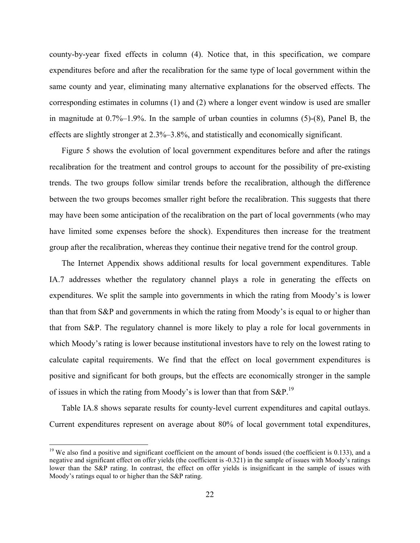county-by-year fixed effects in column (4). Notice that, in this specification, we compare expenditures before and after the recalibration for the same type of local government within the same county and year, eliminating many alternative explanations for the observed effects. The corresponding estimates in columns (1) and (2) where a longer event window is used are smaller in magnitude at 0.7%–1.9%. In the sample of urban counties in columns (5)-(8), Panel B, the effects are slightly stronger at 2.3%–3.8%, and statistically and economically significant.

Figure 5 shows the evolution of local government expenditures before and after the ratings recalibration for the treatment and control groups to account for the possibility of pre-existing trends. The two groups follow similar trends before the recalibration, although the difference between the two groups becomes smaller right before the recalibration. This suggests that there may have been some anticipation of the recalibration on the part of local governments (who may have limited some expenses before the shock). Expenditures then increase for the treatment group after the recalibration, whereas they continue their negative trend for the control group.

The Internet Appendix shows additional results for local government expenditures. Table IA.7 addresses whether the regulatory channel plays a role in generating the effects on expenditures. We split the sample into governments in which the rating from Moody's is lower than that from S&P and governments in which the rating from Moody's is equal to or higher than that from S&P. The regulatory channel is more likely to play a role for local governments in which Moody's rating is lower because institutional investors have to rely on the lowest rating to calculate capital requirements. We find that the effect on local government expenditures is positive and significant for both groups, but the effects are economically stronger in the sample of issues in which the rating from Moody's is lower than that from  $S\&P$ <sup>19</sup>

Table IA.8 shows separate results for county-level current expenditures and capital outlays. Current expenditures represent on average about 80% of local government total expenditures,

<sup>&</sup>lt;sup>19</sup> We also find a positive and significant coefficient on the amount of bonds issued (the coefficient is 0.133), and a negative and significant effect on offer yields (the coefficient is -0.321) in the sample of issues with Moody's ratings lower than the S&P rating. In contrast, the effect on offer yields is insignificant in the sample of issues with Moody's ratings equal to or higher than the S&P rating.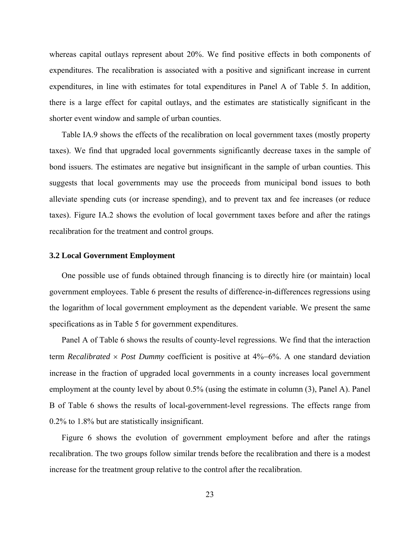whereas capital outlays represent about 20%. We find positive effects in both components of expenditures. The recalibration is associated with a positive and significant increase in current expenditures, in line with estimates for total expenditures in Panel A of Table 5. In addition, there is a large effect for capital outlays, and the estimates are statistically significant in the shorter event window and sample of urban counties.

Table IA.9 shows the effects of the recalibration on local government taxes (mostly property taxes). We find that upgraded local governments significantly decrease taxes in the sample of bond issuers. The estimates are negative but insignificant in the sample of urban counties. This suggests that local governments may use the proceeds from municipal bond issues to both alleviate spending cuts (or increase spending), and to prevent tax and fee increases (or reduce taxes). Figure IA.2 shows the evolution of local government taxes before and after the ratings recalibration for the treatment and control groups.

#### **3.2 Local Government Employment**

One possible use of funds obtained through financing is to directly hire (or maintain) local government employees. Table 6 present the results of difference-in-differences regressions using the logarithm of local government employment as the dependent variable. We present the same specifications as in Table 5 for government expenditures.

Panel A of Table 6 shows the results of county-level regressions. We find that the interaction term *Recalibrated*  $\times$  *Post Dummy* coefficient is positive at 4%–6%. A one standard deviation increase in the fraction of upgraded local governments in a county increases local government employment at the county level by about 0.5% (using the estimate in column (3), Panel A). Panel B of Table 6 shows the results of local-government-level regressions. The effects range from 0.2% to 1.8% but are statistically insignificant.

Figure 6 shows the evolution of government employment before and after the ratings recalibration. The two groups follow similar trends before the recalibration and there is a modest increase for the treatment group relative to the control after the recalibration.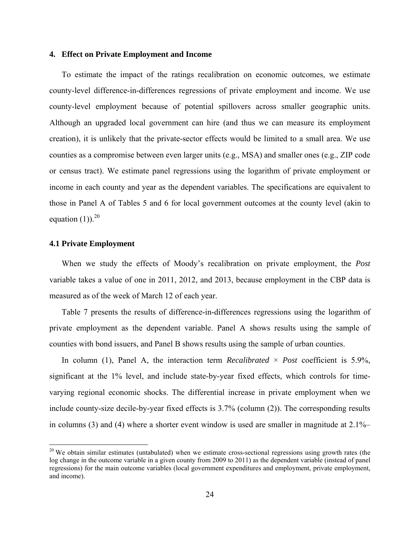# **4. Effect on Private Employment and Income**

To estimate the impact of the ratings recalibration on economic outcomes, we estimate county-level difference-in-differences regressions of private employment and income. We use county-level employment because of potential spillovers across smaller geographic units. Although an upgraded local government can hire (and thus we can measure its employment creation), it is unlikely that the private-sector effects would be limited to a small area. We use counties as a compromise between even larger units (e.g., MSA) and smaller ones (e.g., ZIP code or census tract). We estimate panel regressions using the logarithm of private employment or income in each county and year as the dependent variables. The specifications are equivalent to those in Panel A of Tables 5 and 6 for local government outcomes at the county level (akin to equation  $(1)$ ).<sup>20</sup>

## **4.1 Private Employment**

 

When we study the effects of Moody's recalibration on private employment, the *Post* variable takes a value of one in 2011, 2012, and 2013, because employment in the CBP data is measured as of the week of March 12 of each year.

Table 7 presents the results of difference-in-differences regressions using the logarithm of private employment as the dependent variable. Panel A shows results using the sample of counties with bond issuers, and Panel B shows results using the sample of urban counties.

In column (1), Panel A, the interaction term *Recalibrated* × *Post* coefficient is 5.9%, significant at the 1% level, and include state-by-year fixed effects, which controls for timevarying regional economic shocks. The differential increase in private employment when we include county-size decile-by-year fixed effects is 3.7% (column (2)). The corresponding results in columns (3) and (4) where a shorter event window is used are smaller in magnitude at 2.1%–

 $20$  We obtain similar estimates (untabulated) when we estimate cross-sectional regressions using growth rates (the log change in the outcome variable in a given county from 2009 to 2011) as the dependent variable (instead of panel regressions) for the main outcome variables (local government expenditures and employment, private employment, and income).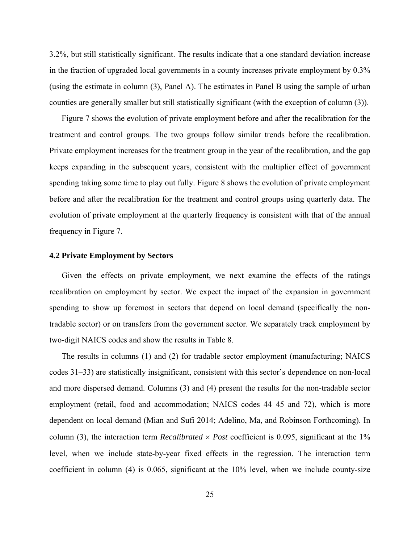3.2%, but still statistically significant. The results indicate that a one standard deviation increase in the fraction of upgraded local governments in a county increases private employment by 0.3% (using the estimate in column (3), Panel A). The estimates in Panel B using the sample of urban counties are generally smaller but still statistically significant (with the exception of column (3)).

Figure 7 shows the evolution of private employment before and after the recalibration for the treatment and control groups. The two groups follow similar trends before the recalibration. Private employment increases for the treatment group in the year of the recalibration, and the gap keeps expanding in the subsequent years, consistent with the multiplier effect of government spending taking some time to play out fully. Figure 8 shows the evolution of private employment before and after the recalibration for the treatment and control groups using quarterly data. The evolution of private employment at the quarterly frequency is consistent with that of the annual frequency in Figure 7.

#### **4.2 Private Employment by Sectors**

Given the effects on private employment, we next examine the effects of the ratings recalibration on employment by sector. We expect the impact of the expansion in government spending to show up foremost in sectors that depend on local demand (specifically the nontradable sector) or on transfers from the government sector. We separately track employment by two-digit NAICS codes and show the results in Table 8.

The results in columns (1) and (2) for tradable sector employment (manufacturing; NAICS codes 31–33) are statistically insignificant, consistent with this sector's dependence on non-local and more dispersed demand. Columns (3) and (4) present the results for the non-tradable sector employment (retail, food and accommodation; NAICS codes 44–45 and 72), which is more dependent on local demand (Mian and Sufi 2014; Adelino, Ma, and Robinson Forthcoming). In column (3), the interaction term *Recalibrated*  $\times$  *Post* coefficient is 0.095, significant at the 1% level, when we include state-by-year fixed effects in the regression. The interaction term coefficient in column (4) is 0.065, significant at the 10% level, when we include county-size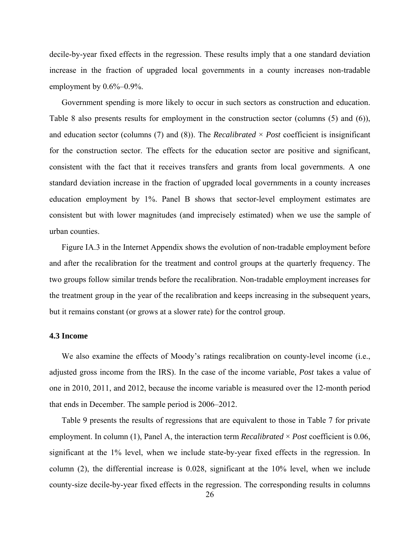decile-by-year fixed effects in the regression. These results imply that a one standard deviation increase in the fraction of upgraded local governments in a county increases non-tradable employment by  $0.6\%$ –0.9%.

Government spending is more likely to occur in such sectors as construction and education. Table 8 also presents results for employment in the construction sector (columns (5) and (6)), and education sector (columns  $(7)$  and  $(8)$ ). The *Recalibrated*  $\times$  *Post* coefficient is insignificant for the construction sector. The effects for the education sector are positive and significant, consistent with the fact that it receives transfers and grants from local governments. A one standard deviation increase in the fraction of upgraded local governments in a county increases education employment by 1%. Panel B shows that sector-level employment estimates are consistent but with lower magnitudes (and imprecisely estimated) when we use the sample of urban counties.

Figure IA.3 in the Internet Appendix shows the evolution of non-tradable employment before and after the recalibration for the treatment and control groups at the quarterly frequency. The two groups follow similar trends before the recalibration. Non-tradable employment increases for the treatment group in the year of the recalibration and keeps increasing in the subsequent years, but it remains constant (or grows at a slower rate) for the control group.

# **4.3 Income**

We also examine the effects of Moody's ratings recalibration on county-level income (i.e., adjusted gross income from the IRS). In the case of the income variable, *Post* takes a value of one in 2010, 2011, and 2012, because the income variable is measured over the 12-month period that ends in December. The sample period is 2006–2012.

Table 9 presents the results of regressions that are equivalent to those in Table 7 for private employment. In column (1), Panel A, the interaction term *Recalibrated* × *Post* coefficient is 0.06, significant at the 1% level, when we include state-by-year fixed effects in the regression. In column (2), the differential increase is 0.028, significant at the 10% level, when we include county-size decile-by-year fixed effects in the regression. The corresponding results in columns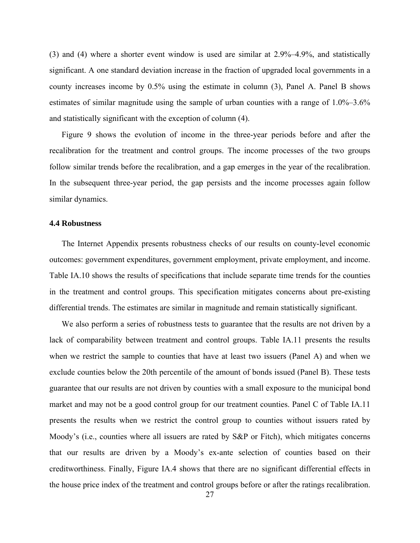(3) and (4) where a shorter event window is used are similar at 2.9%–4.9%, and statistically significant. A one standard deviation increase in the fraction of upgraded local governments in a county increases income by 0.5% using the estimate in column (3), Panel A. Panel B shows estimates of similar magnitude using the sample of urban counties with a range of 1.0%–3.6% and statistically significant with the exception of column (4).

Figure 9 shows the evolution of income in the three-year periods before and after the recalibration for the treatment and control groups. The income processes of the two groups follow similar trends before the recalibration, and a gap emerges in the year of the recalibration. In the subsequent three-year period, the gap persists and the income processes again follow similar dynamics.

# **4.4 Robustness**

The Internet Appendix presents robustness checks of our results on county-level economic outcomes: government expenditures, government employment, private employment, and income. Table IA.10 shows the results of specifications that include separate time trends for the counties in the treatment and control groups. This specification mitigates concerns about pre-existing differential trends. The estimates are similar in magnitude and remain statistically significant.

We also perform a series of robustness tests to guarantee that the results are not driven by a lack of comparability between treatment and control groups. Table IA.11 presents the results when we restrict the sample to counties that have at least two issuers (Panel A) and when we exclude counties below the 20th percentile of the amount of bonds issued (Panel B). These tests guarantee that our results are not driven by counties with a small exposure to the municipal bond market and may not be a good control group for our treatment counties. Panel C of Table IA.11 presents the results when we restrict the control group to counties without issuers rated by Moody's (i.e., counties where all issuers are rated by S&P or Fitch), which mitigates concerns that our results are driven by a Moody's ex-ante selection of counties based on their creditworthiness. Finally, Figure IA.4 shows that there are no significant differential effects in the house price index of the treatment and control groups before or after the ratings recalibration.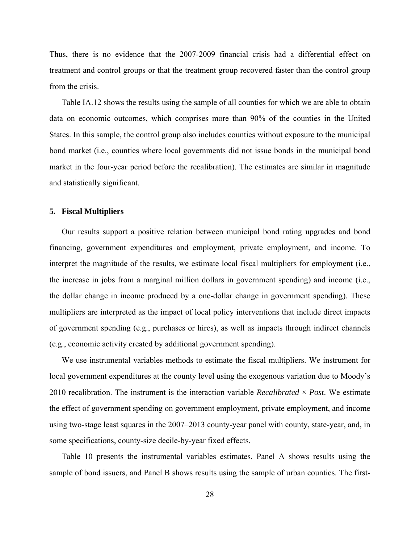Thus, there is no evidence that the 2007-2009 financial crisis had a differential effect on treatment and control groups or that the treatment group recovered faster than the control group from the crisis.

Table IA.12 shows the results using the sample of all counties for which we are able to obtain data on economic outcomes, which comprises more than 90% of the counties in the United States. In this sample, the control group also includes counties without exposure to the municipal bond market (i.e., counties where local governments did not issue bonds in the municipal bond market in the four-year period before the recalibration). The estimates are similar in magnitude and statistically significant.

# **5. Fiscal Multipliers**

Our results support a positive relation between municipal bond rating upgrades and bond financing, government expenditures and employment, private employment, and income. To interpret the magnitude of the results, we estimate local fiscal multipliers for employment (i.e., the increase in jobs from a marginal million dollars in government spending) and income (i.e., the dollar change in income produced by a one-dollar change in government spending). These multipliers are interpreted as the impact of local policy interventions that include direct impacts of government spending (e.g., purchases or hires), as well as impacts through indirect channels (e.g., economic activity created by additional government spending).

We use instrumental variables methods to estimate the fiscal multipliers. We instrument for local government expenditures at the county level using the exogenous variation due to Moody's 2010 recalibration. The instrument is the interaction variable *Recalibrated*  $\times$  *Post*. We estimate the effect of government spending on government employment, private employment, and income using two-stage least squares in the 2007–2013 county-year panel with county, state-year, and, in some specifications, county-size decile-by-year fixed effects.

Table 10 presents the instrumental variables estimates. Panel A shows results using the sample of bond issuers, and Panel B shows results using the sample of urban counties. The first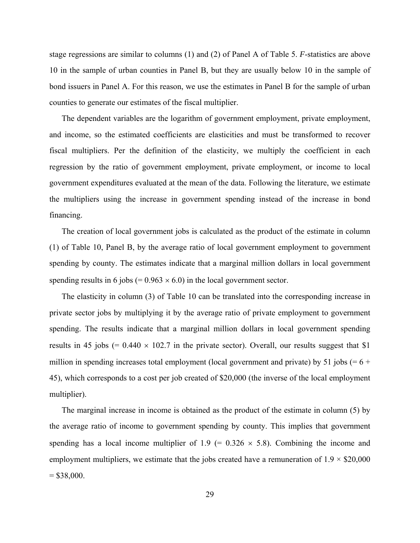stage regressions are similar to columns (1) and (2) of Panel A of Table 5. *F*-statistics are above 10 in the sample of urban counties in Panel B, but they are usually below 10 in the sample of bond issuers in Panel A. For this reason, we use the estimates in Panel B for the sample of urban counties to generate our estimates of the fiscal multiplier.

The dependent variables are the logarithm of government employment, private employment, and income, so the estimated coefficients are elasticities and must be transformed to recover fiscal multipliers. Per the definition of the elasticity, we multiply the coefficient in each regression by the ratio of government employment, private employment, or income to local government expenditures evaluated at the mean of the data. Following the literature, we estimate the multipliers using the increase in government spending instead of the increase in bond financing.

The creation of local government jobs is calculated as the product of the estimate in column (1) of Table 10, Panel B, by the average ratio of local government employment to government spending by county. The estimates indicate that a marginal million dollars in local government spending results in 6 jobs (=  $0.963 \times 6.0$ ) in the local government sector.

The elasticity in column (3) of Table 10 can be translated into the corresponding increase in private sector jobs by multiplying it by the average ratio of private employment to government spending. The results indicate that a marginal million dollars in local government spending results in 45 jobs (=  $0.440 \times 102.7$  in the private sector). Overall, our results suggest that \$1 million in spending increases total employment (local government and private) by 51 jobs  $(= 6 +$ 45), which corresponds to a cost per job created of \$20,000 (the inverse of the local employment multiplier).

The marginal increase in income is obtained as the product of the estimate in column (5) by the average ratio of income to government spending by county. This implies that government spending has a local income multiplier of 1.9 (=  $0.326 \times 5.8$ ). Combining the income and employment multipliers, we estimate that the jobs created have a remuneration of  $1.9 \times$  \$20,000  $= $38,000.$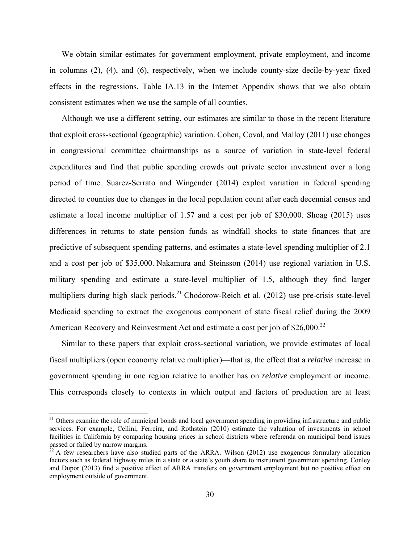We obtain similar estimates for government employment, private employment, and income in columns (2), (4), and (6), respectively, when we include county-size decile-by-year fixed effects in the regressions. Table IA.13 in the Internet Appendix shows that we also obtain consistent estimates when we use the sample of all counties.

Although we use a different setting, our estimates are similar to those in the recent literature that exploit cross-sectional (geographic) variation. Cohen, Coval, and Malloy (2011) use changes in congressional committee chairmanships as a source of variation in state-level federal expenditures and find that public spending crowds out private sector investment over a long period of time. Suarez-Serrato and Wingender (2014) exploit variation in federal spending directed to counties due to changes in the local population count after each decennial census and estimate a local income multiplier of 1.57 and a cost per job of \$30,000. Shoag (2015) uses differences in returns to state pension funds as windfall shocks to state finances that are predictive of subsequent spending patterns, and estimates a state-level spending multiplier of 2.1 and a cost per job of \$35,000. Nakamura and Steinsson (2014) use regional variation in U.S. military spending and estimate a state-level multiplier of 1.5, although they find larger multipliers during high slack periods.<sup>21</sup> Chodorow-Reich et al.  $(2012)$  use pre-crisis state-level Medicaid spending to extract the exogenous component of state fiscal relief during the 2009 American Recovery and Reinvestment Act and estimate a cost per job of  $$26,000.<sup>22</sup>$ 

Similar to these papers that exploit cross-sectional variation, we provide estimates of local fiscal multipliers (open economy relative multiplier)—that is, the effect that a *relative* increase in government spending in one region relative to another has on *relative* employment or income. This corresponds closely to contexts in which output and factors of production are at least

 $21$  Others examine the role of municipal bonds and local government spending in providing infrastructure and public services. For example, Cellini, Ferreira, and Rothstein (2010) estimate the valuation of investments in school facilities in California by comparing housing prices in school districts where referenda on municipal bond issues passed or failed by narrow margins.

 $22$  A few researchers have also studied parts of the ARRA. Wilson (2012) use exogenous formulary allocation factors such as federal highway miles in a state or a state's youth share to instrument government spending. Conley and Dupor (2013) find a positive effect of ARRA transfers on government employment but no positive effect on employment outside of government.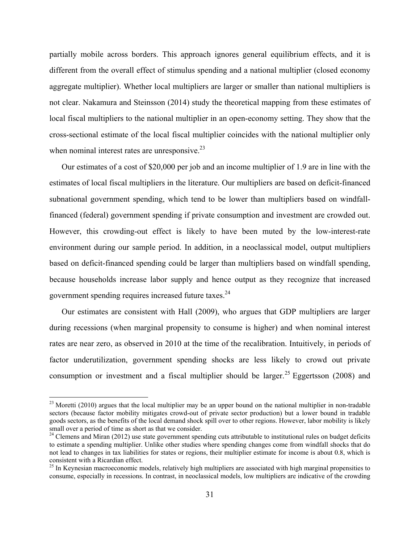partially mobile across borders. This approach ignores general equilibrium effects, and it is different from the overall effect of stimulus spending and a national multiplier (closed economy aggregate multiplier). Whether local multipliers are larger or smaller than national multipliers is not clear. Nakamura and Steinsson (2014) study the theoretical mapping from these estimates of local fiscal multipliers to the national multiplier in an open-economy setting. They show that the cross-sectional estimate of the local fiscal multiplier coincides with the national multiplier only when nominal interest rates are unresponsive. $23$ 

Our estimates of a cost of \$20,000 per job and an income multiplier of 1.9 are in line with the estimates of local fiscal multipliers in the literature. Our multipliers are based on deficit-financed subnational government spending, which tend to be lower than multipliers based on windfallfinanced (federal) government spending if private consumption and investment are crowded out. However, this crowding-out effect is likely to have been muted by the low-interest-rate environment during our sample period. In addition, in a neoclassical model, output multipliers based on deficit-financed spending could be larger than multipliers based on windfall spending, because households increase labor supply and hence output as they recognize that increased government spending requires increased future taxes.24

Our estimates are consistent with Hall (2009), who argues that GDP multipliers are larger during recessions (when marginal propensity to consume is higher) and when nominal interest rates are near zero, as observed in 2010 at the time of the recalibration. Intuitively, in periods of factor underutilization, government spending shocks are less likely to crowd out private consumption or investment and a fiscal multiplier should be larger.<sup>25</sup> Eggertsson (2008) and

 $^{23}$  Moretti (2010) argues that the local multiplier may be an upper bound on the national multiplier in non-tradable sectors (because factor mobility mitigates crowd-out of private sector production) but a lower bound in tradable goods sectors, as the benefits of the local demand shock spill over to other regions. However, labor mobility is likely small over a period of time as short as that we consider.

<sup>&</sup>lt;sup>24</sup> Clemens and Miran (2012) use state government spending cuts attributable to institutional rules on budget deficits to estimate a spending multiplier. Unlike other studies where spending changes come from windfall shocks that do not lead to changes in tax liabilities for states or regions, their multiplier estimate for income is about 0.8, which is consistent with a Ricardian effect.

 $25$  In Keynesian macroeconomic models, relatively high multipliers are associated with high marginal propensities to consume, especially in recessions. In contrast, in neoclassical models, low multipliers are indicative of the crowding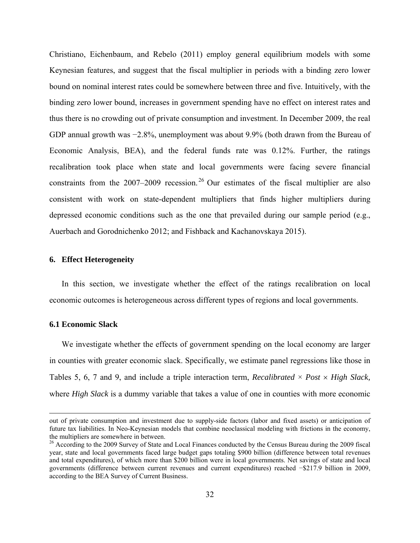Christiano, Eichenbaum, and Rebelo (2011) employ general equilibrium models with some Keynesian features, and suggest that the fiscal multiplier in periods with a binding zero lower bound on nominal interest rates could be somewhere between three and five. Intuitively, with the binding zero lower bound, increases in government spending have no effect on interest rates and thus there is no crowding out of private consumption and investment. In December 2009, the real GDP annual growth was −2.8%, unemployment was about 9.9% (both drawn from the Bureau of Economic Analysis, BEA), and the federal funds rate was 0.12%. Further, the ratings recalibration took place when state and local governments were facing severe financial constraints from the  $2007-2009$  recession.<sup>26</sup> Our estimates of the fiscal multiplier are also consistent with work on state-dependent multipliers that finds higher multipliers during depressed economic conditions such as the one that prevailed during our sample period (e.g., Auerbach and Gorodnichenko 2012; and Fishback and Kachanovskaya 2015).

# **6. Effect Heterogeneity**

In this section, we investigate whether the effect of the ratings recalibration on local economic outcomes is heterogeneous across different types of regions and local governments.

#### **6.1 Economic Slack**

We investigate whether the effects of government spending on the local economy are larger in counties with greater economic slack. Specifically, we estimate panel regressions like those in Tables 5, 6, 7 and 9, and include a triple interaction term, *Recalibrated*  $\times$  *Post*  $\times$  *High Slack,* where *High Slack* is a dummy variable that takes a value of one in counties with more economic

<u> 1989 - Andrea Santa Alemania, poeta esperanto-se esperanto-se esperanto-se esperanto-se esperanto-se esperan</u>

out of private consumption and investment due to supply-side factors (labor and fixed assets) or anticipation of future tax liabilities. In Neo-Keynesian models that combine neoclassical modeling with frictions in the economy, the multipliers are somewhere in between.

<sup>&</sup>lt;sup>26</sup> According to the 2009 Survey of State and Local Finances conducted by the Census Bureau during the 2009 fiscal year, state and local governments faced large budget gaps totaling \$900 billion (difference between total revenues and total expenditures), of which more than \$200 billion were in local governments. Net savings of state and local governments (difference between current revenues and current expenditures) reached −\$217.9 billion in 2009, according to the BEA Survey of Current Business.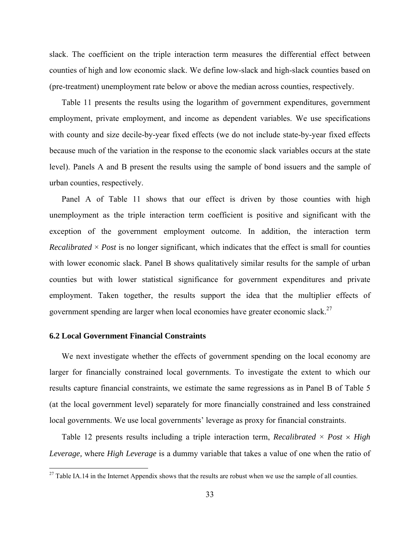slack. The coefficient on the triple interaction term measures the differential effect between counties of high and low economic slack. We define low-slack and high-slack counties based on (pre-treatment) unemployment rate below or above the median across counties, respectively.

Table 11 presents the results using the logarithm of government expenditures, government employment, private employment, and income as dependent variables. We use specifications with county and size decile-by-year fixed effects (we do not include state-by-year fixed effects because much of the variation in the response to the economic slack variables occurs at the state level). Panels A and B present the results using the sample of bond issuers and the sample of urban counties, respectively.

Panel A of Table 11 shows that our effect is driven by those counties with high unemployment as the triple interaction term coefficient is positive and significant with the exception of the government employment outcome. In addition, the interaction term *Recalibrated*  $\times$  *Post* is no longer significant, which indicates that the effect is small for counties with lower economic slack. Panel B shows qualitatively similar results for the sample of urban counties but with lower statistical significance for government expenditures and private employment. Taken together, the results support the idea that the multiplier effects of government spending are larger when local economies have greater economic slack.<sup>27</sup>

# **6.2 Local Government Financial Constraints**

 

We next investigate whether the effects of government spending on the local economy are larger for financially constrained local governments. To investigate the extent to which our results capture financial constraints, we estimate the same regressions as in Panel B of Table 5 (at the local government level) separately for more financially constrained and less constrained local governments. We use local governments' leverage as proxy for financial constraints.

Table 12 presents results including a triple interaction term, *Recalibrated*  $\times$  *Post*  $\times$  *High Leverage,* where *High Leverage* is a dummy variable that takes a value of one when the ratio of

<sup>&</sup>lt;sup>27</sup> Table IA.14 in the Internet Appendix shows that the results are robust when we use the sample of all counties.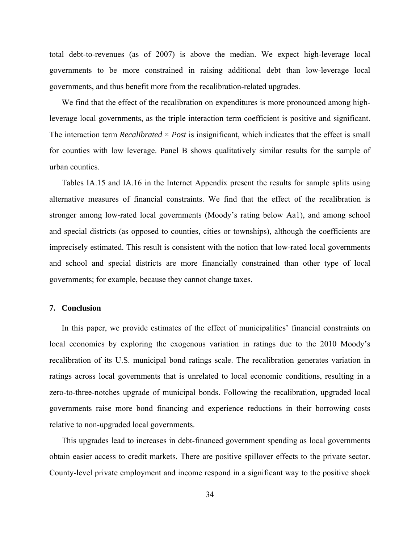total debt-to-revenues (as of 2007) is above the median. We expect high-leverage local governments to be more constrained in raising additional debt than low-leverage local governments, and thus benefit more from the recalibration-related upgrades.

We find that the effect of the recalibration on expenditures is more pronounced among highleverage local governments, as the triple interaction term coefficient is positive and significant. The interaction term *Recalibrated*  $\times$  *Post* is insignificant, which indicates that the effect is small for counties with low leverage. Panel B shows qualitatively similar results for the sample of urban counties.

Tables IA.15 and IA.16 in the Internet Appendix present the results for sample splits using alternative measures of financial constraints. We find that the effect of the recalibration is stronger among low-rated local governments (Moody's rating below Aa1), and among school and special districts (as opposed to counties, cities or townships), although the coefficients are imprecisely estimated. This result is consistent with the notion that low-rated local governments and school and special districts are more financially constrained than other type of local governments; for example, because they cannot change taxes.

# **7. Conclusion**

In this paper, we provide estimates of the effect of municipalities' financial constraints on local economies by exploring the exogenous variation in ratings due to the 2010 Moody's recalibration of its U.S. municipal bond ratings scale. The recalibration generates variation in ratings across local governments that is unrelated to local economic conditions, resulting in a zero-to-three-notches upgrade of municipal bonds. Following the recalibration, upgraded local governments raise more bond financing and experience reductions in their borrowing costs relative to non-upgraded local governments.

This upgrades lead to increases in debt-financed government spending as local governments obtain easier access to credit markets. There are positive spillover effects to the private sector. County-level private employment and income respond in a significant way to the positive shock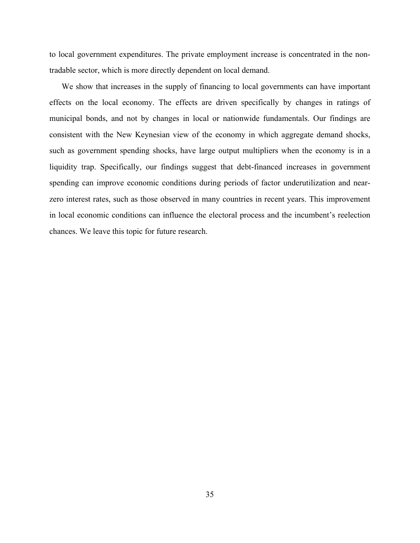to local government expenditures. The private employment increase is concentrated in the nontradable sector, which is more directly dependent on local demand.

We show that increases in the supply of financing to local governments can have important effects on the local economy. The effects are driven specifically by changes in ratings of municipal bonds, and not by changes in local or nationwide fundamentals. Our findings are consistent with the New Keynesian view of the economy in which aggregate demand shocks, such as government spending shocks, have large output multipliers when the economy is in a liquidity trap. Specifically, our findings suggest that debt-financed increases in government spending can improve economic conditions during periods of factor underutilization and nearzero interest rates, such as those observed in many countries in recent years. This improvement in local economic conditions can influence the electoral process and the incumbent's reelection chances. We leave this topic for future research.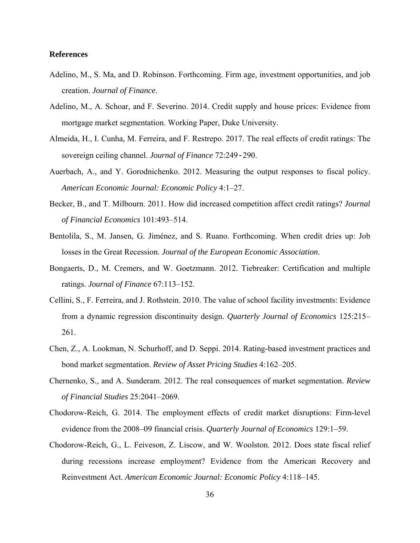## **References**

- Adelino, M., S. Ma, and D. Robinson. Forthcoming. Firm age, investment opportunities, and job creation. *Journal of Finance*.
- Adelino, M., A. Schoar, and F. Severino. 2014. Credit supply and house prices: Evidence from mortgage market segmentation. Working Paper, Duke University.
- Almeida, H., I. Cunha, M. Ferreira, and F. Restrepo. 2017. The real effects of credit ratings: The sovereign ceiling channel. *Journal of Finance* 72:249-290.
- Auerbach, A., and Y. Gorodnichenko. 2012. Measuring the output responses to fiscal policy. *American Economic Journal: Economic Policy* 4:1–27.
- Becker, B., and T. Milbourn. 2011. How did increased competition affect credit ratings? *Journal of Financial Economics* 101:493–514.
- Bentolila, S., M. Jansen, G. Jiménez, and S. Ruano. Forthcoming. When credit dries up: Job losses in the Great Recession. *Journal of the European Economic Association*.
- Bongaerts, D., M. Cremers, and W. Goetzmann. 2012. Tiebreaker: Certification and multiple ratings. *Journal of Finance* 67:113–152.
- Cellini, S., F. Ferreira, and J. Rothstein. 2010. The value of school facility investments: Evidence from a dynamic regression discontinuity design. *Quarterly Journal of Economics* 125:215– 261.
- Chen, Z., A. Lookman, N. Schurhoff, and D. Seppi. 2014. Rating-based investment practices and bond market segmentation. *Review of Asset Pricing Studies* 4:162–205.
- Chernenko, S., and A. Sunderam. 2012. The real consequences of market segmentation. *Review of Financial Studies* 25:2041–2069.
- Chodorow-Reich, G. 2014. The employment effects of credit market disruptions: Firm-level evidence from the 2008–09 financial crisis. *Quarterly Journal of Economics* 129:1–59.
- Chodorow-Reich, G., L. Feiveson, Z. Liscow, and W. Woolston. 2012. Does state fiscal relief during recessions increase employment? Evidence from the American Recovery and Reinvestment Act. *American Economic Journal: Economic Policy* 4:118–145.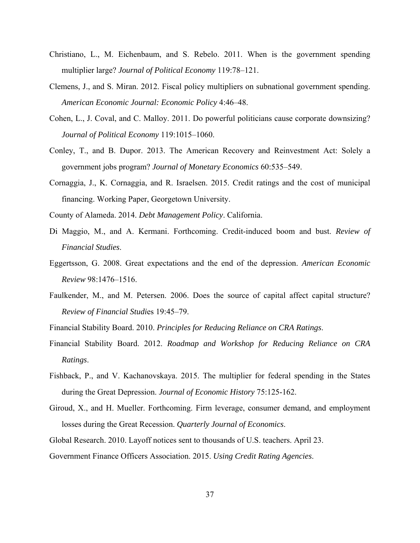- Christiano, L., M. Eichenbaum, and S. Rebelo. 2011. When is the government spending multiplier large? *Journal of Political Economy* 119:78–121.
- Clemens, J., and S. Miran. 2012. Fiscal policy multipliers on subnational government spending. *American Economic Journal: Economic Policy* 4:46–48.
- Cohen, L., J. Coval, and C. Malloy. 2011. Do powerful politicians cause corporate downsizing? *Journal of Political Economy* 119:1015–1060.
- Conley, T., and B. Dupor. 2013. The American Recovery and Reinvestment Act: Solely a government jobs program? *Journal of Monetary Economics* 60:535–549.
- Cornaggia, J., K. Cornaggia, and R. Israelsen. 2015. Credit ratings and the cost of municipal financing. Working Paper, Georgetown University.
- County of Alameda. 2014. *Debt Management Policy*. California.
- Di Maggio, M., and A. Kermani. Forthcoming. Credit-induced boom and bust. *Review of Financial Studies*.
- Eggertsson, G. 2008. Great expectations and the end of the depression. *American Economic Review* 98:1476–1516.
- Faulkender, M., and M. Petersen. 2006. Does the source of capital affect capital structure? *Review of Financial Studi*es 19:45–79.
- Financial Stability Board. 2010. *Principles for Reducing Reliance on CRA Ratings*.
- Financial Stability Board. 2012. *Roadmap and Workshop for Reducing Reliance on CRA Ratings*.
- Fishback, P., and V. Kachanovskaya. 2015. The multiplier for federal spending in the States during the Great Depression. *Journal of Economic History* 75:125-162.
- Giroud, X., and H. Mueller. Forthcoming. Firm leverage, consumer demand, and employment losses during the Great Recession. *Quarterly Journal of Economics*.
- Global Research. 2010. Layoff notices sent to thousands of U.S. teachers. April 23.
- Government Finance Officers Association. 2015. *Using Credit Rating Agencies*.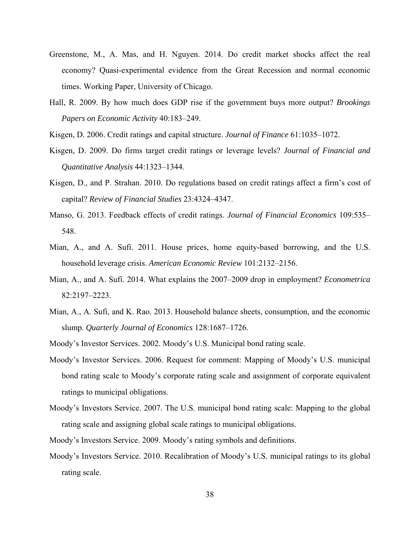- Greenstone, M., A. Mas, and H. Nguyen. 2014. Do credit market shocks affect the real economy? Quasi-experimental evidence from the Great Recession and normal economic times. Working Paper, University of Chicago.
- Hall, R. 2009. By how much does GDP rise if the government buys more output? *Brookings Papers on Economic Activity* 40:183–249.
- Kisgen, D. 2006. Credit ratings and capital structure. *Journal of Finance* 61:1035–1072.
- Kisgen, D. 2009. Do firms target credit ratings or leverage levels? *Journal of Financial and Quantitative Analysis* 44:1323–1344.
- Kisgen, D., and P. Strahan. 2010. Do regulations based on credit ratings affect a firm's cost of capital? *Review of Financial Studies* 23:4324–4347.
- Manso, G. 2013. Feedback effects of credit ratings. *Journal of Financial Economics* 109:535– 548.
- Mian, A., and A. Sufi. 2011. House prices, home equity-based borrowing, and the U.S. household leverage crisis. *American Economic Review* 101:2132–2156.
- Mian, A., and A. Sufi. 2014. What explains the 2007–2009 drop in employment? *Econometrica* 82:2197–2223.
- Mian, A., A. Sufi, and K. Rao. 2013. Household balance sheets, consumption, and the economic slump. *Quarterly Journal of Economics* 128:1687–1726.
- Moody's Investor Services. 2002. Moody's U.S. Municipal bond rating scale.
- Moody's Investor Services. 2006. Request for comment: Mapping of Moody's U.S. municipal bond rating scale to Moody's corporate rating scale and assignment of corporate equivalent ratings to municipal obligations.
- Moody's Investors Service. 2007. The U.S. municipal bond rating scale: Mapping to the global rating scale and assigning global scale ratings to municipal obligations.
- Moody's Investors Service. 2009. Moody's rating symbols and definitions.
- Moody's Investors Service. 2010. Recalibration of Moody's U.S. municipal ratings to its global rating scale.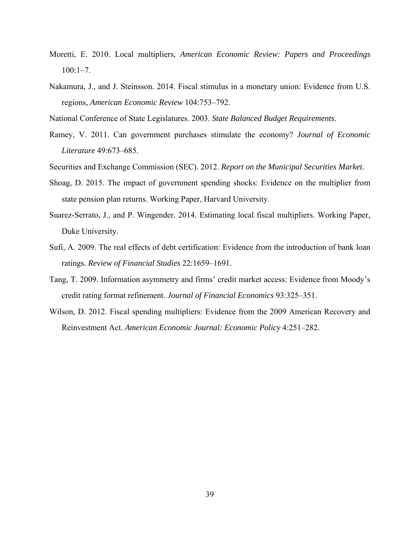- Moretti, E. 2010. Local multipliers, *American Economic Review: Papers and Proceedings*  $100:1-7$ .
- Nakamura, J., and J. Steinsson. 2014. Fiscal stimulus in a monetary union: Evidence from U.S. regions, *American Economic Review* 104:753–792.
- National Conference of State Legislatures. 2003. *State Balanced Budget Requirements*.
- Ramey, V. 2011. Can government purchases stimulate the economy? *Journal of Economic Literature* 49:673–685.
- Securities and Exchange Commission (SEC). 2012. *Report on the Municipal Securities Market*.
- Shoag, D. 2015. The impact of government spending shocks: Evidence on the multiplier from state pension plan returns. Working Paper, Harvard University.
- Suarez-Serrato, J., and P. Wingender. 2014. Estimating local fiscal multipliers. Working Paper, Duke University.
- Sufi, A. 2009. The real effects of debt certification: Evidence from the introduction of bank loan ratings. *Review of Financial Studies* 22:1659–1691.
- Tang, T. 2009. Information asymmetry and firms' credit market access: Evidence from Moody's credit rating format refinement. *Journal of Financial Economics* 93:325–351.
- Wilson, D. 2012. Fiscal spending multipliers: Evidence from the 2009 American Recovery and Reinvestment Act. *American Economic Journal: Economic Policy* 4:251–282.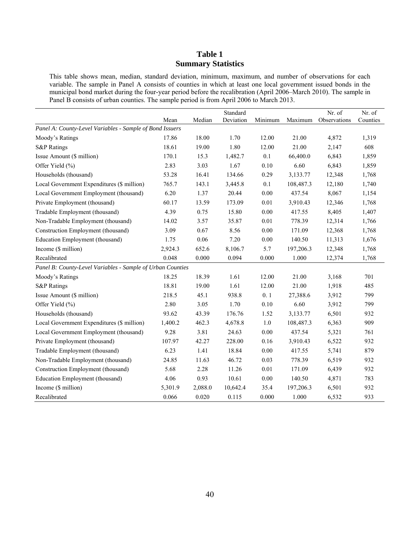# **Table 1 Summary Statistics**

This table shows mean, median, standard deviation, minimum, maximum, and number of observations for each variable. The sample in Panel A consists of counties in which at least one local government issued bonds in the municipal bond market during the four-year period before the recalibration (April 2006–March 2010). The sample in Panel B consists of urban counties. The sample period is from April 2006 to March 2013.

|                                                            | Mean    | Median  | Standard<br>Deviation | Minimum  | Maximum   | Nr. of<br>Observations | Nr. of<br>Counties |
|------------------------------------------------------------|---------|---------|-----------------------|----------|-----------|------------------------|--------------------|
| Panel A: County-Level Variables - Sample of Bond Issuers   |         |         |                       |          |           |                        |                    |
| Moody's Ratings                                            | 17.86   | 18.00   | 1.70                  | 12.00    | 21.00     | 4,872                  | 1,319              |
| <b>S&amp;P Ratings</b>                                     | 18.61   | 19.00   | 1.80                  | 12.00    | 21.00     | 2,147                  | 608                |
| Issue Amount (\$ million)                                  | 170.1   | 15.3    | 1,482.7               | 0.1      | 66,400.0  | 6,843                  | 1,859              |
| Offer Yield (%)                                            | 2.83    | 3.03    | 1.67                  | 0.10     | 6.60      | 6,843                  | 1,859              |
| Households (thousand)                                      | 53.28   | 16.41   | 134.66                | 0.29     | 3,133.77  | 12,348                 | 1,768              |
| Local Government Expenditures (\$ million)                 | 765.7   | 143.1   | 3,445.8               | 0.1      | 108,487.3 | 12,180                 | 1,740              |
| Local Government Employment (thousand)                     | 6.20    | 1.37    | 20.44                 | 0.00     | 437.54    | 8,067                  | 1,154              |
| Private Employment (thousand)                              | 60.17   | 13.59   | 173.09                | 0.01     | 3,910.43  | 12,346                 | 1,768              |
| Tradable Employment (thousand)                             | 4.39    | 0.75    | 15.80                 | 0.00     | 417.55    | 8,405                  | 1,407              |
| Non-Tradable Employment (thousand)                         | 14.02   | 3.57    | 35.87                 | $0.01\,$ | 778.39    | 12,314                 | 1,766              |
| Construction Employment (thousand)                         | 3.09    | 0.67    | 8.56                  | 0.00     | 171.09    | 12,368                 | 1,768              |
| Education Employment (thousand)                            | 1.75    | 0.06    | 7.20                  | 0.00     | 140.50    | 11,313                 | 1,676              |
| Income (\$ million)                                        | 2,924.3 | 652.6   | 8,106.7               | 5.7      | 197,206.3 | 12,348                 | 1,768              |
| Recalibrated                                               | 0.048   | 0.000   | 0.094                 | 0.000    | 1.000     | 12,374                 | 1,768              |
| Panel B: County-Level Variables - Sample of Urban Counties |         |         |                       |          |           |                        |                    |
| Moody's Ratings                                            | 18.25   | 18.39   | 1.61                  | 12.00    | 21.00     | 3,168                  | 701                |
| <b>S&amp;P Ratings</b>                                     | 18.81   | 19.00   | 1.61                  | 12.00    | 21.00     | 1,918                  | 485                |
| Issue Amount (\$ million)                                  | 218.5   | 45.1    | 938.8                 | 0.1      | 27,388.6  | 3,912                  | 799                |
| Offer Yield (%)                                            | 2.80    | 3.05    | 1.70                  | 0.10     | 6.60      | 3,912                  | 799                |
| Households (thousand)                                      | 93.62   | 43.39   | 176.76                | 1.52     | 3,133.77  | 6,501                  | 932                |
| Local Government Expenditures (\$ million)                 | 1,400.2 | 462.3   | 4,678.8               | $1.0\,$  | 108,487.3 | 6,363                  | 909                |
| Local Government Employment (thousand)                     | 9.28    | 3.81    | 24.63                 | 0.00     | 437.54    | 5,321                  | 761                |
| Private Employment (thousand)                              | 107.97  | 42.27   | 228.00                | 0.16     | 3,910.43  | 6,522                  | 932                |
| Tradable Employment (thousand)                             | 6.23    | 1.41    | 18.84                 | $0.00\,$ | 417.55    | 5,741                  | 879                |
| Non-Tradable Employment (thousand)                         | 24.85   | 11.63   | 46.72                 | 0.03     | 778.39    | 6,519                  | 932                |
| Construction Employment (thousand)                         | 5.68    | 2.28    | 11.26                 | 0.01     | 171.09    | 6,439                  | 932                |
| Education Employment (thousand)                            | 4.06    | 0.93    | 10.61                 | 0.00     | 140.50    | 4,871                  | 783                |
| Income (\$ million)                                        | 5,301.9 | 2,088.0 | 10,642.4              | 35.4     | 197,206.3 | 6,501                  | 932                |
| Recalibrated                                               | 0.066   | 0.020   | 0.115                 | 0.000    | 1.000     | 6,532                  | 933                |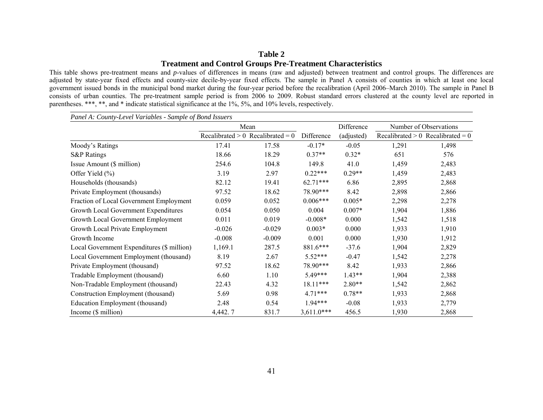### **Table 2 Treatment and Control Groups Pre-Treatment Characteristics**

This table shows pre-treatment means and *p*-values of differences in means (raw and adjusted) between treatment and control groups. The differences are adjusted by state-year fixed effects and county-size decile-by-year fixed effects. The sample in Panel A consists of counties in which at least one local government issued bonds in the municipal bond market during the four-year period before the recalibration (April 2006–March 2010). The sample in Panel B consists of urban counties. The pre-treatment sample period is from 2006 to 2009. Robust standard errors clustered at the county level are reported in parentheses. \*\*\*, \*\*, and \* indicate statistical significance at the 1%, 5%, and 10% levels, respectively.

|                                            |          | Mean                                |              | Difference |       | Number of Observations              |
|--------------------------------------------|----------|-------------------------------------|--------------|------------|-------|-------------------------------------|
|                                            |          | Recalibrated $> 0$ Recalibrated = 0 | Difference   | (adjusted) |       | Recalibrated $> 0$ Recalibrated = 0 |
| Moody's Ratings                            | 17.41    | 17.58                               | $-0.17*$     | $-0.05$    | 1,291 | 1,498                               |
| <b>S&amp;P</b> Ratings                     | 18.66    | 18.29                               | $0.37**$     | $0.32*$    | 651   | 576                                 |
| Issue Amount (\$ million)                  | 254.6    | 104.8                               | 149.8        | 41.0       | 1,459 | 2,483                               |
| Offer Yield (%)                            | 3.19     | 2.97                                | $0.22***$    | $0.29**$   | 1,459 | 2,483                               |
| Households (thousands)                     | 82.12    | 19.41                               | $62.71***$   | 6.86       | 2,895 | 2,868                               |
| Private Employment (thousands)             | 97.52    | 18.62                               | 78.90***     | 8.42       | 2,898 | 2,866                               |
| Fraction of Local Government Employment    | 0.059    | 0.052                               | $0.006***$   | $0.005*$   | 2,298 | 2,278                               |
| Growth Local Government Expenditures       | 0.054    | 0.050                               | 0.004        | $0.007*$   | 1,904 | 1,886                               |
| Growth Local Government Employment         | 0.011    | 0.019                               | $-0.008*$    | 0.000      | 1,542 | 1,518                               |
| Growth Local Private Employment            | $-0.026$ | $-0.029$                            | $0.003*$     | 0.000      | 1,933 | 1,910                               |
| Growth Income                              | $-0.008$ | $-0.009$                            | 0.001        | 0.000      | 1,930 | 1,912                               |
| Local Government Expenditures (\$ million) | 1,169.1  | 287.5                               | 881.6***     | $-37.6$    | 1,904 | 2,829                               |
| Local Government Employment (thousand)     | 8.19     | 2.67                                | $5.52***$    | $-0.47$    | 1,542 | 2,278                               |
| Private Employment (thousand)              | 97.52    | 18.62                               | 78.90***     | 8.42       | 1,933 | 2,866                               |
| Tradable Employment (thousand)             | 6.60     | 1.10                                | 5.49***      | $1.43**$   | 1,904 | 2,388                               |
| Non-Tradable Employment (thousand)         | 22.43    | 4.32                                | 18.11***     | $2.80**$   | 1,542 | 2,862                               |
| Construction Employment (thousand)         | 5.69     | 0.98                                | $4.71***$    | $0.78**$   | 1,933 | 2,868                               |
| Education Employment (thousand)            | 2.48     | 0.54                                | $1.94***$    | $-0.08$    | 1,933 | 2,779                               |
| Income (\$ million)                        | 4,442.7  | 831.7                               | $3,611.0***$ | 456.5      | 1,930 | 2,868                               |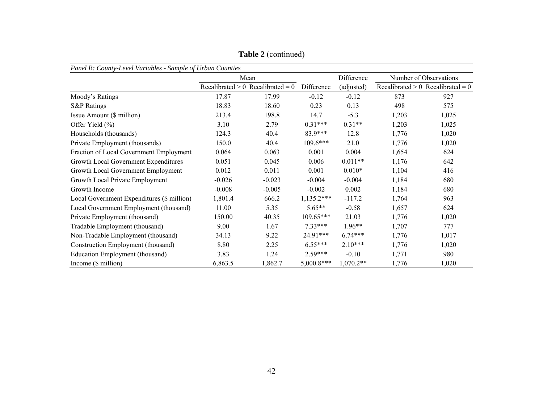|                                            | Panel B: County-Level Variables - Sample of Urban Counties |                                     |              |             |       |                                     |  |  |  |  |  |  |
|--------------------------------------------|------------------------------------------------------------|-------------------------------------|--------------|-------------|-------|-------------------------------------|--|--|--|--|--|--|
|                                            |                                                            | Mean                                |              | Difference  |       | Number of Observations              |  |  |  |  |  |  |
|                                            |                                                            | Recalibrated $> 0$ Recalibrated = 0 | Difference   | (adjusted)  |       | Recalibrated $> 0$ Recalibrated = 0 |  |  |  |  |  |  |
| Moody's Ratings                            | 17.87                                                      | 17.99                               | $-0.12$      | $-0.12$     | 873   | 927                                 |  |  |  |  |  |  |
| <b>S&amp;P</b> Ratings                     | 18.83                                                      | 18.60                               | 0.23         | 0.13        | 498   | 575                                 |  |  |  |  |  |  |
| Issue Amount (\$ million)                  | 213.4                                                      | 198.8                               | 14.7         | $-5.3$      | 1,203 | 1,025                               |  |  |  |  |  |  |
| Offer Yield (%)                            | 3.10                                                       | 2.79                                | $0.31***$    | $0.31**$    | 1,203 | 1,025                               |  |  |  |  |  |  |
| Households (thousands)                     | 124.3                                                      | 40.4                                | 83.9***      | 12.8        | 1,776 | 1,020                               |  |  |  |  |  |  |
| Private Employment (thousands)             | 150.0                                                      | 40.4                                | $109.6***$   | 21.0        | 1,776 | 1,020                               |  |  |  |  |  |  |
| Fraction of Local Government Employment    | 0.064                                                      | 0.063                               | 0.001        | 0.004       | 1,654 | 624                                 |  |  |  |  |  |  |
| Growth Local Government Expenditures       | 0.051                                                      | 0.045                               | 0.006        | $0.011**$   | 1,176 | 642                                 |  |  |  |  |  |  |
| Growth Local Government Employment         | 0.012                                                      | 0.011                               | 0.001        | $0.010*$    | 1,104 | 416                                 |  |  |  |  |  |  |
| Growth Local Private Employment            | $-0.026$                                                   | $-0.023$                            | $-0.004$     | $-0.004$    | 1,184 | 680                                 |  |  |  |  |  |  |
| Growth Income                              | $-0.008$                                                   | $-0.005$                            | $-0.002$     | 0.002       | 1,184 | 680                                 |  |  |  |  |  |  |
| Local Government Expenditures (\$ million) | 1,801.4                                                    | 666.2                               | $1,135.2***$ | $-117.2$    | 1,764 | 963                                 |  |  |  |  |  |  |
| Local Government Employment (thousand)     | 11.00                                                      | 5.35                                | $5.65**$     | $-0.58$     | 1,657 | 624                                 |  |  |  |  |  |  |
| Private Employment (thousand)              | 150.00                                                     | 40.35                               | $109.65***$  | 21.03       | 1,776 | 1,020                               |  |  |  |  |  |  |
| Tradable Employment (thousand)             | 9.00                                                       | 1.67                                | $7.33***$    | $1.96**$    | 1,707 | 777                                 |  |  |  |  |  |  |
| Non-Tradable Employment (thousand)         | 34.13                                                      | 9.22                                | 24.91***     | $6.74***$   | 1,776 | 1,017                               |  |  |  |  |  |  |
| Construction Employment (thousand)         | 8.80                                                       | 2.25                                | $6.55***$    | $2.10***$   | 1,776 | 1,020                               |  |  |  |  |  |  |
| Education Employment (thousand)            | 3.83                                                       | 1.24                                | $2.59***$    | $-0.10$     | 1,771 | 980                                 |  |  |  |  |  |  |
| Income (\$ million)                        | 6,863.5                                                    | 1,862.7                             | $5,000.8***$ | $1,070.2**$ | 1,776 | 1,020                               |  |  |  |  |  |  |

**Table 2** (continued)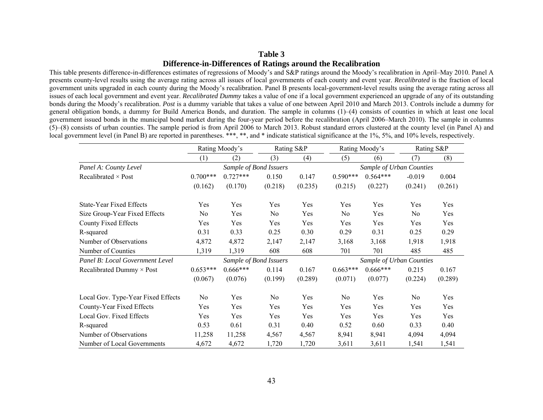## **Table 3 Difference-in-Differences of Ratings around the Recalibration**

This table presents difference-in-differences estimates of regressions of Moody's and S&P ratings around the Moody's recalibration in April–May 2010. Panel A presents county-level results using the average rating across all issues of local governments of each county and event year. *Recalibrated* is the fraction of local government units upgraded in each county during the Moody's recalibration. Panel B presents local-government-level results using the average rating across all issues of each local government and event year. *Recalibrated Dummy* takes a value of one if a local government experienced an upgrade of any of its outstanding bonds during the Moody's recalibration. *Post* is a dummy variable that takes a value of one between April 2010 and March 2013. Controls include a dummy for general obligation bonds, a dummy for Build America Bonds, and duration. The sample in columns (1)–(4) consists of counties in which at least one local government issued bonds in the municipal bond market during the four-year period before the recalibration (April 2006–March 2010). The sample in columns (5)–(8) consists of urban counties. The sample period is from April 2006 to March 2013. Robust standard errors clustered at the county level (in Panel A) and local government level (in Panel B) are reported in parentheses. \*\*\*, \*\*, and \* indicate statistical significance at the 1%, 5%, and 10% levels, respectively.

|                                    |                  | Rating Moody's |                        | Rating S&P |            | Rating Moody's           | Rating S&P     |         |
|------------------------------------|------------------|----------------|------------------------|------------|------------|--------------------------|----------------|---------|
|                                    | $\left(1\right)$ | (2)            | (3)                    | (4)        | (5)        | (6)                      | (7)            | (8)     |
| Panel A: County Level              |                  |                | Sample of Bond Issuers |            |            | Sample of Urban Counties |                |         |
| Recalibrated $\times$ Post         | $0.700***$       | $0.727***$     | 0.150                  | 0.147      | $0.590***$ | $0.564***$               | $-0.019$       | 0.004   |
|                                    | (0.162)          | (0.170)        | (0.218)                | (0.235)    | (0.215)    | (0.227)                  | (0.241)        | (0.261) |
| <b>State-Year Fixed Effects</b>    | Yes              | Yes            | Yes                    | Yes        | Yes        | Yes                      | Yes            | Yes     |
| Size Group-Year Fixed Effects      | No               | Yes            | N <sub>0</sub>         | Yes        | No         | Yes                      | No             | Yes     |
| County Fixed Effects               | Yes              | Yes            | Yes                    | Yes        | Yes        | Yes                      | Yes            | Yes     |
| R-squared                          | 0.31             | 0.33           | 0.25                   | 0.30       | 0.29       | 0.31                     | 0.25           | 0.29    |
| Number of Observations             | 4,872            | 4,872          | 2,147                  | 2,147      | 3,168      | 3,168                    | 1,918          | 1,918   |
| Number of Counties                 | 1,319            | 1,319          | 608                    | 608        | 701        | 701                      | 485            | 485     |
| Panel B: Local Government Level    |                  |                | Sample of Bond Issuers |            |            | Sample of Urban Counties |                |         |
| Recalibrated Dummy $\times$ Post   | $0.653***$       | $0.666***$     | 0.114                  | 0.167      | $0.663***$ | $0.666***$               | 0.215          | 0.167   |
|                                    | (0.067)          | (0.076)        | (0.199)                | (0.289)    | (0.071)    | (0.077)                  | (0.224)        | (0.289) |
| Local Gov. Type-Year Fixed Effects | No.              | Yes            | No                     | Yes        | No         | Yes                      | N <sub>0</sub> | Yes     |
| County-Year Fixed Effects          | Yes              | Yes            | Yes                    | Yes        | Yes        | Yes                      | Yes            | Yes     |
| Local Gov. Fixed Effects           | Yes              | Yes            | Yes                    | Yes        | Yes        | Yes                      | Yes            | Yes     |
| R-squared                          | 0.53             | 0.61           | 0.31                   | 0.40       | 0.52       | 0.60                     | 0.33           | 0.40    |
| Number of Observations             | 11,258           | 11,258         | 4,567                  | 4,567      | 8,941      | 8,941                    | 4,094          | 4,094   |
| Number of Local Governments        | 4,672            | 4,672          | 1,720                  | 1,720      | 3,611      | 3,611                    | 1,541          | 1,541   |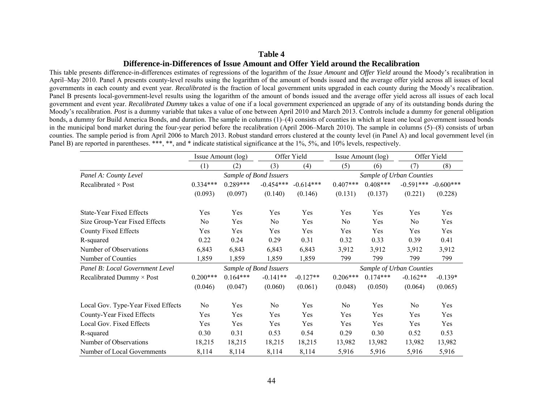#### **Difference-in-Differences of Issue Amount and Offer Yield around the Recalibration**

This table presents difference-in-differences estimates of regressions of the logarithm of the *Issue Amount* and *Offer Yield* around the Moody's recalibration in April–May 2010. Panel A presents county-level results using the logarithm of the amount of bonds issued and the average offer yield across all issues of local governments in each county and event year. *Recalibrated* is the fraction of local government units upgraded in each county during the Moody's recalibration. Panel B presents local-government-level results using the logarithm of the amount of bonds issued and the average offer yield across all issues of each local government and event year. *Recalibrated Dummy* takes a value of one if a local government experienced an upgrade of any of its outstanding bonds during the Moody's recalibration. *Post* is a dummy variable that takes a value of one between April 2010 and March 2013. Controls include a dummy for general obligation bonds, a dummy for Build America Bonds, and duration. The sample in columns (1)–(4) consists of counties in which at least one local government issued bonds in the municipal bond market during the four-year period before the recalibration (April 2006–March 2010). The sample in columns (5)–(8) consists of urban counties. The sample period is from April 2006 to March 2013. Robust standard errors clustered at the county level (in Panel A) and local government level (in Panel B) are reported in parentheses. \*\*\*, \*\*, and \* indicate statistical significance at the 1%, 5%, and 10% levels, respectively.

|                                    |                | Issue Amount (log) |                        | Offer Yield |                          | Issue Amount (log) | Offer Yield              |             |
|------------------------------------|----------------|--------------------|------------------------|-------------|--------------------------|--------------------|--------------------------|-------------|
|                                    | (1)            | (2)                | (3)                    | (4)         | (5)                      | (6)                | (7)                      | (8)         |
| Panel A: County Level              |                |                    | Sample of Bond Issuers |             |                          |                    | Sample of Urban Counties |             |
| Recalibrated $\times$ Post         | $0.334***$     | $0.289***$         | $-0.454***$            | $-0.614***$ | $0.407***$               | $0.408***$         | $-0.591***$              | $-0.600***$ |
|                                    | (0.093)        | (0.097)            | (0.140)                | (0.146)     | (0.131)                  | (0.137)            | (0.221)                  | (0.228)     |
| <b>State-Year Fixed Effects</b>    | Yes            | Yes                | Yes                    | Yes         | Yes                      | Yes                | Yes                      | Yes         |
| Size Group-Year Fixed Effects      | No             | Yes                | N <sub>0</sub>         | Yes         | No                       | Yes                | N <sub>0</sub>           | Yes         |
| County Fixed Effects               | Yes            | Yes                | Yes                    | Yes         | Yes                      | Yes                | Yes                      | Yes         |
| R-squared                          | 0.22           | 0.24               | 0.29                   | 0.31        | 0.32                     | 0.33               | 0.39                     | 0.41        |
| Number of Observations             | 6,843          | 6,843              | 6,843                  | 6,843       | 3,912                    | 3,912              | 3,912                    | 3,912       |
| Number of Counties                 | 1,859          | 1,859              | 1,859                  | 1,859       | 799                      | 799                | 799                      | 799         |
| Panel B: Local Government Level    |                |                    | Sample of Bond Issuers |             | Sample of Urban Counties |                    |                          |             |
| Recalibrated Dummy $\times$ Post   | $0.200***$     | $0.164***$         | $-0.141**$             | $-0.127**$  | $0.206***$               | $0.174***$         | $-0.162**$               | $-0.139*$   |
|                                    | (0.046)        | (0.047)            | (0.060)                | (0.061)     | (0.048)                  | (0.050)            | (0.064)                  | (0.065)     |
| Local Gov. Type-Year Fixed Effects | N <sub>0</sub> | Yes                | No                     | Yes         | N <sub>0</sub>           | Yes                | N <sub>0</sub>           | Yes         |
| County-Year Fixed Effects          | Yes            | Yes                | Yes                    | Yes         | Yes                      | Yes                | Yes                      | Yes         |
| Local Gov. Fixed Effects           | Yes            | Yes                | Yes                    | Yes         | Yes                      | Yes                | Yes                      | Yes         |
| R-squared                          | 0.30           | 0.31               | 0.53                   | 0.54        | 0.29                     | 0.30               | 0.52                     | 0.53        |
| Number of Observations             | 18,215         | 18,215             | 18,215                 | 18,215      | 13,982                   | 13,982             | 13,982                   | 13,982      |
| Number of Local Governments        | 8,114          | 8,114              | 8,114                  | 8,114       | 5,916                    | 5,916              | 5,916                    | 5,916       |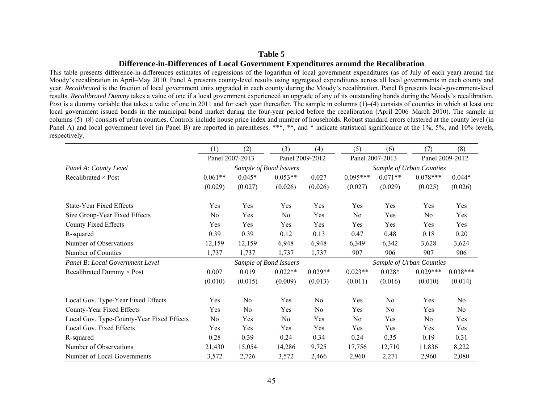## **Difference-in-Differences of Local Government Expenditures around the Recalibration**

This table presents difference-in-differences estimates of regressions of the logarithm of local government expenditures (as of July of each year) around the Moody's recalibration in April–May 2010. Panel A presents county-level results using aggregated expenditures across all local governments in each county and year. *Recalibrated* is the fraction of local government units upgraded in each county during the Moody's recalibration. Panel B presents local-government-level results. *Recalibrated Dummy* takes a value of one if a local government experienced an upgrade of any of its outstanding bonds during the Moody's recalibration. *Post* is a dummy variable that takes a value of one in 2011 and for each year thereafter. The sample in columns (1)–(4) consists of counties in which at least one local government issued bonds in the municipal bond market during the four-year period before the recalibration (April 2006–March 2010). The sample in columns (5)–(8) consists of urban counties. Controls include house price index and number of households. Robust standard errors clustered at the county level (in Panel A) and local government level (in Panel B) are reported in parentheses. \*\*\*, \*\*, and \* indicate statistical significance at the 1%, 5%, and 10% levels, respectively.

|                                           | (1)       | (2)             | (3)                    | (4)             | (5)            | (6)             | (7)                      | (8)             |
|-------------------------------------------|-----------|-----------------|------------------------|-----------------|----------------|-----------------|--------------------------|-----------------|
|                                           |           | Panel 2007-2013 |                        | Panel 2009-2012 |                | Panel 2007-2013 |                          | Panel 2009-2012 |
| Panel A: County Level                     |           |                 | Sample of Bond Issuers |                 |                |                 | Sample of Urban Counties |                 |
| Recalibrated $\times$ Post                | $0.061**$ | $0.045*$        | $0.053**$              | 0.027           | $0.095***$     | $0.071**$       | $0.078***$               | $0.044*$        |
|                                           | (0.029)   | (0.027)         | (0.026)                | (0.026)         | (0.027)        | (0.029)         | (0.025)                  | (0.026)         |
| State-Year Fixed Effects                  | Yes       | Yes             | Yes                    | Yes             | Yes            | Yes             | Yes                      | Yes             |
| Size Group-Year Fixed Effects             | No        | Yes             | No                     | Yes             | N <sub>0</sub> | Yes             | No                       | Yes             |
| County Fixed Effects                      | Yes       | Yes             | Yes                    | Yes             | Yes            | Yes             | Yes                      | Yes             |
| R-squared                                 | 0.39      | 0.39            | 0.12                   | 0.13            | 0.47           | 0.48            | 0.18                     | 0.20            |
| Number of Observations                    | 12,159    | 12,159          | 6,948                  | 6,948           | 6,349          | 6,342           | 3,628                    | 3,624           |
| Number of Counties                        | 1,737     | 1,737           | 1,737                  | 1,737           | 907            | 906             | 907                      | 906             |
| Panel B: Local Government Level           |           |                 | Sample of Bond Issuers |                 |                |                 | Sample of Urban Counties |                 |
| Recalibrated Dummy $\times$ Post          | 0.007     | 0.019           | $0.022**$              | $0.029**$       | $0.023**$      | $0.028*$        | $0.029***$               | $0.038***$      |
|                                           | (0.010)   | (0.015)         | (0.009)                | (0.013)         | (0.011)        | (0.016)         | (0.010)                  | (0.014)         |
| Local Gov. Type-Year Fixed Effects        | Yes       | No              | Yes                    | No              | Yes            | No              | Yes                      | No              |
| County-Year Fixed Effects                 | Yes       | No              | Yes                    | N <sub>0</sub>  | Yes            | N <sub>0</sub>  | Yes                      | N <sub>0</sub>  |
| Local Gov. Type-County-Year Fixed Effects | No        | Yes             | No                     | Yes             | N <sub>0</sub> | Yes             | No                       | Yes             |
| Local Gov. Fixed Effects                  | Yes       | Yes             | Yes                    | Yes             | Yes            | Yes             | Yes                      | Yes             |
| R-squared                                 | 0.28      | 0.39            | 0.24                   | 0.34            | 0.24           | 0.35            | 0.19                     | 0.31            |
| Number of Observations                    | 21,430    | 15,054          | 14,286                 | 9,725           | 17,756         | 12,710          | 11,836                   | 8,222           |
| Number of Local Governments               | 3,572     | 2,726           | 3,572                  | 2,466           | 2,960          | 2,271           | 2,960                    | 2,080           |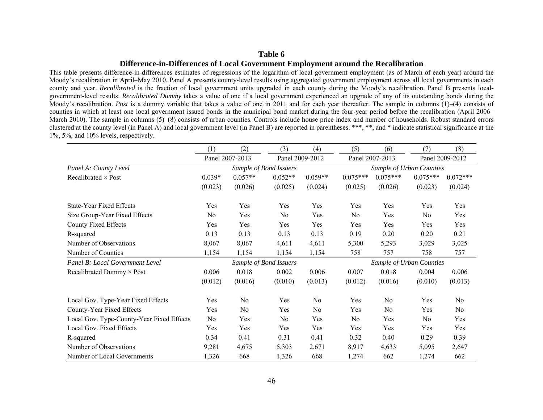## **Difference-in-Differences of Local Government Employment around the Recalibration**

This table presents difference-in-differences estimates of regressions of the logarithm of local government employment (as of March of each year) around the Moody's recalibration in April–May 2010. Panel A presents county-level results using aggregated government employment across all local governments in each county and year. *Recalibrated* is the fraction of local government units upgraded in each county during the Moody's recalibration. Panel B presents localgovernment-level results. *Recalibrated Dummy* takes a value of one if a local government experienced an upgrade of any of its outstanding bonds during the Moody's recalibration. *Post* is a dummy variable that takes a value of one in 2011 and for each year thereafter. The sample in columns (1)–(4) consists of counties in which at least one local government issued bonds in the municipal bond market during the four-year period before the recalibration (April 2006– March 2010). The sample in columns (5)–(8) consists of urban counties. Controls include house price index and number of households. Robust standard errors clustered at the county level (in Panel A) and local government level (in Panel B) are reported in parentheses. \*\*\*, \*\*, and \* indicate statistical significance at the 1%, 5%, and 10% levels, respectively.

|                                           | (1)            | (2)             | (3)                    | (4)             | (5)            | (6)                      | (7)        | (8)             |
|-------------------------------------------|----------------|-----------------|------------------------|-----------------|----------------|--------------------------|------------|-----------------|
|                                           |                | Panel 2007-2013 |                        | Panel 2009-2012 |                | Panel 2007-2013          |            | Panel 2009-2012 |
| Panel A: County Level                     |                |                 | Sample of Bond Issuers |                 |                | Sample of Urban Counties |            |                 |
| Recalibrated $\times$ Post                | $0.039*$       | $0.057**$       | $0.052**$              | $0.059**$       | $0.075***$     | $0.075***$               | $0.075***$ | $0.072***$      |
|                                           | (0.023)        | (0.026)         | (0.025)                | (0.024)         | (0.025)        | (0.026)                  | (0.023)    | (0.024)         |
| <b>State-Year Fixed Effects</b>           | Yes            | Yes             | Yes                    | Yes             | Yes            | Yes                      | Yes        | Yes             |
| Size Group-Year Fixed Effects             | No             | Yes             | N <sub>o</sub>         | Yes             | No             | Yes                      | No         | Yes             |
| County Fixed Effects                      | Yes            | Yes             | Yes                    | Yes             | Yes            | Yes                      | Yes        | Yes             |
| R-squared                                 | 0.13           | 0.13            | 0.13                   | 0.13            | 0.19           | 0.20                     | 0.20       | 0.21            |
| Number of Observations                    | 8,067          | 8,067           | 4,611                  | 4,611           | 5,300          | 5,293                    | 3,029      | 3,025           |
| Number of Counties                        | 1,154          | 1,154           | 1,154                  | 1,154           | 758            | 757                      | 758        | 757             |
| Panel B: Local Government Level           |                |                 | Sample of Bond Issuers |                 |                | Sample of Urban Counties |            |                 |
| Recalibrated Dummy $\times$ Post          | 0.006          | 0.018           | 0.002                  | 0.006           | 0.007          | 0.018                    | 0.004      | 0.006           |
|                                           | (0.012)        | (0.016)         | (0.010)                | (0.013)         | (0.012)        | (0.016)                  | (0.010)    | (0.013)         |
| Local Gov. Type-Year Fixed Effects        | Yes            | No              | Yes                    | N <sub>0</sub>  | Yes            | No                       | Yes        | N <sub>o</sub>  |
| County-Year Fixed Effects                 | Yes            | No              | Yes                    | No              | Yes            | No                       | Yes        | N <sub>0</sub>  |
| Local Gov. Type-County-Year Fixed Effects | N <sub>0</sub> | Yes             | No                     | Yes             | N <sub>0</sub> | Yes                      | No         | Yes             |
| Local Gov. Fixed Effects                  | Yes            | Yes             | Yes                    | Yes             | Yes            | Yes                      | Yes        | Yes             |
| R-squared                                 | 0.34           | 0.41            | 0.31                   | 0.41            | 0.32           | 0.40                     | 0.29       | 0.39            |
| Number of Observations                    | 9,281          | 4,675           | 5,303                  | 2,671           | 8,917          | 4,633                    | 5,095      | 2,647           |
| Number of Local Governments               | 1,326          | 668             | 1,326                  | 668             | 1,274          | 662                      | 1,274      | 662             |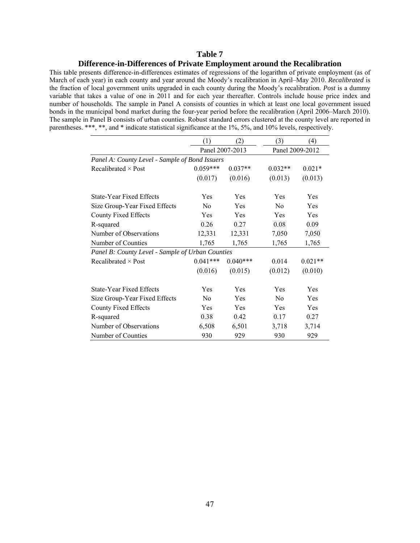#### **Difference-in-Differences of Private Employment around the Recalibration**

This table presents difference-in-differences estimates of regressions of the logarithm of private employment (as of March of each year) in each county and year around the Moody's recalibration in April–May 2010. *Recalibrated* is the fraction of local government units upgraded in each county during the Moody's recalibration. *Post* is a dummy variable that takes a value of one in 2011 and for each year thereafter. Controls include house price index and number of households. The sample in Panel A consists of counties in which at least one local government issued bonds in the municipal bond market during the four-year period before the recalibration (April 2006–March 2010). The sample in Panel B consists of urban counties. Robust standard errors clustered at the county level are reported in parentheses. \*\*\*, \*\*, and \* indicate statistical significance at the 1%, 5%, and 10% levels, respectively.

|                                                  | (1)            | (2)             | (3)            | (4)             |
|--------------------------------------------------|----------------|-----------------|----------------|-----------------|
|                                                  |                | Panel 2007-2013 |                | Panel 2009-2012 |
| Panel A: County Level - Sample of Bond Issuers   |                |                 |                |                 |
| Recalibrated $\times$ Post                       | $0.059***$     | $0.037**$       | $0.032**$      | $0.021*$        |
|                                                  | (0.017)        | (0.016)         | (0.013)        | (0.013)         |
| State-Year Fixed Effects                         | Yes            | Yes             | Yes            | Yes             |
| Size Group-Year Fixed Effects                    | N <sub>0</sub> | Yes             | No             | Yes             |
| County Fixed Effects                             | Yes            | Yes             | Yes            | Yes             |
| R-squared                                        | 0.26           | 0.27            | 0.08           | 0.09            |
| Number of Observations                           | 12,331         | 12,331          | 7,050          | 7,050           |
| Number of Counties                               | 1,765          | 1,765           | 1,765          | 1,765           |
| Panel B: County Level - Sample of Urban Counties |                |                 |                |                 |
| Recalibrated $\times$ Post                       | $0.041***$     | $0.040***$      | 0.014          | $0.021**$       |
|                                                  | (0.016)        | (0.015)         | (0.012)        | (0.010)         |
| State-Year Fixed Effects                         | Yes            | Yes             | Yes            | Yes             |
| Size Group-Year Fixed Effects                    | No             | Yes             | N <sub>0</sub> | Yes             |
| County Fixed Effects                             | Yes            | Yes             | Yes            | Yes             |
| R-squared                                        | 0.38           | 0.42            | 0.17           | 0.27            |
| Number of Observations                           | 6,508          | 6,501           | 3,718          | 3,714           |
| Number of Counties                               | 930            | 929             | 930            | 929             |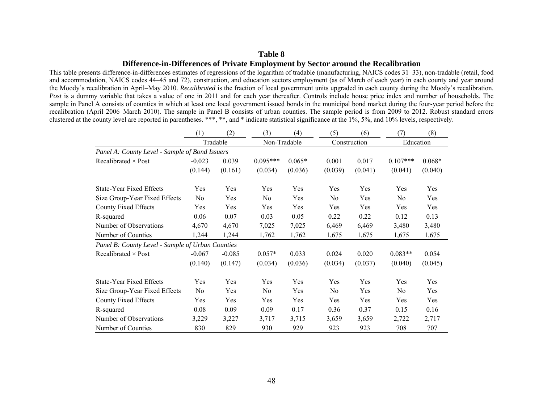## **Table 8 Difference-in-Differences of Private Employment by Sector around the Recalibration**

This table presents difference-in-differences estimates of regressions of the logarithm of tradable (manufacturing, NAICS codes 31–33), non-tradable (retail, food and accommodation, NAICS codes 44–45 and 72), construction, and education sectors employment (as of March of each year) in each county and year around the Moody's recalibration in April–May 2010. *Recalibrated* is the fraction of local government units upgraded in each county during the Moody's recalibration. *Post* is a dummy variable that takes a value of one in 2011 and for each year thereafter. Controls include house price index and number of households. The sample in Panel A consists of counties in which at least one local government issued bonds in the municipal bond market during the four-year period before the recalibration (April 2006–March 2010). The sample in Panel B consists of urban counties. The sample period is from 2009 to 2012. Robust standard errors clustered at the county level are reported in parentheses. \*\*\*, \*\*, and \* indicate statistical significance at the 1%, 5%, and 10% levels, respectively.

|                                                  | (1)      | (2)      | (3)          | (4)      | (5)            | (6)          | (7)            | (8)       |
|--------------------------------------------------|----------|----------|--------------|----------|----------------|--------------|----------------|-----------|
|                                                  |          | Tradable | Non-Tradable |          |                | Construction |                | Education |
| Panel A: County Level - Sample of Bond Issuers   |          |          |              |          |                |              |                |           |
| Recalibrated $\times$ Post                       | $-0.023$ | 0.039    | $0.095***$   | $0.065*$ | 0.001          | 0.017        | $0.107***$     | $0.068*$  |
|                                                  | (0.144)  | (0.161)  | (0.034)      | (0.036)  | (0.039)        | (0.041)      | (0.041)        | (0.040)   |
| <b>State-Year Fixed Effects</b>                  | Yes      | Yes      | Yes          | Yes      | Yes            | Yes          | Yes            | Yes       |
| Size Group-Year Fixed Effects                    | No       | Yes      | No           | Yes      | No             | Yes          | No.            | Yes       |
| County Fixed Effects                             | Yes      | Yes      | Yes          | Yes      | Yes            | Yes          | Yes            | Yes       |
| R-squared                                        | 0.06     | 0.07     | 0.03         | 0.05     | 0.22           | 0.22         | 0.12           | 0.13      |
| Number of Observations                           | 4,670    | 4,670    | 7,025        | 7,025    | 6,469          | 6,469        | 3,480          | 3,480     |
| Number of Counties                               | 1,244    | 1,244    | 1,762        | 1,762    | 1,675          | 1,675        | 1,675          | 1,675     |
| Panel B: County Level - Sample of Urban Counties |          |          |              |          |                |              |                |           |
| Recalibrated $\times$ Post                       | $-0.067$ | $-0.085$ | $0.057*$     | 0.033    | 0.024          | 0.020        | $0.083**$      | 0.054     |
|                                                  | (0.140)  | (0.147)  | (0.034)      | (0.036)  | (0.034)        | (0.037)      | (0.040)        | (0.045)   |
| State-Year Fixed Effects                         | Yes      | Yes      | Yes          | Yes      | Yes            | Yes          | Yes            | Yes       |
| Size Group-Year Fixed Effects                    | No.      | Yes      | No.          | Yes      | N <sub>0</sub> | Yes          | N <sub>0</sub> | Yes       |
| County Fixed Effects                             | Yes      | Yes      | Yes          | Yes      | Yes            | Yes          | Yes            | Yes       |
| R-squared                                        | 0.08     | 0.09     | 0.09         | 0.17     | 0.36           | 0.37         | 0.15           | 0.16      |
| Number of Observations                           | 3,229    | 3,227    | 3,717        | 3,715    | 3,659          | 3,659        | 2,722          | 2,717     |
| Number of Counties                               | 830      | 829      | 930          | 929      | 923            | 923          | 708            | 707       |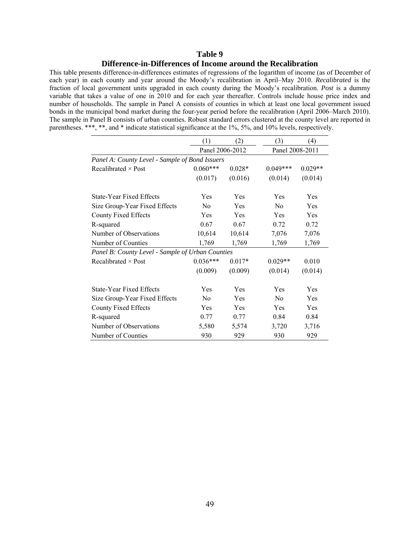## **Table 9 Difference-in-Differences of Income around the Recalibration**

This table presents difference-in-differences estimates of regressions of the logarithm of income (as of December of each year) in each county and year around the Moody's recalibration in April–May 2010. *Recalibrated* is the fraction of local government units upgraded in each county during the Moody's recalibration. *Post* is a dummy variable that takes a value of one in 2010 and for each year thereafter. Controls include house price index and number of households. The sample in Panel A consists of counties in which at least one local government issued bonds in the municipal bond market during the four-year period before the recalibration (April 2006–March 2010). The sample in Panel B consists of urban counties. Robust standard errors clustered at the county level are reported in parentheses. \*\*\*, \*\*, and \* indicate statistical significance at the 1%, 5%, and 10% levels, respectively.

|                                                  | (1)             | (2)      | (3)             | (4)       |
|--------------------------------------------------|-----------------|----------|-----------------|-----------|
|                                                  | Panel 2006-2012 |          | Panel 2008-2011 |           |
| Panel A: County Level - Sample of Bond Issuers   |                 |          |                 |           |
| Recalibrated $\times$ Post                       | $0.060***$      | $0.028*$ | $0.049***$      | $0.029**$ |
|                                                  | (0.017)         | (0.016)  | (0.014)         | (0.014)   |
| <b>State-Year Fixed Effects</b>                  | Yes             | Yes      | Yes             | Yes       |
| Size Group-Year Fixed Effects                    | No              | Yes      | No              | Yes       |
| County Fixed Effects                             | Yes             | Yes      | Yes             | Yes       |
| R-squared                                        | 0.67            | 0.67     | 0.72            | 0.72      |
| Number of Observations                           | 10,614          | 10,614   | 7,076           | 7,076     |
| Number of Counties                               | 1,769           | 1,769    | 1,769           | 1,769     |
| Panel B: County Level - Sample of Urban Counties |                 |          |                 |           |
| Recalibrated $\times$ Post                       | $0.036***$      | $0.017*$ | $0.029**$       | 0.010     |
|                                                  | (0.009)         | (0.009)  | (0.014)         | (0.014)   |
| <b>State-Year Fixed Effects</b>                  | Yes             | Yes      | Yes             | Yes       |
| Size Group-Year Fixed Effects                    | N <sub>0</sub>  | Yes      | No              | Yes       |
| <b>County Fixed Effects</b>                      | Yes             | Yes      | Yes             | Yes       |
| R-squared                                        | 0.77            | 0.77     | 0.84            | 0.84      |
| Number of Observations                           | 5,580           | 5,574    | 3,720           | 3,716     |
| Number of Counties                               | 930             | 929      | 930             | 929       |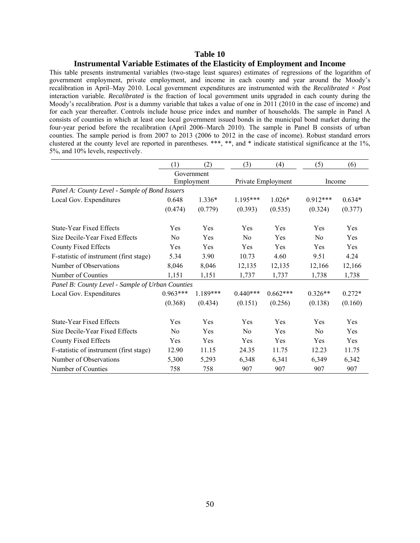#### **Instrumental Variable Estimates of the Elasticity of Employment and Income**

This table presents instrumental variables (two-stage least squares) estimates of regressions of the logarithm of government employment, private employment, and income in each county and year around the Moody's recalibration in April–May 2010. Local government expenditures are instrumented with the *Recalibrated* × *Post* interaction variable. *Recalibrated* is the fraction of local government units upgraded in each county during the Moody's recalibration. *Post* is a dummy variable that takes a value of one in 2011 (2010 in the case of income) and for each year thereafter. Controls include house price index and number of households. The sample in Panel A consists of counties in which at least one local government issued bonds in the municipal bond market during the four-year period before the recalibration (April 2006–March 2010). The sample in Panel B consists of urban counties. The sample period is from 2007 to 2013 (2006 to 2012 in the case of income). Robust standard errors clustered at the county level are reported in parentheses. \*\*\*, \*\*, and \* indicate statistical significance at the 1%, 5%, and 10% levels, respectively.

|                                                  | (1)        | (2)        | (3)            | (4)                | (5)        | (6)      |
|--------------------------------------------------|------------|------------|----------------|--------------------|------------|----------|
|                                                  |            | Government |                |                    |            |          |
|                                                  |            | Employment |                | Private Employment | Income     |          |
| Panel A: County Level - Sample of Bond Issuers   |            |            |                |                    |            |          |
| Local Gov. Expenditures                          | 0.648      | $1.336*$   | $1.195***$     | $1.026*$           | $0.912***$ | $0.634*$ |
|                                                  | (0.474)    | (0.779)    | (0.393)        | (0.535)            | (0.324)    | (0.377)  |
| <b>State-Year Fixed Effects</b>                  | Yes        | Yes        | Yes            | Yes                | Yes        | Yes      |
| Size Decile-Year Fixed Effects                   | $\rm No$   | Yes        | No             | Yes                | No         | Yes      |
| County Fixed Effects                             | Yes        | Yes        | Yes            | Yes                | Yes        | Yes      |
| F-statistic of instrument (first stage)          | 5.34       | 3.90       | 10.73          | 4.60               | 9.51       | 4.24     |
| Number of Observations                           | 8,046      | 8,046      | 12,135         | 12,135             | 12,166     | 12,166   |
| Number of Counties                               | 1,151      | 1,151      | 1,737          | 1,737              | 1,738      | 1,738    |
| Panel B: County Level - Sample of Urban Counties |            |            |                |                    |            |          |
| Local Gov. Expenditures                          | $0.963***$ | 1.189***   | $0.440***$     | $0.662***$         | $0.326**$  | $0.272*$ |
|                                                  | (0.368)    | (0.434)    | (0.151)        | (0.256)            | (0.138)    | (0.160)  |
| <b>State-Year Fixed Effects</b>                  | Yes        | Yes        | Yes            | Yes                | Yes        | Yes      |
| Size Decile-Year Fixed Effects                   | $\rm No$   | Yes        | N <sub>0</sub> | Yes                | No         | Yes      |
| <b>County Fixed Effects</b>                      | Yes        | Yes        | Yes            | Yes                | Yes        | Yes      |
| F-statistic of instrument (first stage)          | 12.90      | 11.15      | 24.35          | 11.75              | 12.23      | 11.75    |
| Number of Observations                           | 5,300      | 5,293      | 6,348          | 6,341              | 6,349      | 6,342    |
| Number of Counties                               | 758        | 758        | 907            | 907                | 907        | 907      |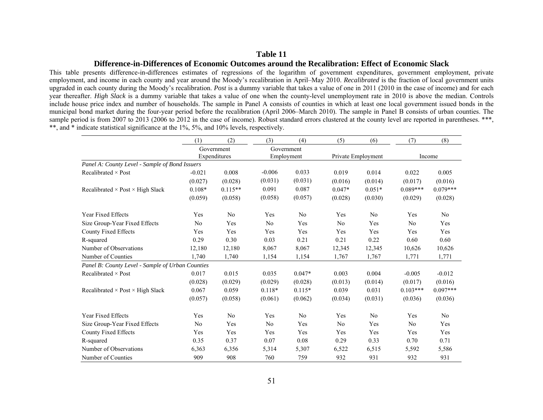#### **Difference-in-Differences of Economic Outcomes around the Recalibration: Effect of Economic Slack**

This table presents difference-in-differences estimates of regressions of the logarithm of government expenditures, government employment, private employment, and income in each county and year around the Moody's recalibration in April–May 2010. *Recalibrated* is the fraction of local government units upgraded in each county during the Moody's recalibration. *Post* is a dummy variable that takes a value of one in 2011 (2010 in the case of income) and for each year thereafter. *High Slack* is a dummy variable that takes a value of one when the county-level unemployment rate in 2010 is above the median. Controls include house price index and number of households. The sample in Panel A consists of counties in which at least one local government issued bonds in the municipal bond market during the four-year period before the recalibration (April 2006–March 2010). The sample in Panel B consists of urban counties. The sample period is from 2007 to 2013 (2006 to 2012 in the case of income). Robust standard errors clustered at the county level are reported in parentheses. \*\*\*, \*\*, and \* indicate statistical significance at the 1%, 5%, and 10% levels, respectively.

|                                                  | (1)            | (2)            | (3)      | (4)            | (5)      | (6)                | (7)            | (8)            |
|--------------------------------------------------|----------------|----------------|----------|----------------|----------|--------------------|----------------|----------------|
|                                                  |                | Government     |          | Government     |          |                    |                |                |
|                                                  |                | Expenditures   |          | Employment     |          | Private Employment |                | Income         |
| Panel A: County Level - Sample of Bond Issuers   |                |                |          |                |          |                    |                |                |
| Recalibrated $\times$ Post                       | $-0.021$       | 0.008          | $-0.006$ | 0.033          | 0.019    | 0.014              | 0.022          | 0.005          |
|                                                  | (0.027)        | (0.028)        | (0.031)  | (0.031)        | (0.016)  | (0.014)            | (0.017)        | (0.016)        |
| Recalibrated $\times$ Post $\times$ High Slack   | $0.108*$       | $0.115**$      | 0.091    | 0.087          | $0.047*$ | $0.051*$           | $0.089***$     | $0.079***$     |
|                                                  | (0.059)        | (0.058)        | (0.058)  | (0.057)        | (0.028)  | (0.030)            | (0.029)        | (0.028)        |
| Year Fixed Effects                               | Yes            | N <sub>0</sub> | Yes      | N <sub>0</sub> | Yes      | N <sub>0</sub>     | Yes            | N <sub>0</sub> |
| Size Group-Year Fixed Effects                    | N <sub>0</sub> | Yes            | No       | Yes            | No       | Yes                | N <sub>0</sub> | Yes            |
| County Fixed Effects                             | Yes            | Yes            | Yes      | Yes            | Yes      | Yes                | Yes            | Yes            |
| R-squared                                        | 0.29           | 0.30           | 0.03     | 0.21           | 0.21     | 0.22               | 0.60           | 0.60           |
| Number of Observations                           | 12,180         | 12,180         | 8,067    | 8,067          | 12,345   | 12,345             | 10,626         | 10,626         |
| Number of Counties                               | 1,740          | 1,740          | 1,154    | 1,154          | 1,767    | 1,767              | 1,771          | 1,771          |
| Panel B: County Level - Sample of Urban Counties |                |                |          |                |          |                    |                |                |
| Recalibrated $\times$ Post                       | 0.017          | 0.015          | 0.035    | $0.047*$       | 0.003    | 0.004              | $-0.005$       | $-0.012$       |
|                                                  | (0.028)        | (0.029)        | (0.029)  | (0.028)        | (0.013)  | (0.014)            | (0.017)        | (0.016)        |
| Recalibrated $\times$ Post $\times$ High Slack   | 0.067          | 0.059          | $0.118*$ | $0.115*$       | 0.039    | 0.031              | $0.103***$     | $0.097***$     |
|                                                  | (0.057)        | (0.058)        | (0.061)  | (0.062)        | (0.034)  | (0.031)            | (0.036)        | (0.036)        |
| <b>Year Fixed Effects</b>                        | Yes            | N <sub>0</sub> | Yes      | N <sub>0</sub> | Yes      | No                 | Yes            | N <sub>0</sub> |
| Size Group-Year Fixed Effects                    | N <sub>0</sub> | Yes            | No       | Yes            | No       | Yes                | N <sub>0</sub> | Yes            |
| <b>County Fixed Effects</b>                      | Yes            | Yes            | Yes      | Yes            | Yes      | Yes                | Yes            | Yes            |
| R-squared                                        | 0.35           | 0.37           | 0.07     | 0.08           | 0.29     | 0.33               | 0.70           | 0.71           |
| Number of Observations                           | 6,363          | 6,356          | 5,314    | 5,307          | 6,522    | 6,515              | 5,592          | 5,586          |
| Number of Counties                               | 909            | 908            | 760      | 759            | 932      | 931                | 932            | 931            |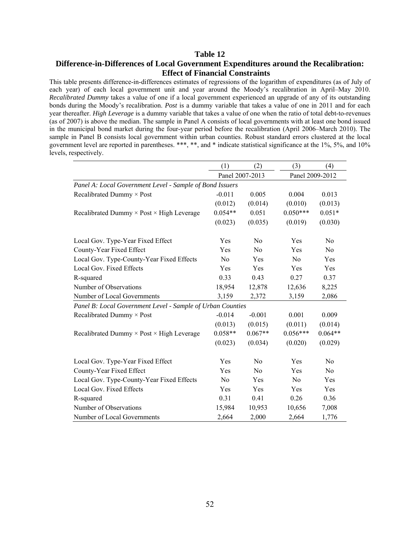## **Table 12 Difference-in-Differences of Local Government Expenditures around the Recalibration: Effect of Financial Constraints**

This table presents difference-in-differences estimates of regressions of the logarithm of expenditures (as of July of each year) of each local government unit and year around the Moody's recalibration in April–May 2010. *Recalibrated Dummy* takes a value of one if a local government experienced an upgrade of any of its outstanding bonds during the Moody's recalibration. *Post* is a dummy variable that takes a value of one in 2011 and for each year thereafter. *High Leverage* is a dummy variable that takes a value of one when the ratio of total debt-to-revenues (as of 2007) is above the median. The sample in Panel A consists of local governments with at least one bond issued in the municipal bond market during the four-year period before the recalibration (April 2006–March 2010). The sample in Panel B consists local government within urban counties. Robust standard errors clustered at the local government level are reported in parentheses. \*\*\*, \*\*, and \* indicate statistical significance at the 1%, 5%, and 10% levels, respectively.

|                                                            | (1)            | (2)             | (3)             | (4)            |
|------------------------------------------------------------|----------------|-----------------|-----------------|----------------|
|                                                            |                | Panel 2007-2013 | Panel 2009-2012 |                |
| Panel A: Local Government Level - Sample of Bond Issuers   |                |                 |                 |                |
| Recalibrated Dummy × Post                                  | $-0.011$       | 0.005           | 0.004           | 0.013          |
|                                                            | (0.012)        | (0.014)         | (0.010)         | (0.013)        |
| Recalibrated Dummy $\times$ Post $\times$ High Leverage    | $0.054**$      | 0.051           | $0.050***$      | $0.051*$       |
|                                                            | (0.023)        | (0.035)         | (0.019)         | (0.030)        |
| Local Gov. Type-Year Fixed Effect                          | Yes            | N <sub>0</sub>  | Yes             | N <sub>0</sub> |
| County-Year Fixed Effect                                   | Yes            | N <sub>0</sub>  | Yes             | N <sub>o</sub> |
| Local Gov. Type-County-Year Fixed Effects                  | N <sub>0</sub> | Yes             | No              | Yes            |
| Local Gov. Fixed Effects                                   | Yes            | Yes             | Yes             | Yes            |
| R-squared                                                  | 0.33           | 0.43            | 0.27            | 0.37           |
| Number of Observations                                     | 18,954         | 12,878          | 12,636          | 8,225          |
| Number of Local Governments                                | 3,159          | 2,372           | 3,159           | 2,086          |
| Panel B: Local Government Level - Sample of Urban Counties |                |                 |                 |                |
| Recalibrated Dummy $\times$ Post                           | $-0.014$       | $-0.001$        | 0.001           | 0.009          |
|                                                            | (0.013)        | (0.015)         | (0.011)         | (0.014)        |
| Recalibrated Dummy × Post × High Leverage                  | $0.058**$      | $0.067**$       | $0.056***$      | $0.064**$      |
|                                                            | (0.023)        | (0.034)         | (0.020)         | (0.029)        |
| Local Gov. Type-Year Fixed Effect                          | Yes            | N <sub>0</sub>  | Yes             | No.            |
| County-Year Fixed Effect                                   | Yes            | No              | Yes             | N <sub>0</sub> |
| Local Gov. Type-County-Year Fixed Effects                  | N <sub>0</sub> | Yes             | N <sub>0</sub>  | Yes            |
| Local Gov. Fixed Effects                                   | Yes            | Yes             | Yes             | Yes            |
| R-squared                                                  | 0.31           | 0.41            | 0.26            | 0.36           |
| Number of Observations                                     | 15,984         | 10,953          | 10,656          | 7,008          |
| Number of Local Governments                                | 2,664          | 2,000           | 2,664           | 1,776          |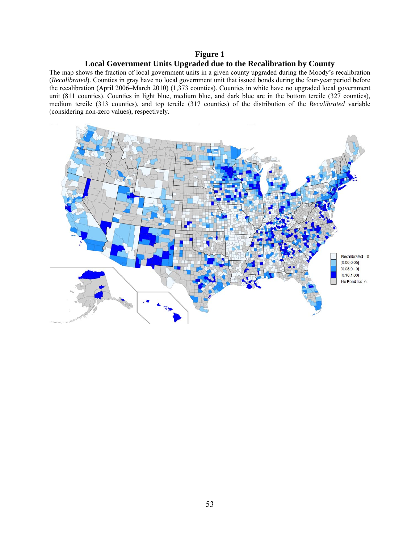# **Figure 1 Local Government Units Upgraded due to the Recalibration by County**

The map shows the fraction of local government units in a given county upgraded during the Moody's recalibration (*Recalibrated*). Counties in gray have no local government unit that issued bonds during the four-year period before the recalibration (April 2006–March 2010) (1,373 counties). Counties in white have no upgraded local government unit (811 counties). Counties in light blue, medium blue, and dark blue are in the bottom tercile (327 counties), medium tercile (313 counties), and top tercile (317 counties) of the distribution of the *Recalibrated* variable (considering non-zero values), respectively.

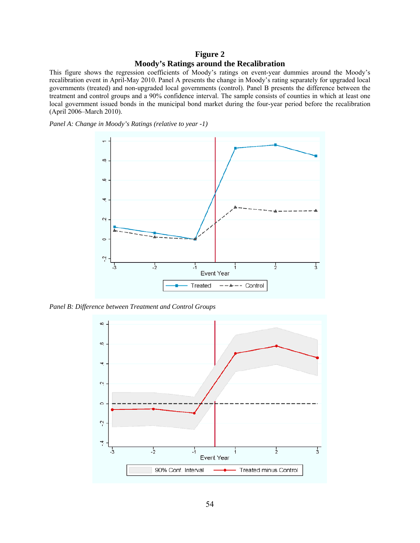# **Figure 2 Moody's Ratings around the Recalibration**

This figure shows the regression coefficients of Moody's ratings on event-year dummies around the Moody's recalibration event in April-May 2010. Panel A presents the change in Moody's rating separately for upgraded local governments (treated) and non-upgraded local governments (control). Panel B presents the difference between the treatment and control groups and a 90% confidence interval. The sample consists of counties in which at least one local government issued bonds in the municipal bond market during the four-year period before the recalibration (April 2006–March 2010).

*Panel A: Change in Moody's Ratings (relative to year -1)* 



*Panel B: Difference between Treatment and Control Groups* 

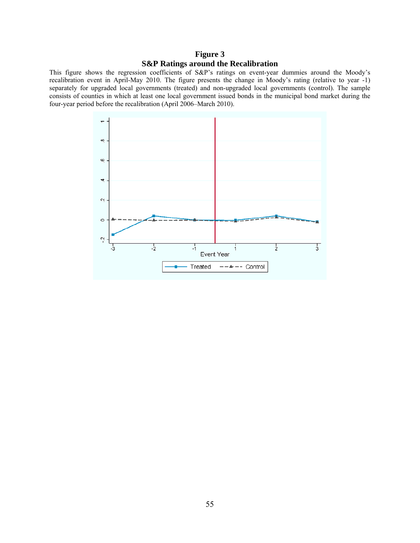# **Figure 3 S&P Ratings around the Recalibration**

This figure shows the regression coefficients of S&P's ratings on event-year dummies around the Moody's recalibration event in April-May 2010. The figure presents the change in Moody's rating (relative to year -1) separately for upgraded local governments (treated) and non-upgraded local governments (control). The sample consists of counties in which at least one local government issued bonds in the municipal bond market during the four-year period before the recalibration (April 2006–March 2010).

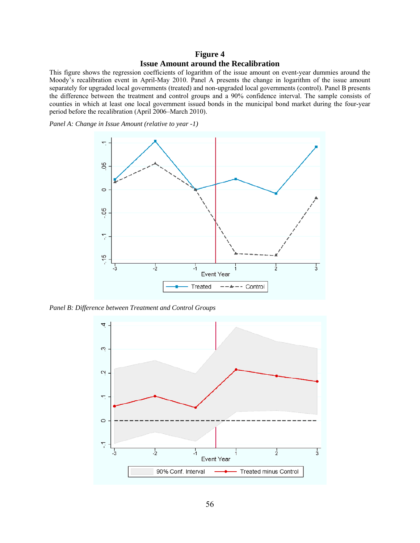## **Figure 4 Issue Amount around the Recalibration**

This figure shows the regression coefficients of logarithm of the issue amount on event-year dummies around the Moody's recalibration event in April-May 2010. Panel A presents the change in logarithm of the issue amount separately for upgraded local governments (treated) and non-upgraded local governments (control). Panel B presents the difference between the treatment and control groups and a 90% confidence interval. The sample consists of counties in which at least one local government issued bonds in the municipal bond market during the four-year period before the recalibration (April 2006–March 2010).

*Panel A: Change in Issue Amount (relative to year -1)* 



*Panel B: Difference between Treatment and Control Groups* 

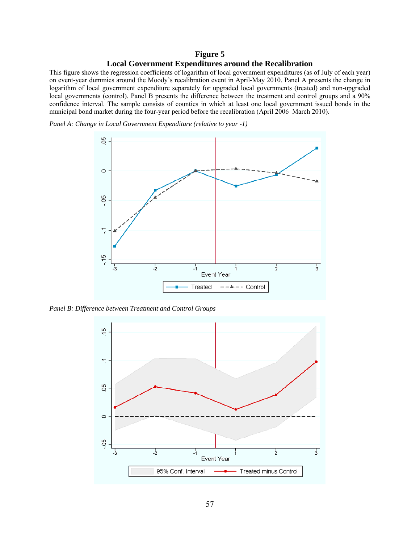## **Figure 5 Local Government Expenditures around the Recalibration**

This figure shows the regression coefficients of logarithm of local government expenditures (as of July of each year) on event-year dummies around the Moody's recalibration event in April-May 2010. Panel A presents the change in logarithm of local government expenditure separately for upgraded local governments (treated) and non-upgraded local governments (control). Panel B presents the difference between the treatment and control groups and a 90% confidence interval. The sample consists of counties in which at least one local government issued bonds in the municipal bond market during the four-year period before the recalibration (April 2006–March 2010).

*Panel A: Change in Local Government Expenditure (relative to year -1)* 



*Panel B: Difference between Treatment and Control Groups* 

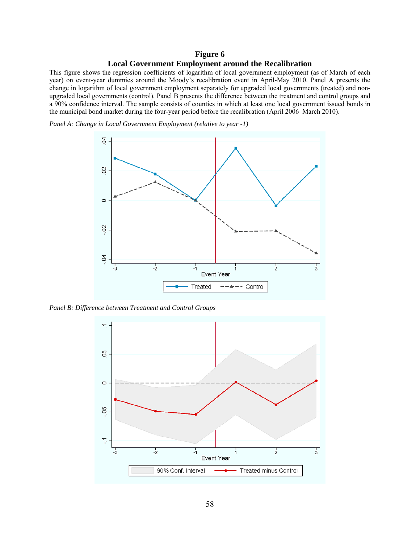# **Figure 6 Local Government Employment around the Recalibration**

This figure shows the regression coefficients of logarithm of local government employment (as of March of each year) on event-year dummies around the Moody's recalibration event in April-May 2010. Panel A presents the change in logarithm of local government employment separately for upgraded local governments (treated) and nonupgraded local governments (control). Panel B presents the difference between the treatment and control groups and a 90% confidence interval. The sample consists of counties in which at least one local government issued bonds in the municipal bond market during the four-year period before the recalibration (April 2006–March 2010).

*Panel A: Change in Local Government Employment (relative to year -1)* 



*Panel B: Difference between Treatment and Control Groups* 

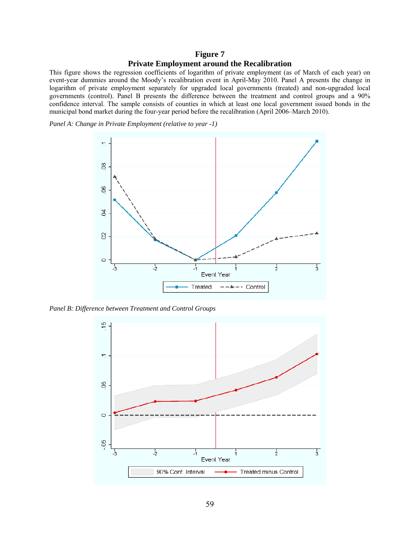## **Figure 7 Private Employment around the Recalibration**

This figure shows the regression coefficients of logarithm of private employment (as of March of each year) on event-year dummies around the Moody's recalibration event in April-May 2010. Panel A presents the change in logarithm of private employment separately for upgraded local governments (treated) and non-upgraded local governments (control). Panel B presents the difference between the treatment and control groups and a 90% confidence interval. The sample consists of counties in which at least one local government issued bonds in the municipal bond market during the four-year period before the recalibration (April 2006–March 2010).

*Panel A: Change in Private Employment (relative to year -1)* 



*Panel B: Difference between Treatment and Control Groups* 

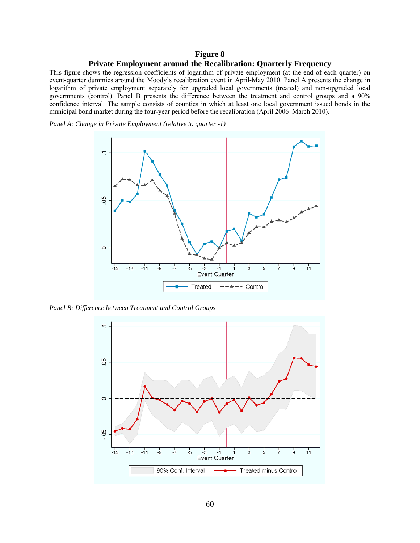# **Figure 8 Private Employment around the Recalibration: Quarterly Frequency**

This figure shows the regression coefficients of logarithm of private employment (at the end of each quarter) on event-quarter dummies around the Moody's recalibration event in April-May 2010. Panel A presents the change in logarithm of private employment separately for upgraded local governments (treated) and non-upgraded local governments (control). Panel B presents the difference between the treatment and control groups and a 90% confidence interval. The sample consists of counties in which at least one local government issued bonds in the municipal bond market during the four-year period before the recalibration (April 2006–March 2010).

*Panel A: Change in Private Employment (relative to quarter -1)* 



*Panel B: Difference between Treatment and Control Groups* 

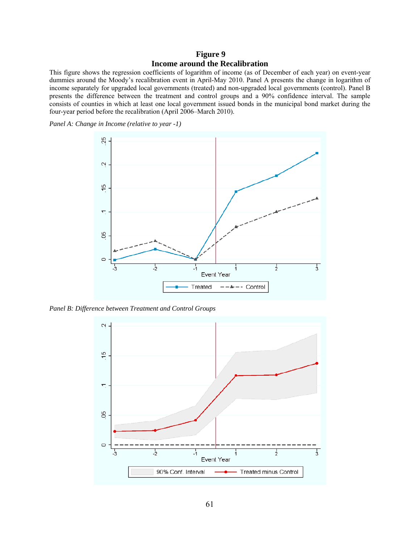# **Figure 9 Income around the Recalibration**

This figure shows the regression coefficients of logarithm of income (as of December of each year) on event-year dummies around the Moody's recalibration event in April-May 2010. Panel A presents the change in logarithm of income separately for upgraded local governments (treated) and non-upgraded local governments (control). Panel B presents the difference between the treatment and control groups and a 90% confidence interval. The sample consists of counties in which at least one local government issued bonds in the municipal bond market during the four-year period before the recalibration (April 2006–March 2010).

*Panel A: Change in Income (relative to year -1)* 



*Panel B: Difference between Treatment and Control Groups* 

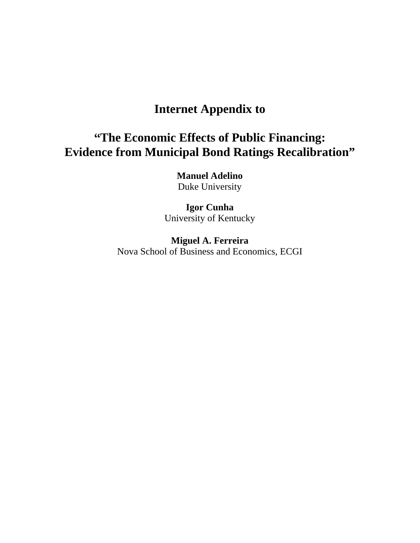# **Internet Appendix to**

# **"The Economic Effects of Public Financing: Evidence from Municipal Bond Ratings Recalibration"**

**Manuel Adelino**  Duke University

**Igor Cunha**  University of Kentucky

**Miguel A. Ferreira**  Nova School of Business and Economics, ECGI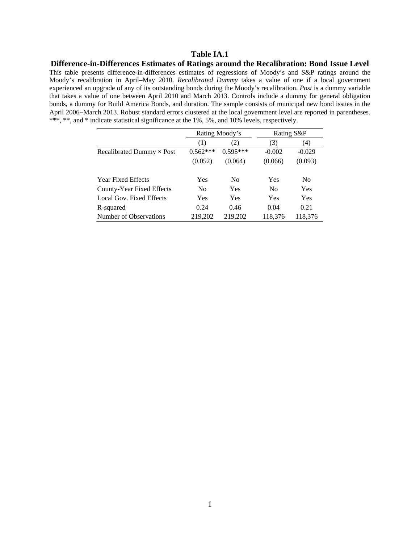**Difference-in-Differences Estimates of Ratings around the Recalibration: Bond Issue Level**  This table presents difference-in-differences estimates of regressions of Moody's and S&P ratings around the Moody's recalibration in April–May 2010. *Recalibrated Dummy* takes a value of one if a local government experienced an upgrade of any of its outstanding bonds during the Moody's recalibration. *Post* is a dummy variable that takes a value of one between April 2010 and March 2013. Controls include a dummy for general obligation bonds, a dummy for Build America Bonds, and duration. The sample consists of municipal new bond issues in the April 2006-March 2013. Robust standard errors clustered at the local government level are reported in parentheses. \*\*\*, \*\*, and \* indicate statistical significance at the 1%, 5%, and 10% levels, respectively.

|                                  |                | Rating Moody's | Rating S&P     |                |
|----------------------------------|----------------|----------------|----------------|----------------|
|                                  | (1)            | (2)            | (3)            | (4)            |
| Recalibrated Dummy $\times$ Post | $0.562***$     | $0.595***$     | $-0.002$       | $-0.029$       |
|                                  | (0.052)        | (0.064)        | (0.066)        | (0.093)        |
| <b>Year Fixed Effects</b>        | <b>Yes</b>     | No             | Yes            | N <sub>0</sub> |
| County-Year Fixed Effects        | N <sub>0</sub> | Yes            | N <sub>0</sub> | Yes            |
| Local Gov. Fixed Effects         | Yes            | Yes            | Yes            | Yes            |
| R-squared                        | 0.24           | 0.46           | 0.04           | 0.21           |
| Number of Observations           | 219,202        | 219,202        | 118,376        | 118,376        |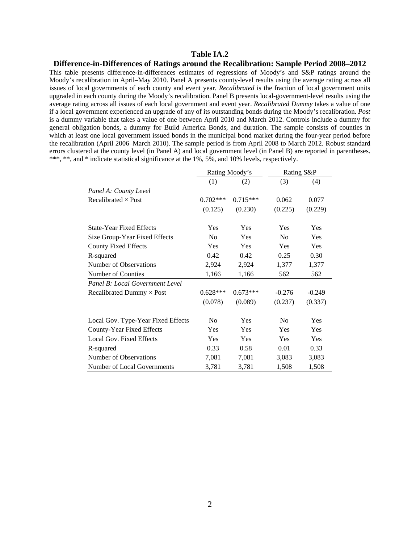#### **Difference-in-Differences of Ratings around the Recalibration: Sample Period 2008–2012**

This table presents difference-in-differences estimates of regressions of Moody's and S&P ratings around the Moody's recalibration in April–May 2010. Panel A presents county-level results using the average rating across all issues of local governments of each county and event year. *Recalibrated* is the fraction of local government units upgraded in each county during the Moody's recalibration. Panel B presents local-government-level results using the average rating across all issues of each local government and event year. *Recalibrated Dummy* takes a value of one if a local government experienced an upgrade of any of its outstanding bonds during the Moody's recalibration. *Post*  is a dummy variable that takes a value of one between April 2010 and March 2012. Controls include a dummy for general obligation bonds, a dummy for Build America Bonds, and duration. The sample consists of counties in which at least one local government issued bonds in the municipal bond market during the four-year period before the recalibration (April 2006–March 2010). The sample period is from April 2008 to March 2012. Robust standard errors clustered at the county level (in Panel A) and local government level (in Panel B) are reported in parentheses. \*\*\*, \*\*, and \* indicate statistical significance at the 1%, 5%, and 10% levels, respectively.

|                                    |                | Rating Moody's |                | Rating S&P |
|------------------------------------|----------------|----------------|----------------|------------|
|                                    | (1)            | (2)            | (3)            | (4)        |
| Panel A: County Level              |                |                |                |            |
| Recalibrated $\times$ Post         | $0.702***$     | $0.715***$     | 0.062          | 0.077      |
|                                    | (0.125)        | (0.230)        | (0.225)        | (0.229)    |
| <b>State-Year Fixed Effects</b>    | Yes            | Yes            | Yes            | Yes        |
| Size Group-Year Fixed Effects      | N <sub>0</sub> | Yes            | N <sub>0</sub> | Yes        |
| <b>County Fixed Effects</b>        | Yes            | Yes            | Yes            | Yes        |
| R-squared                          | 0.42           | 0.42           | 0.25           | 0.30       |
| Number of Observations             | 2,924          | 2,924          | 1,377          | 1,377      |
| Number of Counties                 | 1,166          | 1,166          | 562            | 562        |
| Panel B: Local Government Level    |                |                |                |            |
| Recalibrated Dummy $\times$ Post   | $0.628***$     | $0.673***$     | $-0.276$       | $-0.249$   |
|                                    | (0.078)        | (0.089)        | (0.237)        | (0.337)    |
| Local Gov. Type-Year Fixed Effects | N <sub>o</sub> | Yes            | No             | Yes        |
| County-Year Fixed Effects          | Yes            | Yes            | Yes            | Yes        |
| Local Gov. Fixed Effects           | Yes            | Yes            | Yes            | Yes        |
| R-squared                          | 0.33           | 0.58           | 0.01           | 0.33       |
| Number of Observations             | 7,081          | 7,081          | 3,083          | 3,083      |
| Number of Local Governments        | 3,781          | 3,781          | 1,508          | 1,508      |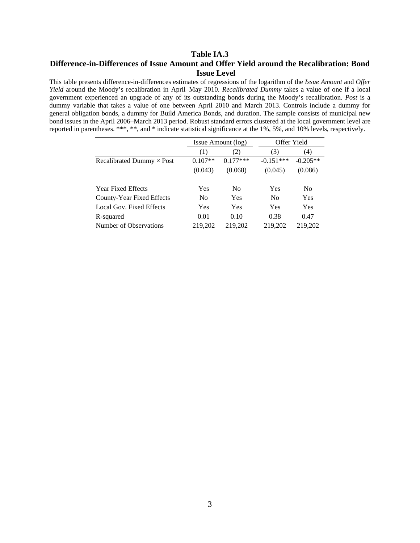# **Table IA.3 Difference-in-Differences of Issue Amount and Offer Yield around the Recalibration: Bond Issue Level**

This table presents difference-in-differences estimates of regressions of the logarithm of the *Issue Amount* and *Offer Yield* around the Moody's recalibration in April–May 2010. *Recalibrated Dummy* takes a value of one if a local government experienced an upgrade of any of its outstanding bonds during the Moody's recalibration. *Post* is a dummy variable that takes a value of one between April 2010 and March 2013. Controls include a dummy for general obligation bonds, a dummy for Build America Bonds, and duration. The sample consists of municipal new bond issues in the April 2006–March 2013 period. Robust standard errors clustered at the local government level are reported in parentheses. \*\*\*, \*\*, and \* indicate statistical significance at the 1%, 5%, and 10% levels, respectively.

|                                  |                | Issue Amount (log) | Offer Yield    |                |
|----------------------------------|----------------|--------------------|----------------|----------------|
|                                  | (1)            | (2)                | (3)            | (4)            |
| Recalibrated Dummy $\times$ Post | $0.107**$      | $0.177***$         | $-0.151***$    | $-0.205**$     |
|                                  | (0.043)        | (0.068)            | (0.045)        | (0.086)        |
| <b>Year Fixed Effects</b>        | Yes            | N <sub>0</sub>     | Yes            | N <sub>0</sub> |
| County-Year Fixed Effects        | N <sub>0</sub> | Yes                | N <sub>0</sub> | Yes            |
| Local Gov. Fixed Effects         | Yes            | Yes                | Yes            | Yes            |
| R-squared                        | 0.01           | 0.10               | 0.38           | 0.47           |
| Number of Observations           | 219,202        | 219,202            | 219,202        | 219,202        |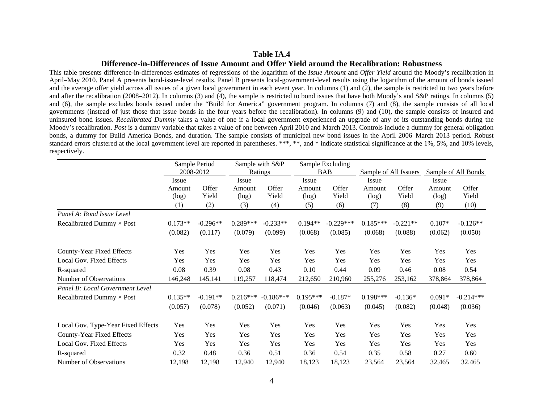#### **Difference-in-Differences of Issue Amount and Offer Yield around the Recalibration: Robustness**

This table presents difference-in-differences estimates of regressions of the logarithm of the *Issue Amount* and *Offer Yield* around the Moody's recalibration in April–May 2010. Panel A presents bond-issue-level results. Panel B presents local-government-level results using the logarithm of the amount of bonds issued and the average offer yield across all issues of a given local government in each event year. In columns (1) and (2), the sample is restricted to two years before and after the recalibration (2008–2012). In columns (3) and (4), the sample is restricted to bond issues that have both Moody's and S&P ratings. In columns (5) and (6), the sample excludes bonds issued under the "Build for America" government program. In columns (7) and (8), the sample consists of all local governments (instead of just those that issue bonds in the four years before the recalibration). In columns (9) and (10), the sample consists of insured and uninsured bond issues. *Recalibrated Dummy* takes a value of one if a local government experienced an upgrade of any of its outstanding bonds during the Moody's recalibration. *Post* is a dummy variable that takes a value of one between April 2010 and March 2013. Controls include a dummy for general obligation bonds, a dummy for Build America Bonds, and duration. The sample consists of municipal new bond issues in the April 2006–March 2013 period. Robust standard errors clustered at the local government level are reported in parentheses. \*\*\*, \*\*, and \* indicate statistical significance at the 1%, 5%, and 10% levels, respectively.

|                                    |                 | Sample Period<br>2008-2012 | Sample with S&P<br>Ratings |                | Sample Excluding<br><b>BAB</b> |                | Sample of All Issuers |                | Sample of All Bonds |                |  |
|------------------------------------|-----------------|----------------------------|----------------------------|----------------|--------------------------------|----------------|-----------------------|----------------|---------------------|----------------|--|
|                                    | Issue           |                            | Issue                      |                | Issue                          |                |                       | Issue          |                     | Issue          |  |
|                                    | Amount<br>(log) | Offer<br>Yield             | Amount<br>(log)            | Offer<br>Yield | Amount<br>(log)                | Offer<br>Yield | Amount<br>(log)       | Offer<br>Yield | Amount<br>(log)     | Offer<br>Yield |  |
|                                    | (1)             | (2)                        | (3)                        | (4)            | (5)                            | (6)            | (7)                   | (8)            | (9)                 | (10)           |  |
| Panel A: Bond Issue Level          |                 |                            |                            |                |                                |                |                       |                |                     |                |  |
| Recalibrated Dummy $\times$ Post   | $0.173**$       | $-0.296**$                 | $0.289***$                 | $-0.233**$     | $0.194**$                      | $-0.229***$    | $0.185***$            | $-0.221**$     | $0.107*$            | $-0.126**$     |  |
|                                    | (0.082)         | (0.117)                    | (0.079)                    | (0.099)        | (0.068)                        | (0.085)        | (0.068)               | (0.088)        | (0.062)             | (0.050)        |  |
| County-Year Fixed Effects          | Yes             | Yes                        | Yes                        | Yes            | Yes                            | Yes            | Yes                   | Yes            | Yes                 | Yes            |  |
| Local Gov. Fixed Effects           | Yes             | Yes                        | Yes                        | Yes            | Yes                            | Yes            | Yes                   | Yes            | Yes                 | Yes            |  |
| R-squared                          | 0.08            | 0.39                       | 0.08                       | 0.43           | 0.10                           | 0.44           | 0.09                  | 0.46           | 0.08                | 0.54           |  |
| Number of Observations             | 146,248         | 145,141                    | 119,257                    | 118,474        | 212,650                        | 210,960        | 255,276               | 253,162        | 378,864             | 378,864        |  |
| Panel B: Local Government Level    |                 |                            |                            |                |                                |                |                       |                |                     |                |  |
| Recalibrated Dummy × Post          | $0.135**$       | $-0.191**$                 | $0.216***$                 | $-0.186***$    | $0.195***$                     | $-0.187*$      | $0.198***$            | $-0.136*$      | $0.091*$            | $-0.214***$    |  |
|                                    | (0.057)         | (0.078)                    | (0.052)                    | (0.071)        | (0.046)                        | (0.063)        | (0.045)               | (0.082)        | (0.048)             | (0.036)        |  |
| Local Gov. Type-Year Fixed Effects | Yes             | Yes                        | Yes                        | Yes            | Yes                            | Yes            | Yes                   | Yes            | Yes                 | Yes            |  |
| County-Year Fixed Effects          | Yes             | Yes                        | Yes                        | Yes            | Yes                            | Yes            | Yes                   | Yes            | Yes                 | Yes            |  |
| Local Gov. Fixed Effects           | Yes             | Yes                        | Yes                        | Yes            | Yes                            | Yes            | Yes                   | Yes            | Yes                 | Yes            |  |
| R-squared                          | 0.32            | 0.48                       | 0.36                       | 0.51           | 0.36                           | 0.54           | 0.35                  | 0.58           | 0.27                | 0.60           |  |
| Number of Observations             | 12,198          | 12,198                     | 12,940                     | 12,940         | 18,123                         | 18,123         | 23,564                | 23,564         | 32,465              | 32,465         |  |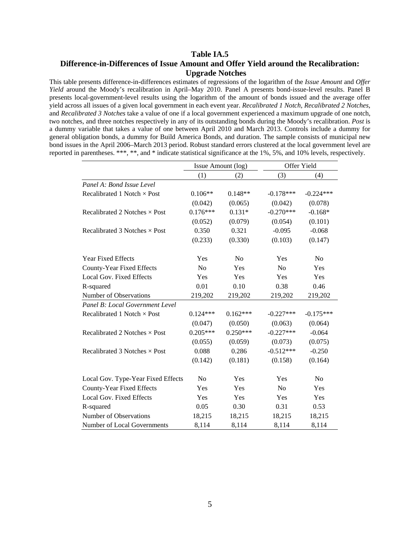# **Table IA.5 Difference-in-Differences of Issue Amount and Offer Yield around the Recalibration: Upgrade Notches**

This table presents difference-in-differences estimates of regressions of the logarithm of the *Issue Amount* and *Offer Yield* around the Moody's recalibration in April–May 2010. Panel A presents bond-issue-level results. Panel B presents local-government-level results using the logarithm of the amount of bonds issued and the average offer yield across all issues of a given local government in each event year. *Recalibrated 1 Notch*, *Recalibrated 2 Notches*, and *Recalibrated 3 Notches* take a value of one if a local government experienced a maximum upgrade of one notch, two notches, and three notches respectively in any of its outstanding bonds during the Moody's recalibration. *Post* is a dummy variable that takes a value of one between April 2010 and March 2013. Controls include a dummy for general obligation bonds, a dummy for Build America Bonds, and duration. The sample consists of municipal new bond issues in the April 2006–March 2013 period. Robust standard errors clustered at the local government level are reported in parentheses. \*\*\*, \*\*, and \* indicate statistical significance at the 1%, 5%, and 10% levels, respectively.

|                                      |                | Issue Amount (log) |                | Offer Yield    |
|--------------------------------------|----------------|--------------------|----------------|----------------|
|                                      | (1)            | (2)                | (3)            | (4)            |
| Panel A: Bond Issue Level            |                |                    |                |                |
| Recalibrated 1 Notch $\times$ Post   | $0.106**$      | $0.148**$          | $-0.178***$    | $-0.224***$    |
|                                      | (0.042)        | (0.065)            | (0.042)        | (0.078)        |
| Recalibrated 2 Notches $\times$ Post | $0.176***$     | $0.131*$           | $-0.270***$    | $-0.168*$      |
|                                      | (0.052)        | (0.079)            | (0.054)        | (0.101)        |
| Recalibrated 3 Notches $\times$ Post | 0.350          | 0.321              | $-0.095$       | $-0.068$       |
|                                      | (0.233)        | (0.330)            | (0.103)        | (0.147)        |
| <b>Year Fixed Effects</b>            | Yes            | N <sub>0</sub>     | Yes            | N <sub>0</sub> |
| County-Year Fixed Effects            | N <sub>o</sub> | Yes                | No             | Yes            |
| Local Gov. Fixed Effects             | Yes            | Yes                | Yes            | Yes            |
| R-squared                            | 0.01           | 0.10               | 0.38           | 0.46           |
| Number of Observations               | 219,202        | 219,202            | 219,202        | 219,202        |
| Panel B: Local Government Level      |                |                    |                |                |
| Recalibrated 1 Notch $\times$ Post   | $0.124***$     | $0.162***$         | $-0.227***$    | $-0.175***$    |
|                                      | (0.047)        | (0.050)            | (0.063)        | (0.064)        |
| Recalibrated 2 Notches $\times$ Post | $0.205***$     | $0.250***$         | $-0.227***$    | $-0.064$       |
|                                      | (0.055)        | (0.059)            | (0.073)        | (0.075)        |
| Recalibrated 3 Notches $\times$ Post | 0.088          | 0.286              | $-0.512***$    | $-0.250$       |
|                                      | (0.142)        | (0.181)            | (0.158)        | (0.164)        |
| Local Gov. Type-Year Fixed Effects   | No             | Yes                | Yes            | No             |
| County-Year Fixed Effects            | Yes            | Yes                | N <sub>o</sub> | Yes            |
| Local Gov. Fixed Effects             | Yes            | Yes                | Yes            | Yes            |
| R-squared                            | 0.05           | 0.30               | 0.31           | 0.53           |
| Number of Observations               | 18,215         | 18,215             | 18,215         | 18,215         |
| Number of Local Governments          | 8,114          | 8,114              | 8,114          | 8,114          |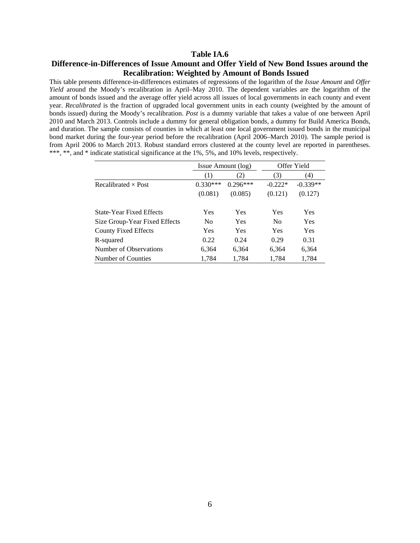# **Table IA.6 Difference-in-Differences of Issue Amount and Offer Yield of New Bond Issues around the Recalibration: Weighted by Amount of Bonds Issued**

This table presents difference-in-differences estimates of regressions of the logarithm of the *Issue Amount* and *Offer Yield* around the Moody's recalibration in April–May 2010. The dependent variables are the logarithm of the amount of bonds issued and the average offer yield across all issues of local governments in each county and event year. *Recalibrated* is the fraction of upgraded local government units in each county (weighted by the amount of bonds issued) during the Moody's recalibration. *Post* is a dummy variable that takes a value of one between April 2010 and March 2013. Controls include a dummy for general obligation bonds, a dummy for Build America Bonds, and duration. The sample consists of counties in which at least one local government issued bonds in the municipal bond market during the four-year period before the recalibration (April 2006–March 2010). The sample period is from April 2006 to March 2013. Robust standard errors clustered at the county level are reported in parentheses. \*\*\*, \*\*, and \* indicate statistical significance at the 1%, 5%, and 10% levels, respectively.

|                                 |                | Issue Amount (log) |                | Offer Yield |
|---------------------------------|----------------|--------------------|----------------|-------------|
|                                 | (1)            | 2)                 | (3)            | (4)         |
| Recalibrated $\times$ Post      | $0.330***$     | $0.296***$         | $-0.222*$      | $-0.339**$  |
|                                 | (0.081)        | (0.085)            | (0.121)        | (0.127)     |
| <b>State-Year Fixed Effects</b> | <b>Yes</b>     | Yes                | Yes            | Yes         |
| Size Group-Year Fixed Effects   | N <sub>0</sub> | Yes                | N <sub>0</sub> | Yes         |
| <b>County Fixed Effects</b>     | Yes            | Yes                | Yes            | Yes         |
| R-squared                       | 0.22           | 0.24               | 0.29           | 0.31        |
| Number of Observations          | 6.364          | 6.364              | 6.364          | 6,364       |
| Number of Counties              | 1,784          | 1,784              | 1,784          | 1,784       |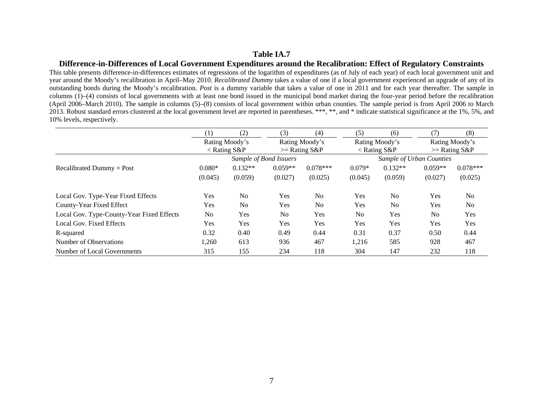#### **Difference-in-Differences of Local Government Expenditures around the Recalibration: Effect of Regulatory Constraints**

This table presents difference-in-differences estimates of regressions of the logarithm of expenditures (as of July of each year) of each local government unit and year around the Moody's recalibration in April–May 2010. *Recalibrated Dummy* takes a value of one if a local government experienced an upgrade of any of its outstanding bonds during the Moody's recalibration. *Post* is a dummy variable that takes a value of one in 2011 and for each year thereafter. The sample in columns (1)–(4) consists of local governments with at least one bond issued in the municipal bond market during the four-year period before the recalibration (April 2006–March 2010). The sample in columns (5)–(8) consists of local government within urban counties. The sample period is from April 2006 to March 2013. Robust standard errors clustered at the local government level are reported in parentheses. \*\*\*, \*\*, and \* indicate statistical significance at the 1%, 5%, and 10% levels, respectively.

|                                           | (1)            | (2)                  | (3)                    | (4)             | (5)                      | (6)                  | (7)            | (8)             |
|-------------------------------------------|----------------|----------------------|------------------------|-----------------|--------------------------|----------------------|----------------|-----------------|
|                                           |                | Rating Moody's       |                        | Rating Moody's  |                          | Rating Moody's       |                | Rating Moody's  |
|                                           |                | $\langle$ Rating S&P |                        | $>=$ Rating S&P |                          | $\langle$ Rating S&P |                | $>=$ Rating S&P |
|                                           |                |                      | Sample of Bond Issuers |                 | Sample of Urban Counties |                      |                |                 |
| Recalibrated Dummy $\times$ Post          | $0.080*$       | $0.132**$            | $0.059**$              | $0.078***$      | $0.079*$                 | $0.132**$            | $0.059**$      | $0.078***$      |
|                                           | (0.045)        | (0.059)              | (0.027)                | (0.025)         | (0.045)                  | (0.059)              | (0.027)        | (0.025)         |
| Local Gov. Type-Year Fixed Effects        | Yes            | N <sub>o</sub>       | Yes                    | No              | Yes                      | N <sub>o</sub>       | Yes            | N <sub>o</sub>  |
| County-Year Fixed Effect                  | Yes            | N <sub>o</sub>       | Yes                    | No              | Yes                      | N <sub>o</sub>       | Yes            | N <sub>o</sub>  |
| Local Gov. Type-County-Year Fixed Effects | N <sub>0</sub> | Yes                  | N <sub>o</sub>         | Yes             | N <sub>o</sub>           | Yes                  | N <sub>0</sub> | Yes             |
| Local Gov. Fixed Effects                  | Yes            | Yes                  | Yes                    | Yes             | Yes                      | Yes                  | Yes            | Yes             |
| R-squared                                 | 0.32           | 0.40                 | 0.49                   | 0.44            | 0.31                     | 0.37                 | 0.50           | 0.44            |
| Number of Observations                    | 1,260          | 613                  | 936                    | 467             | 1,216                    | 585                  | 928            | 467             |
| Number of Local Governments               | 315            | 155                  | 234                    | 118             | 304                      | 147                  | 232            | 118             |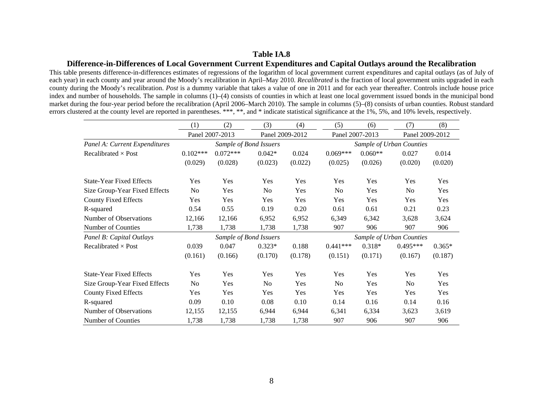### **Difference-in-Differences of Local Government Current Expenditures and Capital Outlays around the Recalibration**

This table presents difference-in-differences estimates of regressions of the logarithm of local government current expenditures and capital outlays (as of July of each year) in each county and year around the Moody's recalibration in April–May 2010. *Recalibrated* is the fraction of local government units upgraded in each county during the Moody's recalibration. *Post* is a dummy variable that takes a value of one in 2011 and for each year thereafter. Controls include house price index and number of households. The sample in columns (1)–(4) consists of counties in which at least one local government issued bonds in the municipal bond market during the four-year period before the recalibration (April 2006–March 2010). The sample in columns (5)–(8) consists of urban counties. Robust standard errors clustered at the county level are reported in parentheses. \*\*\*, \*\*, and \* indicate statistical significance at the 1%, 5%, and 10% levels, respectively.

|                                 | (1)            | (2)             | (3)                    | (4)             | (5)                      | (6)             | (7)                      | (8)             |
|---------------------------------|----------------|-----------------|------------------------|-----------------|--------------------------|-----------------|--------------------------|-----------------|
|                                 |                | Panel 2007-2013 |                        | Panel 2009-2012 |                          | Panel 2007-2013 |                          | Panel 2009-2012 |
| Panel A: Current Expenditures   |                |                 | Sample of Bond Issuers |                 |                          |                 | Sample of Urban Counties |                 |
| Recalibrated $\times$ Post      | $0.102***$     | $0.072***$      | $0.042*$               | 0.024           | $0.069***$               | $0.060**$       | 0.027                    | 0.014           |
|                                 | (0.029)        | (0.028)         | (0.023)                | (0.022)         | (0.025)                  | (0.026)         | (0.020)                  | (0.020)         |
| <b>State-Year Fixed Effects</b> | Yes            | Yes             | Yes                    | Yes             | Yes                      | Yes             | Yes                      | Yes             |
| Size Group-Year Fixed Effects   | N <sub>0</sub> | Yes             | N <sub>0</sub>         | Yes             | N <sub>0</sub>           | Yes             | N <sub>0</sub>           | Yes             |
| <b>County Fixed Effects</b>     | Yes            | Yes             | Yes                    | Yes             | Yes                      | Yes             | Yes                      | Yes             |
| R-squared                       | 0.54           | 0.55            | 0.19                   | 0.20            | 0.61                     | 0.61            | 0.21                     | 0.23            |
| Number of Observations          | 12,166         | 12,166          | 6,952                  | 6,952           | 6,349                    | 6,342           | 3,628                    | 3,624           |
| Number of Counties              | 1,738          | 1,738           | 1,738                  | 1,738           | 907                      | 906             | 907                      | 906             |
| Panel B: Capital Outlays        |                |                 | Sample of Bond Issuers |                 | Sample of Urban Counties |                 |                          |                 |
| Recalibrated $\times$ Post      | 0.039          | 0.047           | $0.323*$               | 0.188           | $0.441***$               | $0.318*$        | $0.495***$               | $0.365*$        |
|                                 | (0.161)        | (0.166)         | (0.170)                | (0.178)         | (0.151)                  | (0.171)         | (0.167)                  | (0.187)         |
| <b>State-Year Fixed Effects</b> | Yes            | Yes             | Yes                    | Yes             | Yes                      | Yes             | Yes                      | Yes             |
| Size Group-Year Fixed Effects   | N <sub>0</sub> | Yes             | N <sub>0</sub>         | Yes             | N <sub>0</sub>           | Yes             | N <sub>0</sub>           | Yes             |
| <b>County Fixed Effects</b>     | Yes            | Yes             | Yes                    | Yes             | Yes                      | Yes             | Yes                      | Yes             |
| R-squared                       | 0.09           | 0.10            | 0.08                   | 0.10            | 0.14                     | 0.16            | 0.14                     | 0.16            |
| Number of Observations          | 12,155         | 12,155          | 6,944                  | 6,944           | 6,341                    | 6,334           | 3,623                    | 3,619           |
| Number of Counties              | 1,738          | 1,738           | 1,738                  | 1,738           | 907                      | 906             | 907                      | 906             |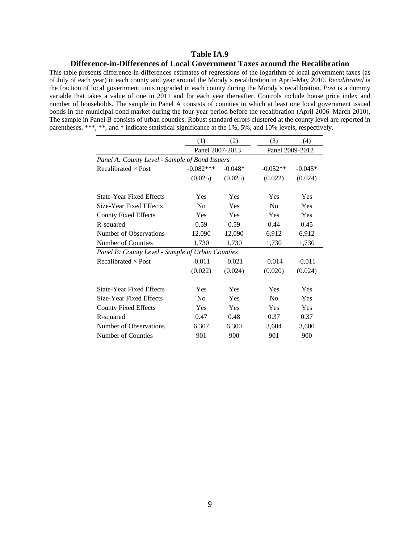#### **Difference-in-Differences of Local Government Taxes around the Recalibration**

This table presents difference-in-differences estimates of regressions of the logarithm of local government taxes (as of July of each year) in each county and year around the Moody's recalibration in April–May 2010. *Recalibrated* is the fraction of local government units upgraded in each county during the Moody's recalibration. *Post* is a dummy variable that takes a value of one in 2011 and for each year thereafter. Controls include house price index and number of households. The sample in Panel A consists of counties in which at least one local government issued bonds in the municipal bond market during the four-year period before the recalibration (April 2006–March 2010). The sample in Panel B consists of urban counties. Robust standard errors clustered at the county level are reported in parentheses. \*\*\*, \*\*, and \* indicate statistical significance at the 1%, 5%, and 10% levels, respectively.

|                                                  | (1)             | (2)       | (3)             | (4)       |
|--------------------------------------------------|-----------------|-----------|-----------------|-----------|
|                                                  | Panel 2007-2013 |           | Panel 2009-2012 |           |
| Panel A: County Level - Sample of Bond Issuers   |                 |           |                 |           |
| Recalibrated $\times$ Post                       | $-0.082***$     | $-0.048*$ | $-0.052**$      | $-0.045*$ |
|                                                  | (0.025)         | (0.025)   | (0.022)         | (0.024)   |
| <b>State-Year Fixed Effects</b>                  | Yes             | Yes       | <b>Yes</b>      | Yes       |
| Size-Year Fixed Effects                          | N <sub>0</sub>  | Yes       | N <sub>0</sub>  | Yes       |
| <b>County Fixed Effects</b>                      | Yes             | Yes       | Yes             | Yes       |
| R-squared                                        | 0.59            | 0.59      | 0.44            | 0.45      |
| Number of Observations                           | 12,090          | 12,090    | 6,912           | 6,912     |
| Number of Counties                               | 1,730           | 1,730     | 1,730           | 1,730     |
| Panel B: County Level - Sample of Urban Counties |                 |           |                 |           |
| Recalibrated $\times$ Post                       | $-0.011$        | $-0.021$  | $-0.014$        | $-0.011$  |
|                                                  | (0.022)         | (0.024)   | (0.020)         | (0.024)   |
| <b>State-Year Fixed Effects</b>                  | Yes             | Yes       | Yes             | Yes       |
| Size-Year Fixed Effects                          | N <sub>0</sub>  | Yes       | N <sub>0</sub>  | Yes       |
| <b>County Fixed Effects</b>                      | Yes             | Yes       | Yes             | Yes       |
| R-squared                                        | 0.47            | 0.48      | 0.37            | 0.37      |
| Number of Observations                           | 6,307           | 6,300     | 3,604           | 3,600     |
| Number of Counties                               | 901             | 900       | 901             | 900       |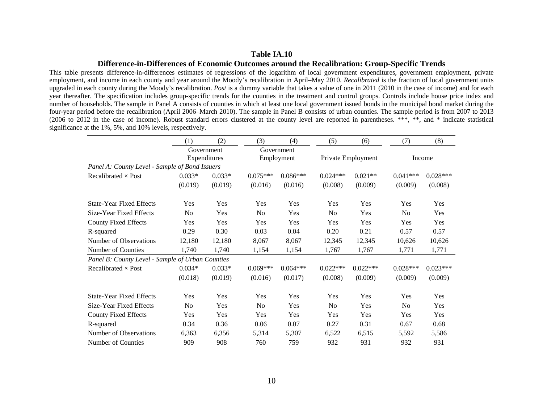#### **Table IA.10**

### **Difference-in-Differences of Economic Outcomes around the Recalibration: Group-Specific Trends**

This table presents difference-in-differences estimates of regressions of the logarithm of local government expenditures, government employment, private employment, and income in each county and year around the Moody's recalibration in April–May 2010. *Recalibrated* is the fraction of local government units upgraded in each county during the Moody's recalibration. *Post* is a dummy variable that takes a value of one in 2011 (2010 in the case of income) and for each year thereafter. The specification includes group-specific trends for the counties in the treatment and control groups. Controls include house price index and number of households. The sample in Panel A consists of counties in which at least one local government issued bonds in the municipal bond market during the four-year period before the recalibration (April 2006–March 2010). The sample in Panel B consists of urban counties. The sample period is from 2007 to 2013 (2006 to 2012 in the case of income). Robust standard errors clustered at the county level are reported in parentheses. \*\*\*, \*\*, and \* indicate statistical significance at the 1%, 5%, and 10% levels, respectively.

|                                                  | (1)            | (2)          | (3)            | (4)        | (5)            | (6)                | (7)            | (8)        |  |
|--------------------------------------------------|----------------|--------------|----------------|------------|----------------|--------------------|----------------|------------|--|
|                                                  |                | Government   |                | Government |                |                    |                |            |  |
|                                                  |                | Expenditures |                | Employment |                | Private Employment | Income         |            |  |
| Panel A: County Level - Sample of Bond Issuers   |                |              |                |            |                |                    |                |            |  |
| Recalibrated $\times$ Post                       | $0.033*$       | $0.033*$     | $0.075***$     | $0.086***$ | $0.024***$     | $0.021**$          | $0.041***$     | $0.028***$ |  |
|                                                  | (0.019)        | (0.019)      | (0.016)        | (0.016)    | (0.008)        | (0.009)            | (0.009)        | (0.008)    |  |
| <b>State-Year Fixed Effects</b>                  | Yes            | Yes          | Yes            | Yes        | Yes            | Yes                | Yes            | Yes        |  |
| Size-Year Fixed Effects                          | N <sub>o</sub> | Yes          | N <sub>0</sub> | Yes        | No             | Yes                | N <sub>0</sub> | Yes        |  |
| <b>County Fixed Effects</b>                      | Yes            | Yes          | Yes            | Yes        | Yes            | Yes                | Yes            | Yes        |  |
| R-squared                                        | 0.29           | 0.30         | 0.03           | 0.04       | 0.20           | 0.21               | 0.57           | 0.57       |  |
| Number of Observations                           | 12,180         | 12,180       | 8,067          | 8,067      | 12,345         | 12,345             | 10,626         | 10,626     |  |
| Number of Counties                               | 1,740          | 1,740        | 1,154          | 1,154      | 1,767          | 1,767              | 1,771          | 1,771      |  |
| Panel B: County Level - Sample of Urban Counties |                |              |                |            |                |                    |                |            |  |
| Recalibrated $\times$ Post                       | $0.034*$       | $0.033*$     | $0.069***$     | $0.064***$ | $0.022***$     | $0.022***$         | $0.028***$     | $0.023***$ |  |
|                                                  | (0.018)        | (0.019)      | (0.016)        | (0.017)    | (0.008)        | (0.009)            | (0.009)        | (0.009)    |  |
| <b>State-Year Fixed Effects</b>                  | Yes            | Yes          | Yes            | Yes        | Yes            | Yes                | Yes            | Yes        |  |
| Size-Year Fixed Effects                          | N <sub>o</sub> | Yes          | N <sub>o</sub> | Yes        | N <sub>0</sub> | Yes                | N <sub>o</sub> | Yes        |  |
| <b>County Fixed Effects</b>                      | Yes            | Yes          | Yes            | Yes        | Yes            | Yes                | Yes            | Yes        |  |
| R-squared                                        | 0.34           | 0.36         | 0.06           | 0.07       | 0.27           | 0.31               | 0.67           | 0.68       |  |
| Number of Observations                           | 6,363          | 6,356        | 5,314          | 5,307      | 6,522          | 6,515              | 5,592          | 5,586      |  |
| Number of Counties                               | 909            | 908          | 760            | 759        | 932            | 931                | 932            | 931        |  |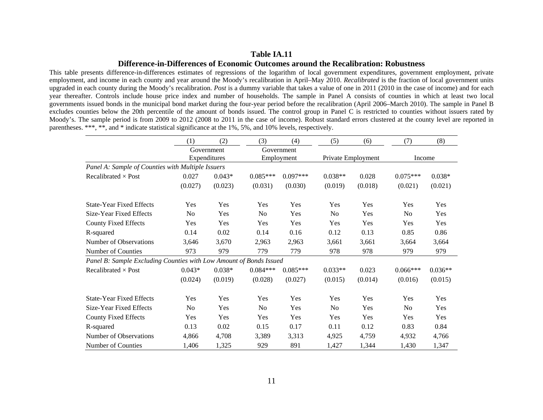#### **Table IA.11**

#### **Difference-in-Differences of Economic Outcomes around the Recalibration: Robustness**

This table presents difference-in-differences estimates of regressions of the logarithm of local government expenditures, government employment, private employment, and income in each county and year around the Moody's recalibration in April–May 2010. *Recalibrated* is the fraction of local government units upgraded in each county during the Moody's recalibration. *Post* is a dummy variable that takes a value of one in 2011 (2010 in the case of income) and for each year thereafter. Controls include house price index and number of households. The sample in Panel A consists of counties in which at least two local governments issued bonds in the municipal bond market during the four-year period before the recalibration (April 2006–March 2010). The sample in Panel B excludes counties below the 20th percentile of the amount of bonds issued. The control group in Panel C is restricted to counties without issuers rated by Moody's. The sample period is from 2009 to 2012 (2008 to 2011 in the case of income). Robust standard errors clustered at the county level are reported in parentheses. \*\*\*, \*\*, and \* indicate statistical significance at the 1%, 5%, and 10% levels, respectively.

|                                                                    | (1)            | (2)                        | (3)            | (4)                      | (5)            | (6)                | (7)            | (8)       |  |
|--------------------------------------------------------------------|----------------|----------------------------|----------------|--------------------------|----------------|--------------------|----------------|-----------|--|
|                                                                    |                | Government<br>Expenditures |                | Government<br>Employment |                | Private Employment |                | Income    |  |
| Panel A: Sample of Counties with Multiple Issuers                  |                |                            |                |                          |                |                    |                |           |  |
| Recalibrated $\times$ Post                                         | 0.027          | $0.043*$                   | $0.085***$     | $0.097***$               | $0.038**$      | 0.028              | $0.075***$     | $0.038*$  |  |
|                                                                    | (0.027)        | (0.023)                    | (0.031)        | (0.030)                  | (0.019)        | (0.018)            | (0.021)        | (0.021)   |  |
| <b>State-Year Fixed Effects</b>                                    | Yes            | Yes                        | Yes            | Yes                      | Yes            | Yes                | Yes            | Yes       |  |
| Size-Year Fixed Effects                                            | N <sub>o</sub> | Yes                        | N <sub>0</sub> | Yes                      | N <sub>0</sub> | Yes                | N <sub>0</sub> | Yes       |  |
| <b>County Fixed Effects</b>                                        | Yes            | Yes                        | Yes            | Yes                      | Yes            | Yes                | Yes            | Yes       |  |
| R-squared                                                          | 0.14           | 0.02                       | 0.14           | 0.16                     | 0.12           | 0.13               | 0.85           | 0.86      |  |
| Number of Observations                                             | 3,646          | 3,670                      | 2,963          | 2,963                    | 3,661          | 3,661              | 3,664          | 3,664     |  |
| Number of Counties                                                 | 973            | 979                        | 779            | 779                      | 978            | 978                | 979            | 979       |  |
| Panel B: Sample Excluding Counties with Low Amount of Bonds Issued |                |                            |                |                          |                |                    |                |           |  |
| Recalibrated $\times$ Post                                         | $0.043*$       | $0.038*$                   | $0.084***$     | $0.085***$               | $0.033**$      | 0.023              | $0.066***$     | $0.036**$ |  |
|                                                                    | (0.024)        | (0.019)                    | (0.028)        | (0.027)                  | (0.015)        | (0.014)            | (0.016)        | (0.015)   |  |
| <b>State-Year Fixed Effects</b>                                    | Yes            | Yes                        | Yes            | Yes                      | Yes            | Yes                | Yes            | Yes       |  |
| Size-Year Fixed Effects                                            | N <sub>o</sub> | Yes                        | N <sub>0</sub> | Yes                      | N <sub>0</sub> | Yes                | No             | Yes       |  |
| <b>County Fixed Effects</b>                                        | Yes            | Yes                        | Yes            | Yes                      | Yes            | Yes                | Yes            | Yes       |  |
| R-squared                                                          | 0.13           | 0.02                       | 0.15           | 0.17                     | 0.11           | 0.12               | 0.83           | 0.84      |  |
| Number of Observations                                             | 4,866          | 4,708                      | 3,389          | 3,313                    | 4,925          | 4,759              | 4,932          | 4,766     |  |
| Number of Counties                                                 | 1,406          | 1,325                      | 929            | 891                      | 1,427          | 1,344              | 1,430          | 1,347     |  |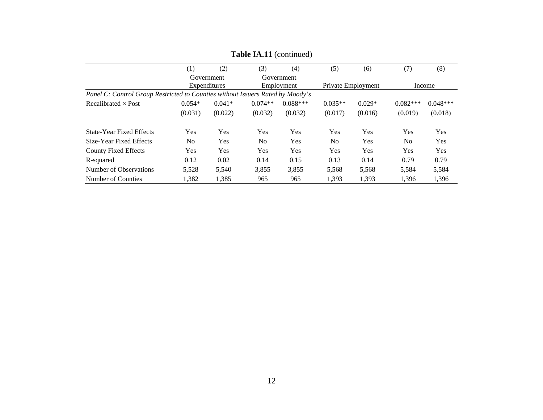|                                                                                | $\left( 1\right)$ | (2)          | (3)            | (4)        | (5)            | (6)                | (7)        | (8)        |
|--------------------------------------------------------------------------------|-------------------|--------------|----------------|------------|----------------|--------------------|------------|------------|
|                                                                                |                   | Government   |                | Government |                |                    |            |            |
|                                                                                |                   | Expenditures |                | Employment |                | Private Employment |            | Income     |
| Panel C: Control Group Restricted to Counties without Issuers Rated by Moody's |                   |              |                |            |                |                    |            |            |
| Recalibrated $\times$ Post                                                     | $0.054*$          | $0.041*$     | $0.074**$      | $0.088***$ | $0.035**$      | $0.029*$           | $0.082***$ | $0.048***$ |
|                                                                                | (0.031)           | (0.022)      | (0.032)        | (0.032)    | (0.017)        | (0.016)            | (0.019)    | (0.018)    |
| <b>State-Year Fixed Effects</b>                                                | Yes               | Yes          | Yes            | Yes        | Yes            | Yes                | Yes        | <b>Yes</b> |
| Size-Year Fixed Effects                                                        | No.               | <b>Yes</b>   | N <sub>0</sub> | Yes        | N <sub>0</sub> | Yes                | No.        | <b>Yes</b> |
| <b>County Fixed Effects</b>                                                    | Yes               | Yes          | Yes            | <b>Yes</b> | <b>Yes</b>     | Yes                | Yes        | Yes        |
| R-squared                                                                      | 0.12              | 0.02         | 0.14           | 0.15       | 0.13           | 0.14               | 0.79       | 0.79       |
| Number of Observations                                                         | 5,528             | 5,540        | 3,855          | 3,855      | 5,568          | 5,568              | 5,584      | 5,584      |
| Number of Counties                                                             | 1.382             | 1,385        | 965            | 965        | 1,393          | 1,393              | 1,396      | 1,396      |

**Table IA.11** (continued)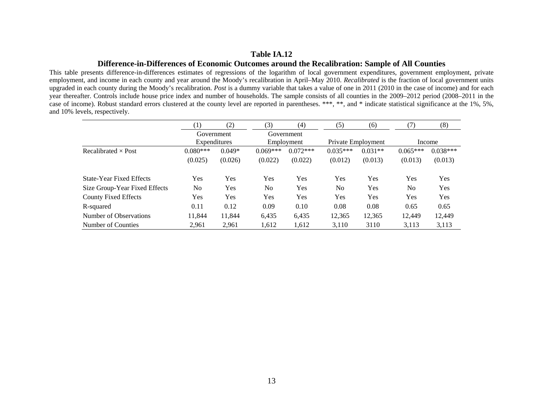### **Table IA.12**

### **Difference-in-Differences of Economic Outcomes around the Recalibration: Sample of All Counties**

This table presents difference-in-differences estimates of regressions of the logarithm of local government expenditures, government employment, private employment, and income in each county and year around the Moody's recalibration in April–May 2010. *Recalibrated* is the fraction of local government units upgraded in each county during the Moody's recalibration. *Post* is a dummy variable that takes a value of one in 2011 (2010 in the case of income) and for each year thereafter. Controls include house price index and number of households. The sample consists of all counties in the 2009–2012 period (2008–2011 in the case of income). Robust standard errors clustered at the county level are reported in parentheses. \*\*\*, \*\*, and \* indicate statistical significance at the 1%, 5%, and 10% levels, respectively.

|                                 | (1)          | (2)      | (3)            | (4)        | (5)                | (6)       | (7)        | (8)        |
|---------------------------------|--------------|----------|----------------|------------|--------------------|-----------|------------|------------|
|                                 | Government   |          |                | Government |                    |           |            |            |
|                                 | Expenditures |          | Employment     |            | Private Employment |           | Income     |            |
| Recalibrated $\times$ Post      | $0.080***$   | $0.049*$ | $0.069***$     | $0.072***$ | $0.035***$         | $0.031**$ | $0.065***$ | $0.038***$ |
|                                 | (0.025)      | (0.026)  | (0.022)        | (0.022)    | (0.012)            | (0.013)   | (0.013)    | (0.013)    |
| <b>State-Year Fixed Effects</b> | Yes          | Yes      | Yes            | Yes        | Yes                | Yes       | <b>Yes</b> | Yes        |
| Size Group-Year Fixed Effects   | No           | Yes      | N <sub>0</sub> | Yes        | N <sub>0</sub>     | Yes       | No         | Yes        |
| <b>County Fixed Effects</b>     | Yes          | Yes      | Yes            | Yes        | Yes                | Yes       | Yes        | Yes        |
| R-squared                       | 0.11         | 0.12     | 0.09           | 0.10       | 0.08               | 0.08      | 0.65       | 0.65       |
| Number of Observations          | 11,844       | 11,844   | 6,435          | 6,435      | 12,365             | 12,365    | 12.449     | 12,449     |
| Number of Counties              | 2,961        | 2,961    | 1,612          | 1,612      | 3,110              | 3110      | 3,113      | 3,113      |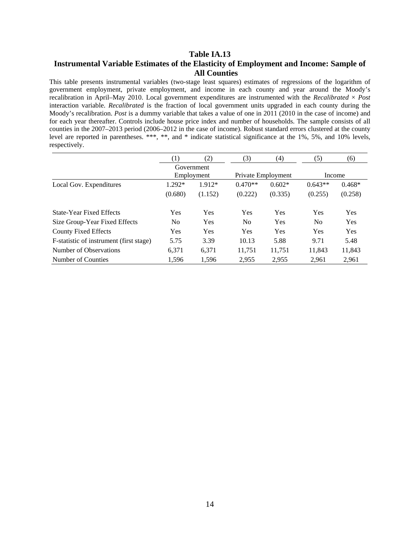# **Table IA.13 Instrumental Variable Estimates of the Elasticity of Employment and Income: Sample of All Counties**

This table presents instrumental variables (two-stage least squares) estimates of regressions of the logarithm of government employment, private employment, and income in each county and year around the Moody's recalibration in April–May 2010. Local government expenditures are instrumented with the *Recalibrated* × *Post* interaction variable. *Recalibrated* is the fraction of local government units upgraded in each county during the Moody's recalibration. *Post* is a dummy variable that takes a value of one in 2011 (2010 in the case of income) and for each year thereafter. Controls include house price index and number of households. The sample consists of all counties in the 2007–2013 period (2006–2012 in the case of income). Robust standard errors clustered at the county level are reported in parentheses. \*\*\*, \*\*, and \* indicate statistical significance at the 1%, 5%, and 10% levels, respectively.

|                                         | $\scriptstyle{(1)}$ | (2)        | (3)            | (4)                | (5)            | (6)        |
|-----------------------------------------|---------------------|------------|----------------|--------------------|----------------|------------|
|                                         |                     | Government |                |                    |                |            |
|                                         | Employment          |            |                | Private Employment |                | Income     |
| Local Gov. Expenditures                 | $1.292*$            | 1.912*     | $0.470**$      | $0.602*$           | $0.643**$      | $0.468*$   |
|                                         | (0.680)             | (1.152)    | (0.222)        | (0.335)            | (0.255)        | (0.258)    |
| State-Year Fixed Effects                | Yes                 | Yes        | Yes            | Yes                | <b>Yes</b>     | <b>Yes</b> |
| Size Group-Year Fixed Effects           | No.                 | Yes        | N <sub>0</sub> | Yes                | N <sub>0</sub> | <b>Yes</b> |
| <b>County Fixed Effects</b>             | Yes                 | Yes        | Yes            | Yes                | <b>Yes</b>     | <b>Yes</b> |
| F-statistic of instrument (first stage) | 5.75                | 3.39       | 10.13          | 5.88               | 9.71           | 5.48       |
| Number of Observations                  | 6,371               | 6,371      | 11,751         | 11,751             | 11.843         | 11,843     |
| Number of Counties                      | 1.596               | 1.596      | 2.955          | 2.955              | 2.961          | 2,961      |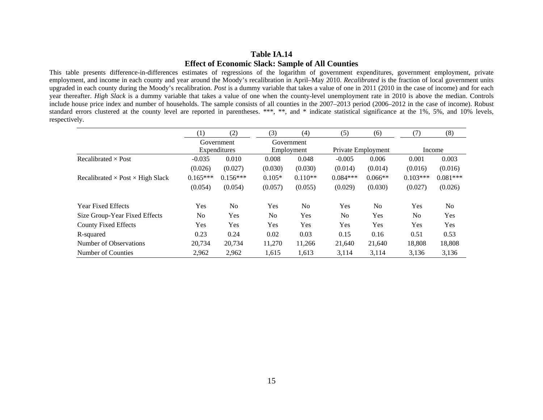### **Table IA.14 Effect of Economic Slack: Sample of All Counties**

This table presents difference-in-differences estimates of regressions of the logarithm of government expenditures, government employment, private employment, and income in each county and year around the Moody's recalibration in April–May 2010. *Recalibrated* is the fraction of local government units upgraded in each county during the Moody's recalibration. *Post* is a dummy variable that takes a value of one in 2011 (2010 in the case of income) and for each year thereafter. *High Slack* is a dummy variable that takes a value of one when the county-level unemployment rate in 2010 is above the median. Controls include house price index and number of households. The sample consists of all counties in the 2007–2013 period (2006–2012 in the case of income). Robust standard errors clustered at the county level are reported in parentheses. \*\*\*, \*\*, and \* indicate statistical significance at the 1%, 5%, and 10% levels, respectively.

|                                                | (1)        | (2)                        | (3)            | (4)                      | (5)            | (6)                | (7)            | (8)            |
|------------------------------------------------|------------|----------------------------|----------------|--------------------------|----------------|--------------------|----------------|----------------|
|                                                |            | Government<br>Expenditures |                | Government<br>Employment |                |                    |                |                |
|                                                |            |                            |                |                          |                | Private Employment |                | Income         |
| Recalibrated $\times$ Post                     | $-0.035$   | 0.010                      | 0.008          | 0.048                    | $-0.005$       | 0.006              | 0.001          | 0.003          |
|                                                | (0.026)    | (0.027)                    | (0.030)        | (0.030)                  | (0.014)        | (0.014)            | (0.016)        | (0.016)        |
| Recalibrated $\times$ Post $\times$ High Slack | $0.165***$ | $0.156***$                 | $0.105*$       | $0.110**$                | $0.084***$     | $0.066**$          | $0.103***$     | $0.081***$     |
|                                                | (0.054)    | (0.054)                    | (0.057)        | (0.055)                  | (0.029)        | (0.030)            | (0.027)        | (0.026)        |
| <b>Year Fixed Effects</b>                      | Yes        | N <sub>0</sub>             | Yes            | N <sub>0</sub>           | <b>Yes</b>     | N <sub>0</sub>     | <b>Yes</b>     | N <sub>0</sub> |
| Size Group-Year Fixed Effects                  | No         | Yes                        | N <sub>o</sub> | Yes                      | N <sub>o</sub> | Yes                | N <sub>o</sub> | Yes            |
| <b>County Fixed Effects</b>                    | Yes        | <b>Yes</b>                 | Yes            | Yes                      | Yes            | Yes                | Yes            | Yes            |
| R-squared                                      | 0.23       | 0.24                       | 0.02           | 0.03                     | 0.15           | 0.16               | 0.51           | 0.53           |
| Number of Observations                         | 20,734     | 20,734                     | 11,270         | 11,266                   | 21,640         | 21,640             | 18,808         | 18,808         |
| Number of Counties                             | 2,962      | 2,962                      | 1,615          | 1,613                    | 3,114          | 3,114              | 3,136          | 3,136          |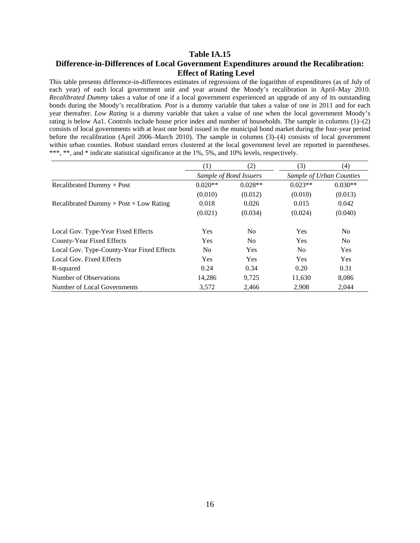# **Table IA.15 Difference-in-Differences of Local Government Expenditures around the Recalibration: Effect of Rating Level**

This table presents difference-in-differences estimates of regressions of the logarithm of expenditures (as of July of each year) of each local government unit and year around the Moody's recalibration in April–May 2010. *Recalibrated Dummy* takes a value of one if a local government experienced an upgrade of any of its outstanding bonds during the Moody's recalibration. *Post* is a dummy variable that takes a value of one in 2011 and for each year thereafter. *Low Rating* is a dummy variable that takes a value of one when the local government Moody's rating is below Aa1. Controls include house price index and number of households. The sample in columns (1)–(2) consists of local governments with at least one bond issued in the municipal bond market during the four-year period before the recalibration (April 2006–March 2010). The sample in columns (3)–(4) consists of local government within urban counties. Robust standard errors clustered at the local government level are reported in parentheses. \*\*\*, \*\*, and \* indicate statistical significance at the 1%, 5%, and 10% levels, respectively.

|                                                      | (1)            | (2)                    | (3)            | (4)                      |
|------------------------------------------------------|----------------|------------------------|----------------|--------------------------|
|                                                      |                | Sample of Bond Issuers |                | Sample of Urban Counties |
| Recalibrated Dummy $\times$ Post                     | $0.020**$      | $0.028**$              | $0.023**$      | $0.030**$                |
|                                                      | (0.010)        | (0.012)                | (0.010)        | (0.013)                  |
| Recalibrated Dummy $\times$ Post $\times$ Low Rating | 0.018          | 0.026                  | 0.015          | 0.042                    |
|                                                      | (0.021)        | (0.034)                | (0.024)        | (0.040)                  |
| Local Gov. Type-Year Fixed Effects                   | Yes            | N <sub>0</sub>         | <b>Yes</b>     | No.                      |
| County-Year Fixed Effects                            | <b>Yes</b>     | N <sub>o</sub>         | <b>Yes</b>     | No.                      |
| Local Gov. Type-County-Year Fixed Effects            | N <sub>0</sub> | Yes                    | N <sub>0</sub> | <b>Yes</b>               |
| Local Gov. Fixed Effects                             | <b>Yes</b>     | <b>Yes</b>             | <b>Yes</b>     | Yes                      |
| R-squared                                            | 0.24           | 0.34                   | 0.20           | 0.31                     |
| Number of Observations                               | 14.286         | 9.725                  | 11,630         | 8,086                    |
| Number of Local Governments                          | 3,572          | 2,466                  | 2.908          | 2,044                    |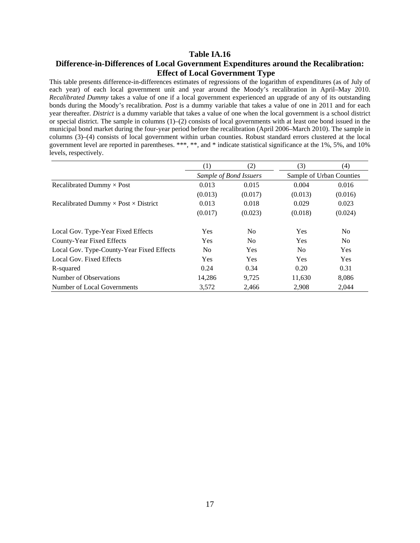### **Table IA.16 Difference-in-Differences of Local Government Expenditures around the Recalibration: Effect of Local Government Type**

This table presents difference-in-differences estimates of regressions of the logarithm of expenditures (as of July of each year) of each local government unit and year around the Moody's recalibration in April–May 2010. *Recalibrated Dummy* takes a value of one if a local government experienced an upgrade of any of its outstanding bonds during the Moody's recalibration. *Post* is a dummy variable that takes a value of one in 2011 and for each year thereafter. *District* is a dummy variable that takes a value of one when the local government is a school district or special district. The sample in columns (1)–(2) consists of local governments with at least one bond issued in the municipal bond market during the four-year period before the recalibration (April 2006–March 2010). The sample in columns (3)–(4) consists of local government within urban counties. Robust standard errors clustered at the local government level are reported in parentheses. \*\*\*, \*\*, and \* indicate statistical significance at the 1%, 5%, and 10% levels, respectively.

|                                                    | (1)                    | (2)                      | (3)            | (4)            |
|----------------------------------------------------|------------------------|--------------------------|----------------|----------------|
|                                                    | Sample of Bond Issuers | Sample of Urban Counties |                |                |
| Recalibrated Dummy $\times$ Post                   | 0.013                  | 0.015                    | 0.004          | 0.016          |
|                                                    | (0.013)                | (0.017)                  | (0.013)        | (0.016)        |
| Recalibrated Dummy $\times$ Post $\times$ District | 0.013                  | 0.018                    | 0.029          | 0.023          |
|                                                    | (0.017)                | (0.023)                  | (0.018)        | (0.024)        |
| Local Gov. Type-Year Fixed Effects                 | <b>Yes</b>             | N <sub>0</sub>           | <b>Yes</b>     | No.            |
| County-Year Fixed Effects                          | <b>Yes</b>             | N <sub>o</sub>           | <b>Yes</b>     | N <sub>o</sub> |
| Local Gov. Type-County-Year Fixed Effects          | N <sub>0</sub>         | <b>Yes</b>               | N <sub>0</sub> | <b>Yes</b>     |
| Local Gov. Fixed Effects                           | <b>Yes</b>             | <b>Yes</b>               | <b>Yes</b>     | <b>Yes</b>     |
| R-squared                                          | 0.24                   | 0.34                     | 0.20           | 0.31           |
| Number of Observations                             | 14,286                 | 9,725                    | 11,630         | 8,086          |
| Number of Local Governments                        | 3,572                  | 2,466                    | 2.908          | 2,044          |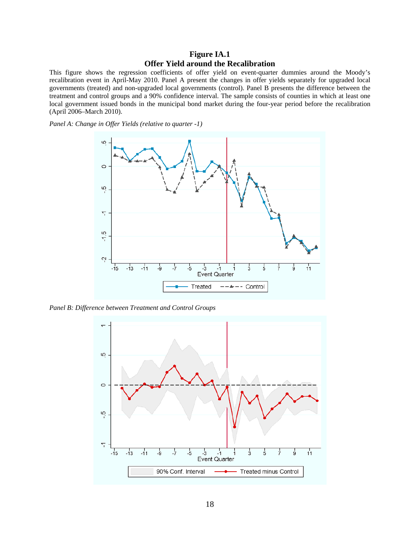# **Figure IA.1 Offer Yield around the Recalibration**

This figure shows the regression coefficients of offer yield on event-quarter dummies around the Moody's recalibration event in April-May 2010. Panel A present the changes in offer yields separately for upgraded local governments (treated) and non-upgraded local governments (control). Panel B presents the difference between the treatment and control groups and a 90% confidence interval. The sample consists of counties in which at least one local government issued bonds in the municipal bond market during the four-year period before the recalibration (April 2006–March 2010).

*Panel A: Change in Offer Yields (relative to quarter -1)* 



*Panel B: Difference between Treatment and Control Groups* 

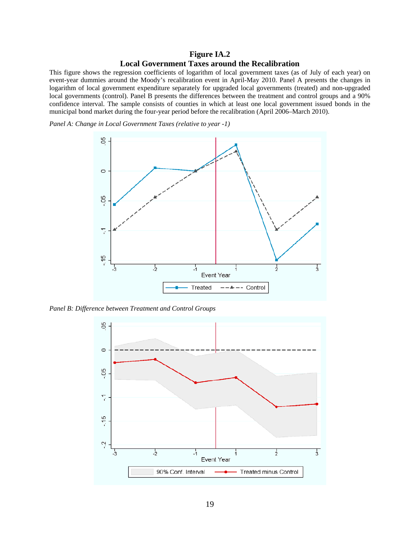# **Figure IA.2 Local Government Taxes around the Recalibration**

This figure shows the regression coefficients of logarithm of local government taxes (as of July of each year) on event-year dummies around the Moody's recalibration event in April-May 2010. Panel A presents the changes in logarithm of local government expenditure separately for upgraded local governments (treated) and non-upgraded local governments (control). Panel B presents the differences between the treatment and control groups and a 90% confidence interval. The sample consists of counties in which at least one local government issued bonds in the municipal bond market during the four-year period before the recalibration (April 2006–March 2010).

*Panel A: Change in Local Government Taxes (relative to year -1)* 



*Panel B: Difference between Treatment and Control Groups* 

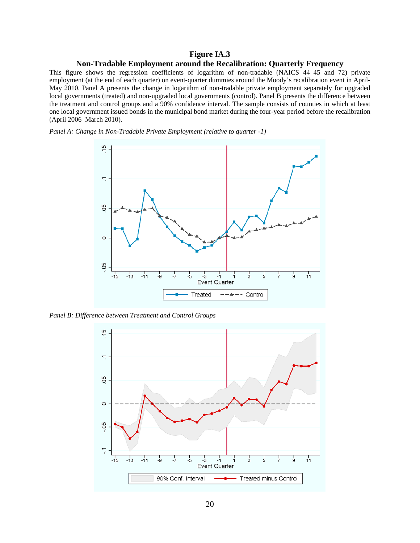### **Figure IA.3**

#### **Non-Tradable Employment around the Recalibration: Quarterly Frequency**

This figure shows the regression coefficients of logarithm of non-tradable (NAICS 44–45 and 72) private employment (at the end of each quarter) on event-quarter dummies around the Moody's recalibration event in April-May 2010. Panel A presents the change in logarithm of non-tradable private employment separately for upgraded local governments (treated) and non-upgraded local governments (control). Panel B presents the difference between the treatment and control groups and a 90% confidence interval. The sample consists of counties in which at least one local government issued bonds in the municipal bond market during the four-year period before the recalibration (April 2006–March 2010).

*Panel A: Change in Non-Tradable Private Employment (relative to quarter -1)* 



*Panel B: Difference between Treatment and Control Groups*